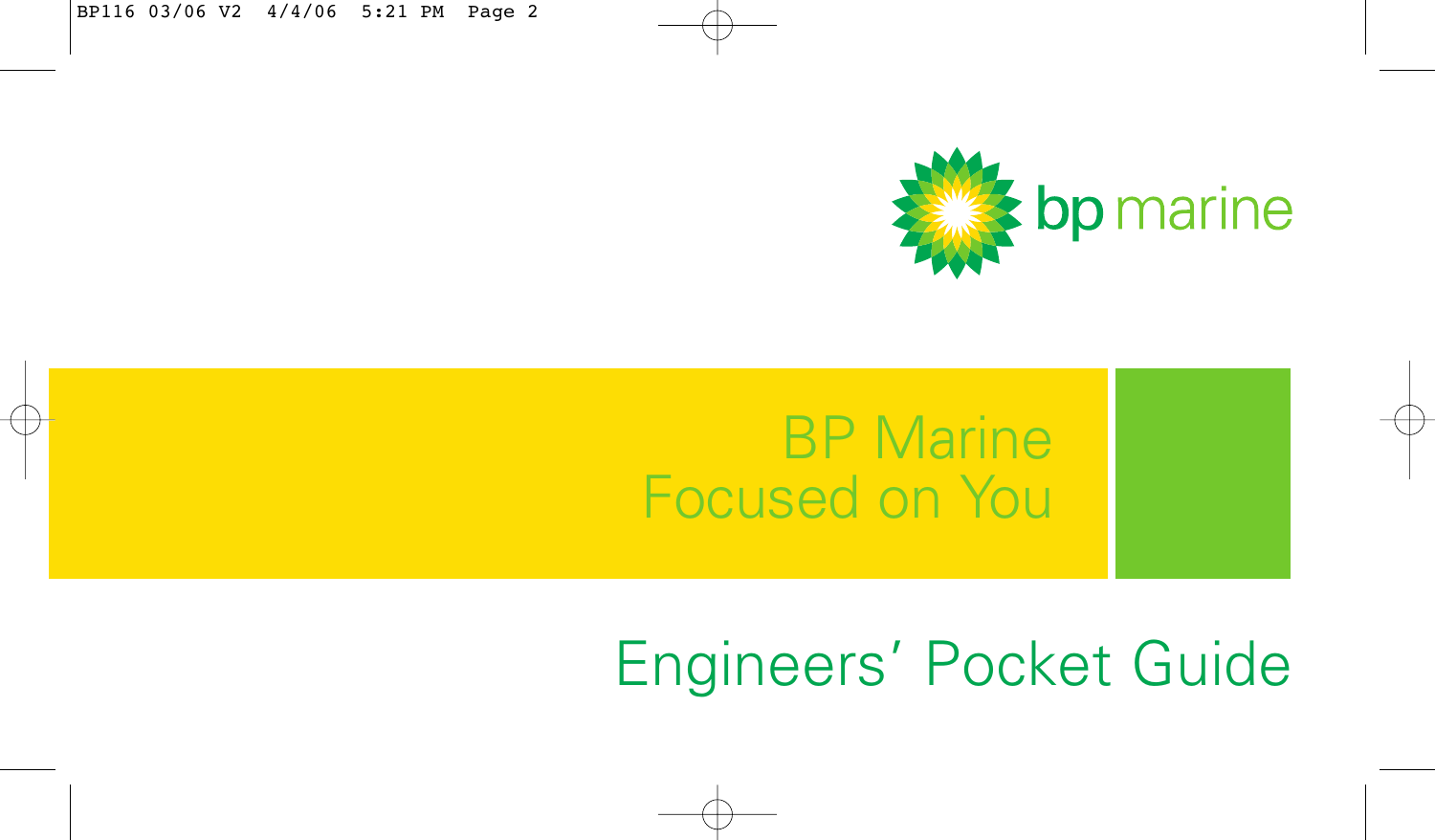

## BP Marine Focused on You

# Engineers' Pocket Guide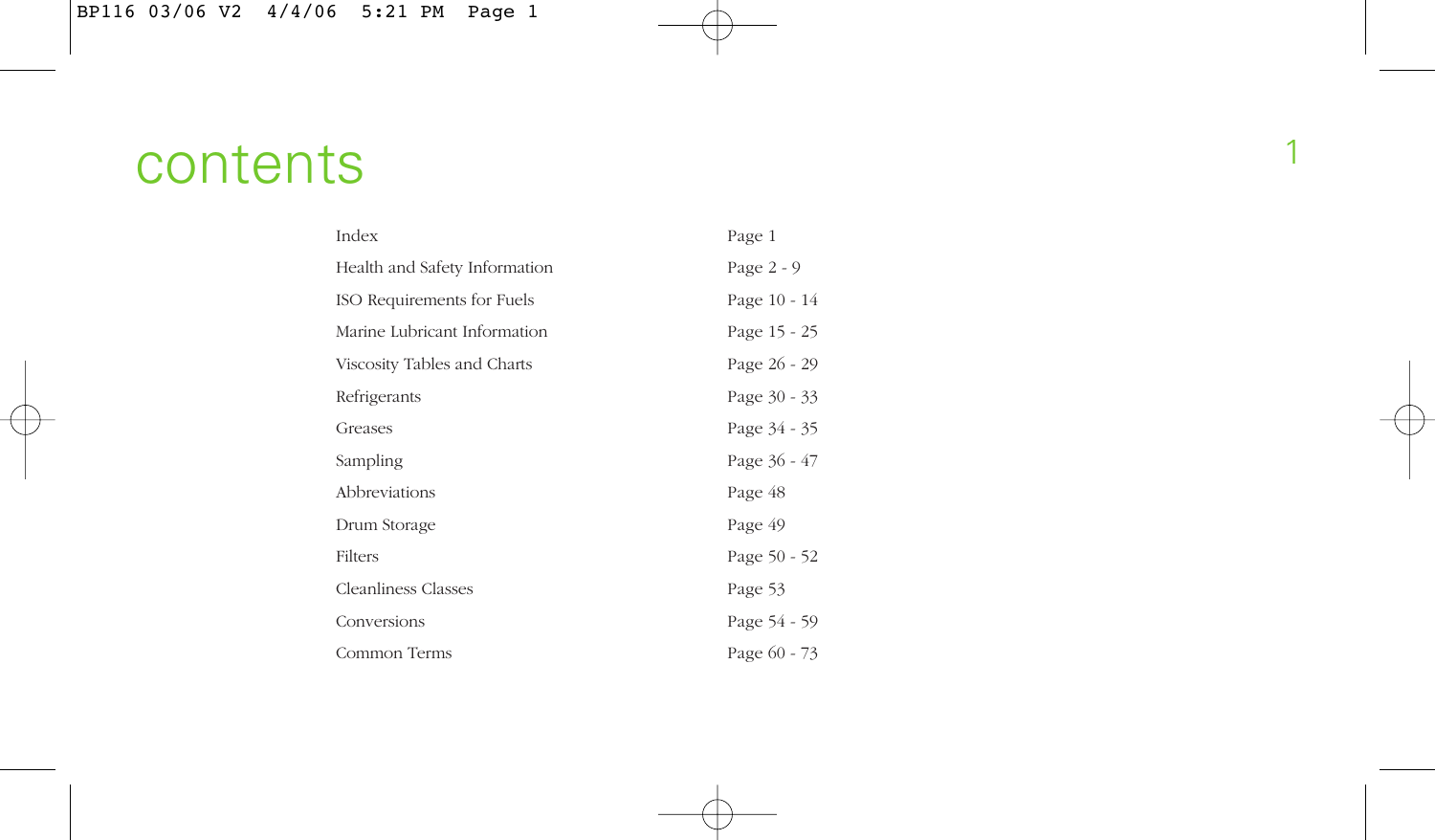## <sup>1</sup> contents

| Index                         | Page 1       |
|-------------------------------|--------------|
| Health and Safety Information | Page $2 - 9$ |
| ISO Requirements for Fuels    | Page 10 - 14 |
| Marine Lubricant Information  | Page 15 - 25 |
| Viscosity Tables and Charts   | Page 26 - 29 |
| Refrigerants                  | Page 30 - 33 |
| Greases                       | Page 34 - 35 |
| Sampling                      | Page 36 - 47 |
| Abbreviations                 | Page 48      |
| Drum Storage                  | Page 49      |
| Filters                       | Page 50 - 52 |
| <b>Cleanliness Classes</b>    | Page 53      |
| Conversions                   | Page 54 - 59 |
| Common Terms                  | Page 60 - 73 |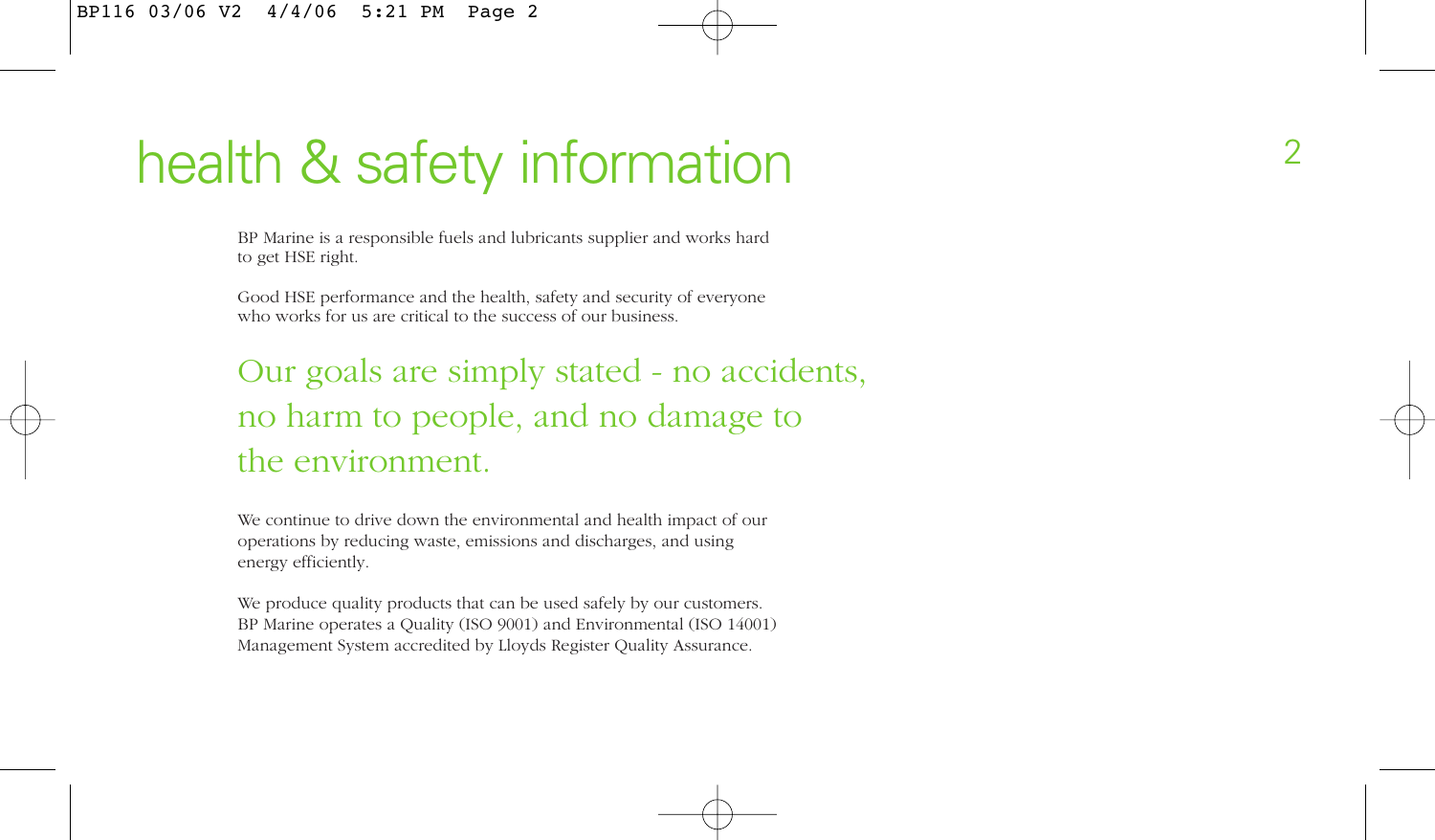## health & safety information

BP Marine is a responsible fuels and lubricants supplier and works hard to get HSE right.

Good HSE performance and the health, safety and security of everyone who works for us are critical to the success of our business.

## Our goals are simply stated - no accidents, no harm to people, and no damage to the environment.

We continue to drive down the environmental and health impact of our operations by reducing waste, emissions and discharges, and using energy efficiently.

We produce quality products that can be used safely by our customers. BP Marine operates a Quality (ISO 9001) and Environmental (ISO 14001) Management System accredited by Lloyds Register Quality Assurance.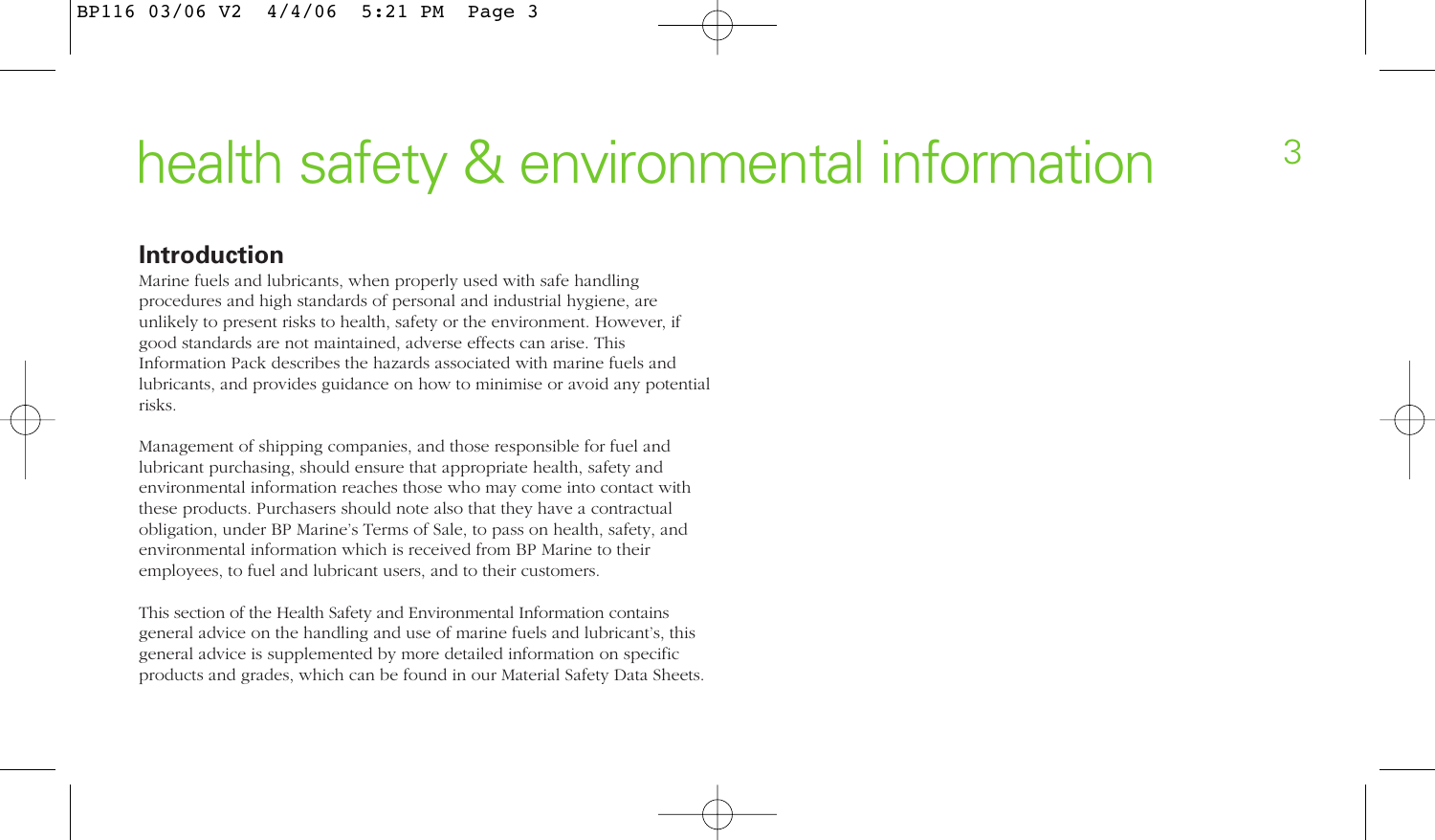# health safety & environmental information  $3\overline{3}$

#### **Introduction**

Marine fuels and lubricants, when properly used with safe handling procedures and high standards of personal and industrial hygiene, are unlikely to present risks to health, safety or the environment. However, if good standards are not maintained, adverse effects can arise. This Information Pack describes the hazards associated with marine fuels and lubricants, and provides guidance on how to minimise or avoid any potential risks.

Management of shipping companies, and those responsible for fuel and lubricant purchasing, should ensure that appropriate health, safety and environmental information reaches those who may come into contact with these products. Purchasers should note also that they have a contractual obligation, under BP Marine's Terms of Sale, to pass on health, safety, and environmental information which is received from BP Marine to their employees, to fuel and lubricant users, and to their customers.

This section of the Health Safety and Environmental Information contains general advice on the handling and use of marine fuels and lubricant's, this general advice is supplemented by more detailed information on specific products and grades, which can be found in our Material Safety Data Sheets.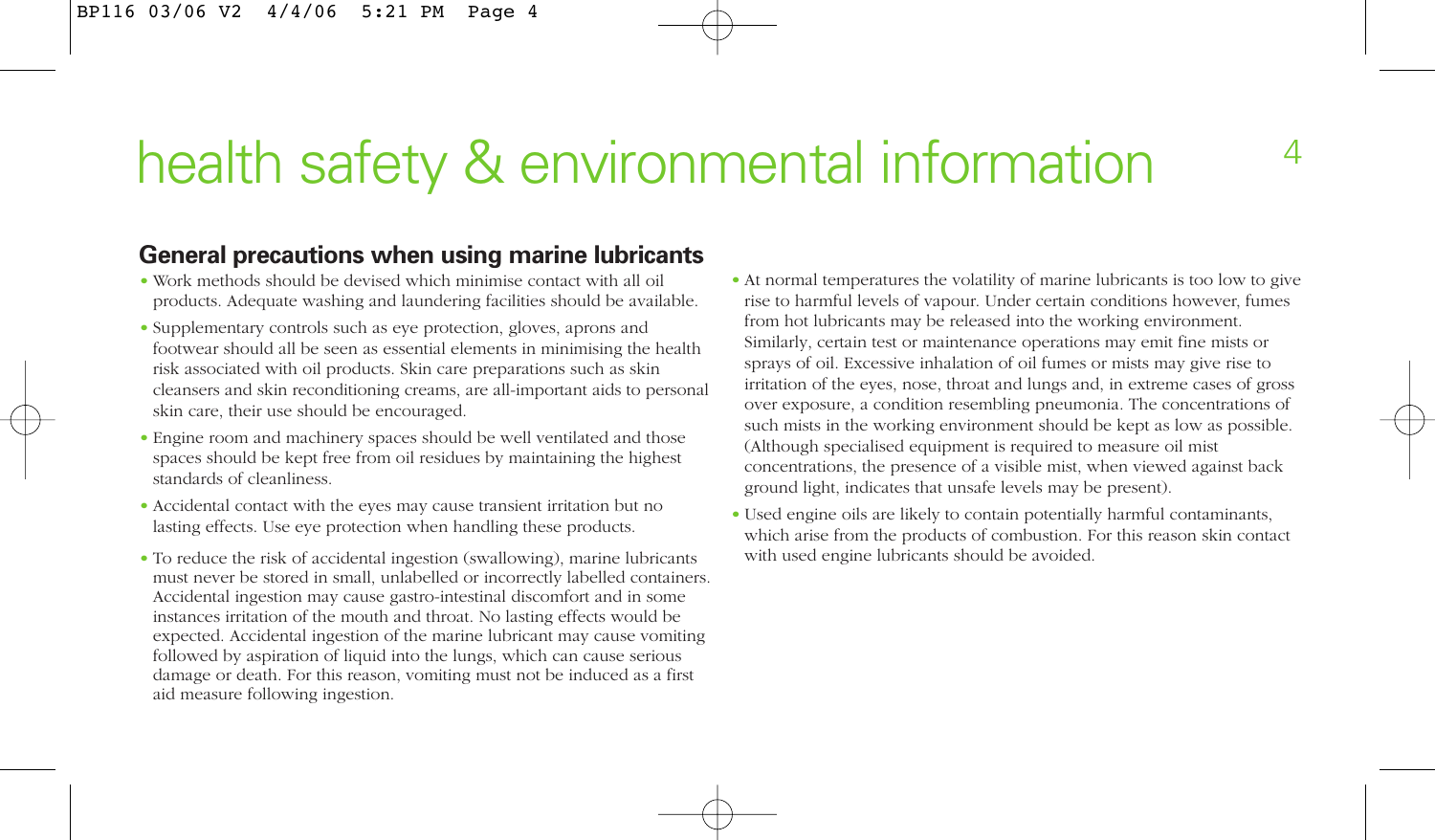# health safety & environmental information

#### **General precautions when using marine lubricants**

- Work methods should be devised which minimise contact with all oil products. Adequate washing and laundering facilities should be available.
- Supplementary controls such as eye protection, gloves, aprons and footwear should all be seen as essential elements in minimising the health risk associated with oil products. Skin care preparations such as skin cleansers and skin reconditioning creams, are all-important aids to personal skin care, their use should be encouraged.
- Engine room and machinery spaces should be well ventilated and those spaces should be kept free from oil residues by maintaining the highest standards of cleanliness.
- Accidental contact with the eyes may cause transient irritation but no lasting effects. Use eye protection when handling these products.
- To reduce the risk of accidental ingestion (swallowing), marine lubricants must never be stored in small, unlabelled or incorrectly labelled containers. Accidental ingestion may cause gastro-intestinal discomfort and in some instances irritation of the mouth and throat. No lasting effects would be expected. Accidental ingestion of the marine lubricant may cause vomiting followed by aspiration of liquid into the lungs, which can cause serious damage or death. For this reason, vomiting must not be induced as a first aid measure following ingestion.
- At normal temperatures the volatility of marine lubricants is too low to give rise to harmful levels of vapour. Under certain conditions however, fumes from hot lubricants may be released into the working environment. Similarly, certain test or maintenance operations may emit fine mists or sprays of oil. Excessive inhalation of oil fumes or mists may give rise to irritation of the eyes, nose, throat and lungs and, in extreme cases of gross over exposure, a condition resembling pneumonia. The concentrations of such mists in the working environment should be kept as low as possible. (Although specialised equipment is required to measure oil mist concentrations, the presence of a visible mist, when viewed against back ground light, indicates that unsafe levels may be present).
- Used engine oils are likely to contain potentially harmful contaminants, which arise from the products of combustion. For this reason skin contact with used engine lubricants should be avoided.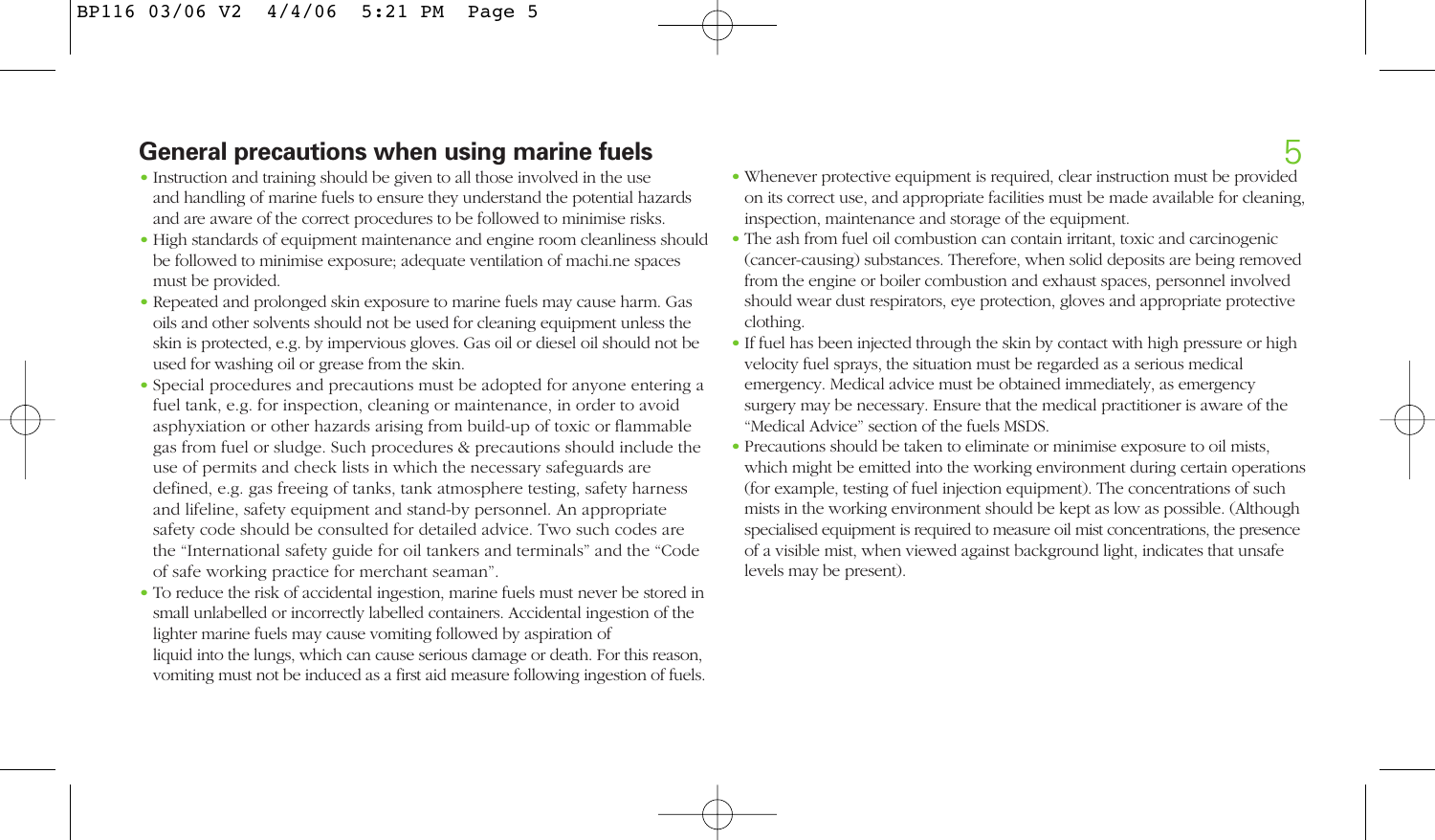### **General precautions when using marine fuels**

- Instruction and training should be given to all those involved in the use and handling of marine fuels to ensure they understand the potential hazards and are aware of the correct procedures to be followed to minimise risks.
- High standards of equipment maintenance and engine room cleanliness should be followed to minimise exposure; adequate ventilation of machi.ne spaces must be provided.
- Repeated and prolonged skin exposure to marine fuels may cause harm. Gas oils and other solvents should not be used for cleaning equipment unless the skin is protected, e.g. by impervious gloves. Gas oil or diesel oil should not be used for washing oil or grease from the skin.
- Special procedures and precautions must be adopted for anyone entering a fuel tank, e.g. for inspection, cleaning or maintenance, in order to avoid asphyxiation or other hazards arising from build-up of toxic or flammable gas from fuel or sludge. Such procedures & precautions should include the use of permits and check lists in which the necessary safeguards are defined, e.g. gas freeing of tanks, tank atmosphere testing, safety harness and lifeline, safety equipment and stand-by personnel. An appropriate safety code should be consulted for detailed advice. Two such codes are the "International safety guide for oil tankers and terminals" and the "Code of safe working practice for merchant seaman".
- To reduce the risk of accidental ingestion, marine fuels must never be stored in small unlabelled or incorrectly labelled containers. Accidental ingestion of the lighter marine fuels may cause vomiting followed by aspiration of liquid into the lungs, which can cause serious damage or death. For this reason, vomiting must not be induced as a first aid measure following ingestion of fuels.
- <sup>5</sup> Whenever protective equipment is required, clear instruction must be provided on its correct use, and appropriate facilities must be made available for cleaning, inspection, maintenance and storage of the equipment.
- The ash from fuel oil combustion can contain irritant, toxic and carcinogenic (cancer-causing) substances. Therefore, when solid deposits are being removed from the engine or boiler combustion and exhaust spaces, personnel involved should wear dust respirators, eye protection, gloves and appropriate protective clothing.
- If fuel has been injected through the skin by contact with high pressure or high velocity fuel sprays, the situation must be regarded as a serious medical emergency. Medical advice must be obtained immediately, as emergency surgery may be necessary. Ensure that the medical practitioner is aware of the "Medical Advice" section of the fuels MSDS.
- Precautions should be taken to eliminate or minimise exposure to oil mists, which might be emitted into the working environment during certain operations (for example, testing of fuel injection equipment). The concentrations of such mists in the working environment should be kept as low as possible. (Although specialised equipment is required to measure oil mist concentrations, the presence of a visible mist, when viewed against background light, indicates that unsafe levels may be present).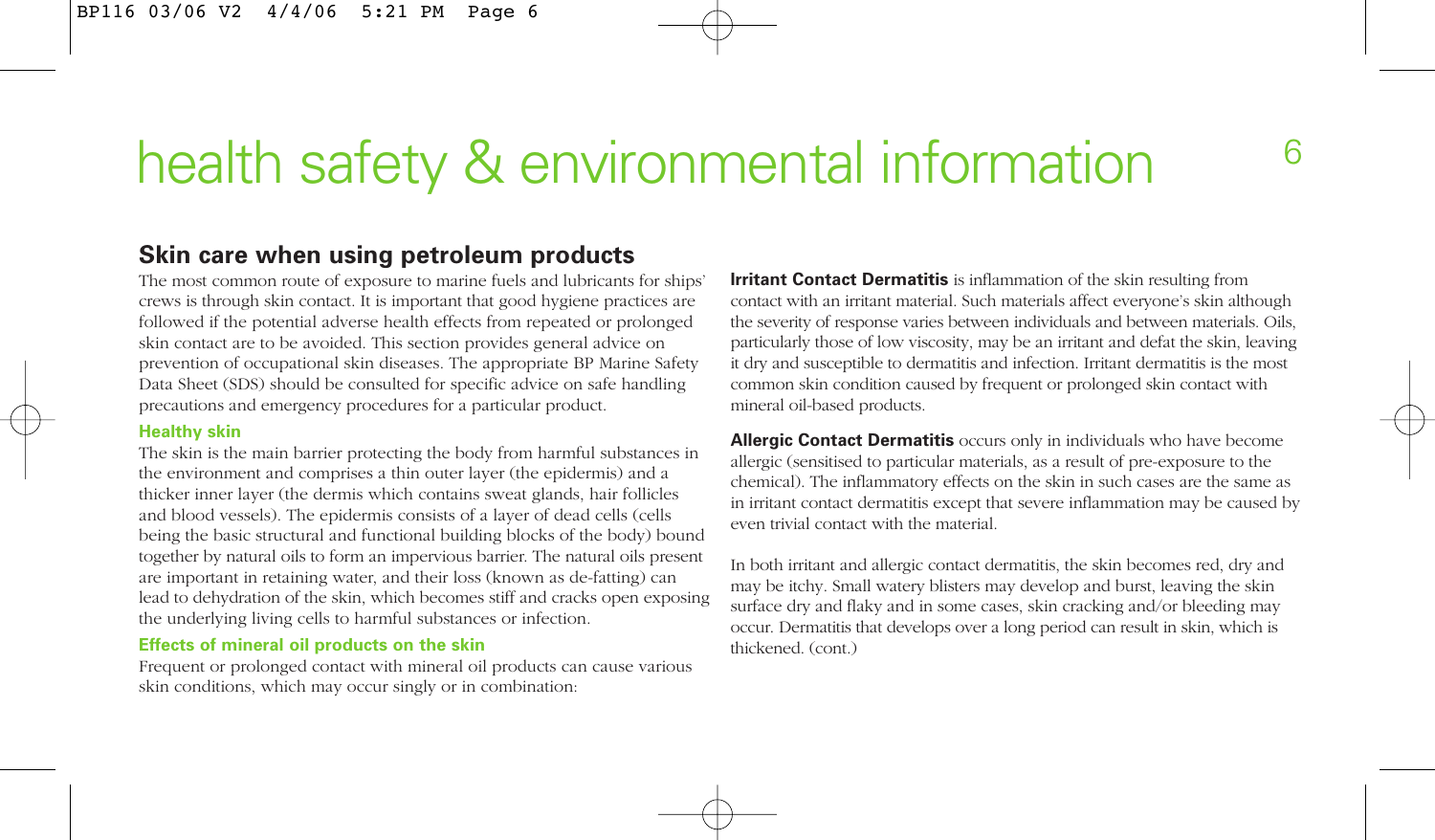## health safety & environmental information 6

#### **Skin care when using petroleum products**

The most common route of exposure to marine fuels and lubricants for ships' crews is through skin contact. It is important that good hygiene practices are followed if the potential adverse health effects from repeated or prolonged skin contact are to be avoided. This section provides general advice on prevention of occupational skin diseases. The appropriate BP Marine Safety Data Sheet (SDS) should be consulted for specific advice on safe handling precautions and emergency procedures for a particular product.

#### **Healthy skin**

The skin is the main barrier protecting the body from harmful substances in the environment and comprises a thin outer layer (the epidermis) and a thicker inner layer (the dermis which contains sweat glands, hair follicles and blood vessels). The epidermis consists of a layer of dead cells (cells being the basic structural and functional building blocks of the body) bound together by natural oils to form an impervious barrier. The natural oils present are important in retaining water, and their loss (known as de-fatting) can lead to dehydration of the skin, which becomes stiff and cracks open exposing the underlying living cells to harmful substances or infection.

#### **Effects of mineral oil products on the skin**

Frequent or prolonged contact with mineral oil products can cause various skin conditions, which may occur singly or in combination:

**Irritant Contact Dermatitis** is inflammation of the skin resulting from contact with an irritant material. Such materials affect everyone's skin although the severity of response varies between individuals and between materials. Oils, particularly those of low viscosity, may be an irritant and defat the skin, leaving it dry and susceptible to dermatitis and infection. Irritant dermatitis is the most common skin condition caused by frequent or prolonged skin contact with mineral oil-based products.

**Allergic Contact Dermatitis** occurs only in individuals who have become allergic (sensitised to particular materials, as a result of pre-exposure to the chemical). The inflammatory effects on the skin in such cases are the same as in irritant contact dermatitis except that severe inflammation may be caused by even trivial contact with the material.

In both irritant and allergic contact dermatitis, the skin becomes red, dry and may be itchy. Small watery blisters may develop and burst, leaving the skin surface dry and flaky and in some cases, skin cracking and/or bleeding may occur. Dermatitis that develops over a long period can result in skin, which is thickened. (cont.)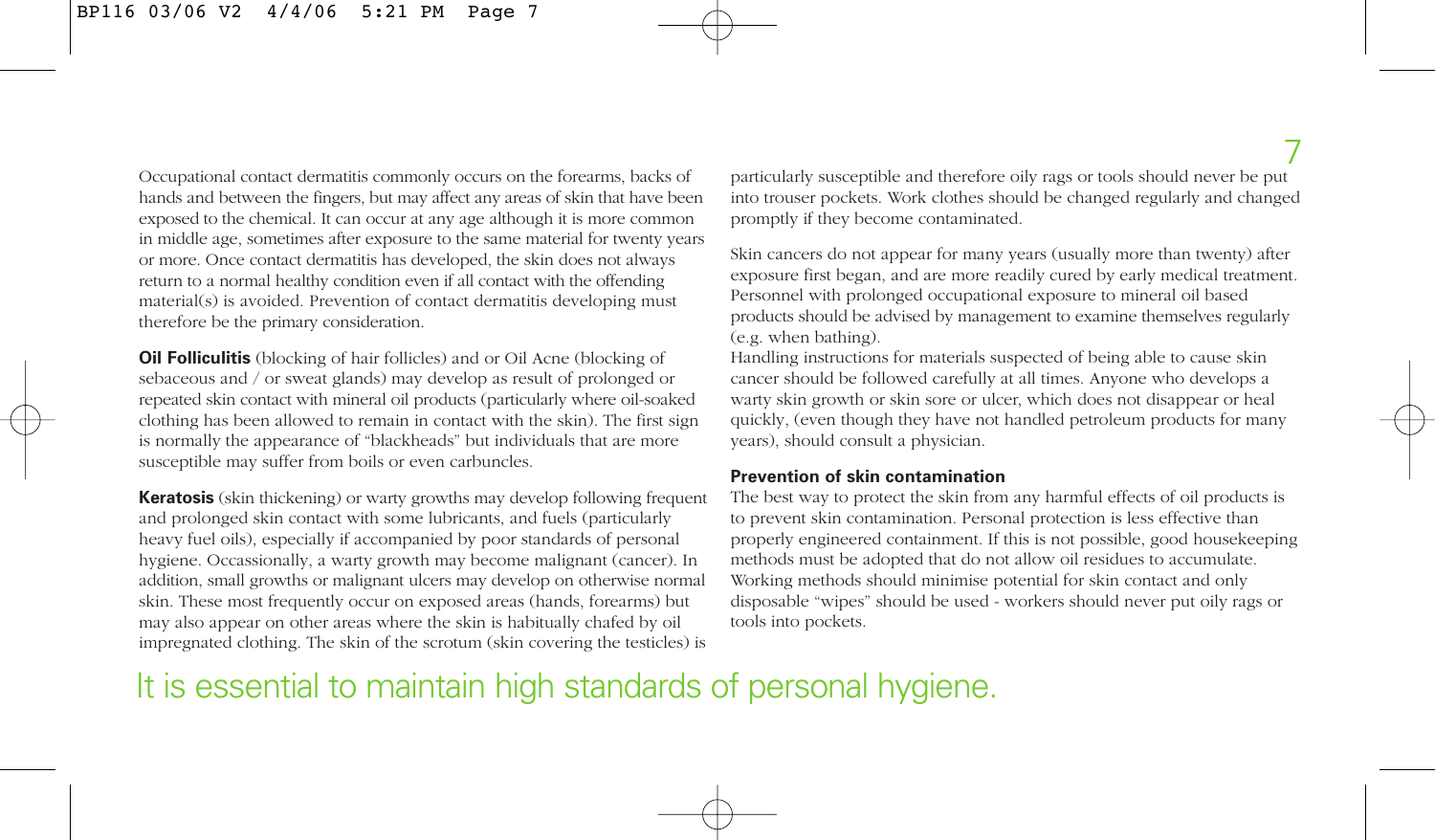Occupational contact dermatitis commonly occurs on the forearms, backs of hands and between the fingers, but may affect any areas of skin that have been exposed to the chemical. It can occur at any age although it is more common in middle age, sometimes after exposure to the same material for twenty years or more. Once contact dermatitis has developed, the skin does not always return to a normal healthy condition even if all contact with the offending material(s) is avoided. Prevention of contact dermatitis developing must therefore be the primary consideration.

**Oil Folliculitis** (blocking of hair follicles) and or Oil Acne (blocking of sebaceous and / or sweat glands) may develop as result of prolonged or repeated skin contact with mineral oil products (particularly where oil-soaked clothing has been allowed to remain in contact with the skin). The first sign is normally the appearance of "blackheads" but individuals that are more susceptible may suffer from boils or even carbuncles.

**Keratosis** (skin thickening) or warty growths may develop following frequent and prolonged skin contact with some lubricants, and fuels (particularly heavy fuel oils), especially if accompanied by poor standards of personal hygiene. Occassionally, a warty growth may become malignant (cancer). In addition, small growths or malignant ulcers may develop on otherwise normal skin. These most frequently occur on exposed areas (hands, forearms) but may also appear on other areas where the skin is habitually chafed by oil impregnated clothing. The skin of the scrotum (skin covering the testicles) is particularly susceptible and therefore oily rags or tools should never be put into trouser pockets. Work clothes should be changed regularly and changed promptly if they become contaminated.

Skin cancers do not appear for many years (usually more than twenty) after exposure first began, and are more readily cured by early medical treatment. Personnel with prolonged occupational exposure to mineral oil based products should be advised by management to examine themselves regularly (e.g. when bathing).

Handling instructions for materials suspected of being able to cause skin cancer should be followed carefully at all times. Anyone who develops a warty skin growth or skin sore or ulcer, which does not disappear or heal quickly, (even though they have not handled petroleum products for many years), should consult a physician.

#### **Prevention of skin contamination**

The best way to protect the skin from any harmful effects of oil products is to prevent skin contamination. Personal protection is less effective than properly engineered containment. If this is not possible, good housekeeping methods must be adopted that do not allow oil residues to accumulate. Working methods should minimise potential for skin contact and only disposable "wipes" should be used - workers should never put oily rags or tools into pockets.

### It is essential to maintain high standards of personal hygiene.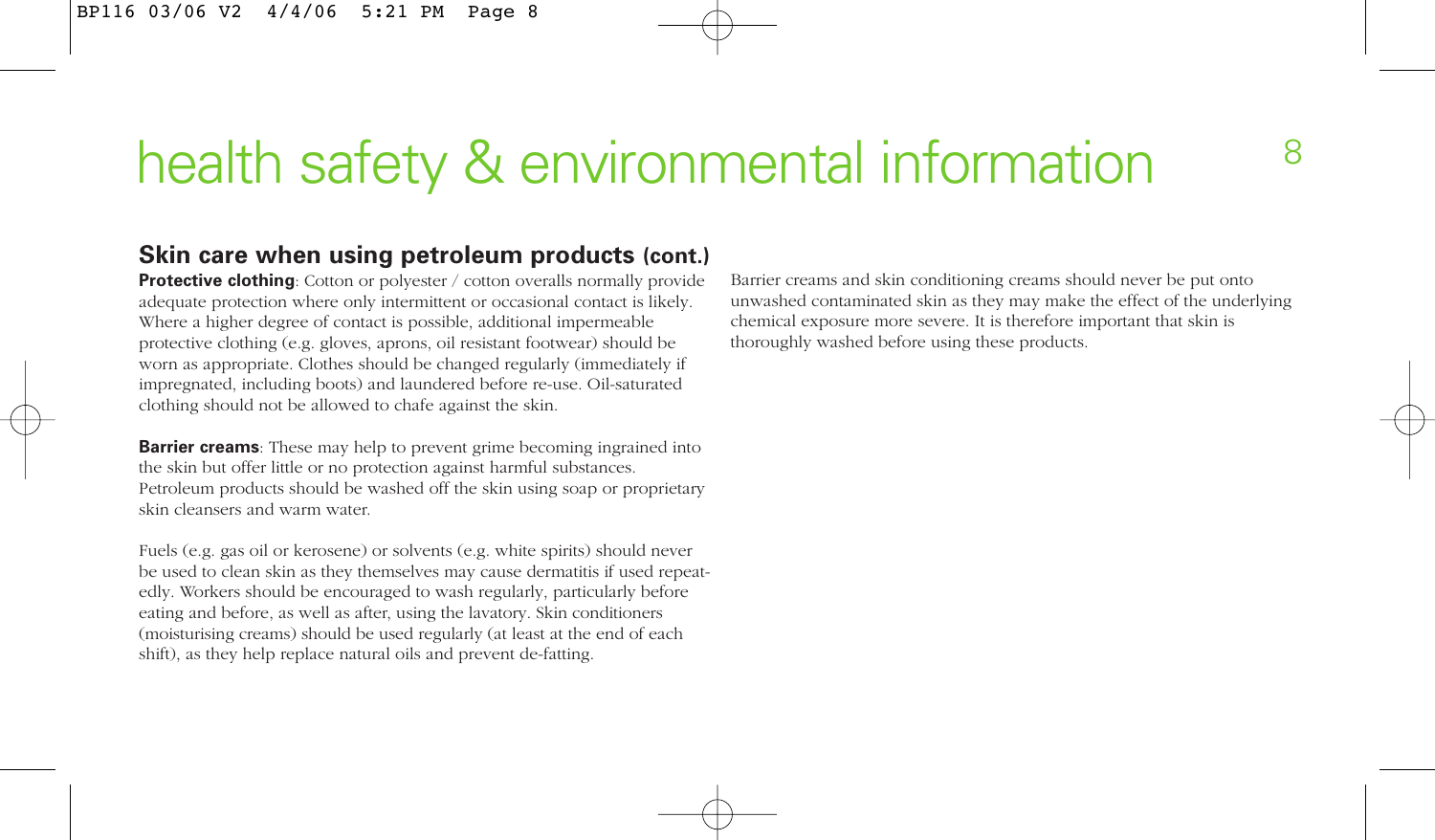# health safety & environmental information  $88$

#### **Skin care when using petroleum products (cont.)**

**Protective clothing**: Cotton or polyester / cotton overalls normally provide adequate protection where only intermittent or occasional contact is likely. Where a higher degree of contact is possible, additional impermeable protective clothing (e.g. gloves, aprons, oil resistant footwear) should be worn as appropriate. Clothes should be changed regularly (immediately if impregnated, including boots) and laundered before re-use. Oil-saturated clothing should not be allowed to chafe against the skin.

**Barrier creams**: These may help to prevent grime becoming ingrained into the skin but offer little or no protection against harmful substances. Petroleum products should be washed off the skin using soap or proprietary skin cleansers and warm water.

Fuels (e.g. gas oil or kerosene) or solvents (e.g. white spirits) should never be used to clean skin as they themselves may cause dermatitis if used repeatedly. Workers should be encouraged to wash regularly, particularly before eating and before, as well as after, using the lavatory. Skin conditioners (moisturising creams) should be used regularly (at least at the end of each shift), as they help replace natural oils and prevent de-fatting.

Barrier creams and skin conditioning creams should never be put onto unwashed contaminated skin as they may make the effect of the underlying chemical exposure more severe. It is therefore important that skin is thoroughly washed before using these products.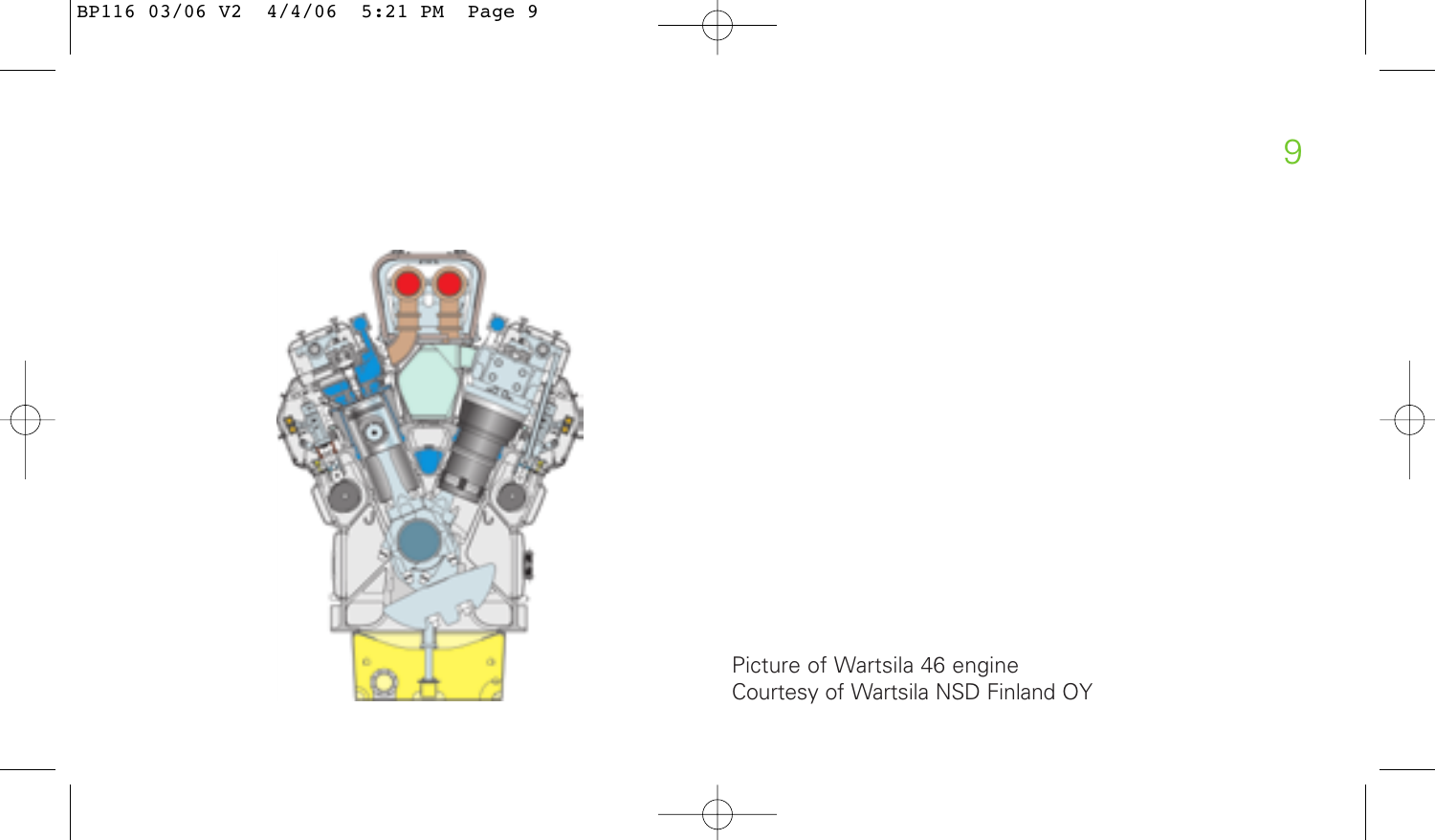

Picture of Wartsila 46 engine Courtesy of Wartsila NSD Finland OY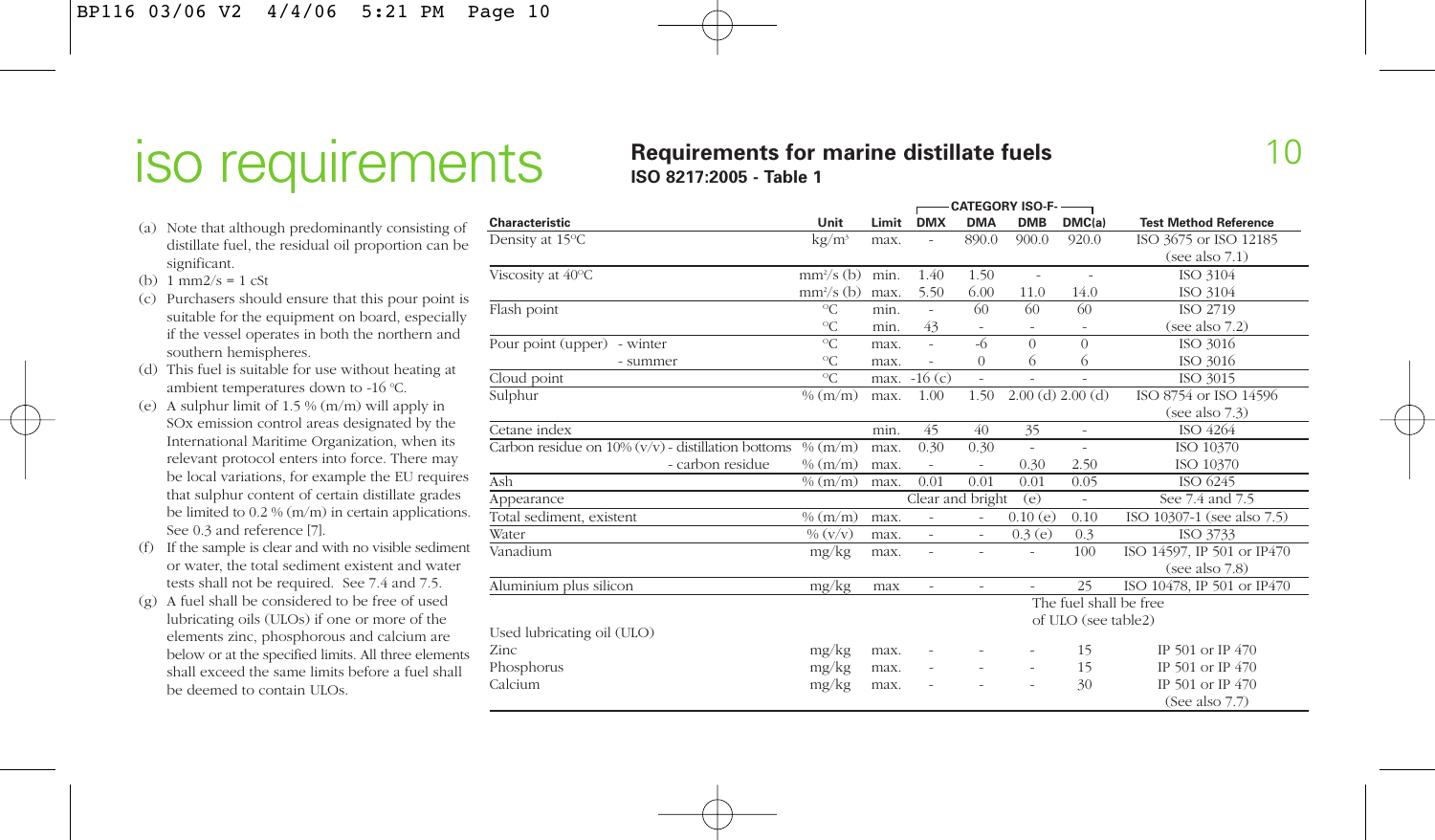## iso requirements

#### **Requirements for marine distillate fuels ISO 8217:2005 - Table 1**

- (a) Note that although predominantly consisting of distillate fuel, the residual oil proportion can be significant.
- (b)  $1 \text{ mm}^2/\text{s} = 1 \text{ cSt}$
- (c) Purchasers should ensure that this pour point is suitable for the equipment on board, especially if the vessel operates in both the northern and southern hemispheres.
- (d) This fuel is suitable for use without heating at ambient temperatures down to -16 °C.
- (e) A sulphur limit of 1.5 % (m/m) will apply in SOx emission control areas designated by the International Maritime Organization, when its relevant protocol enters into force. There may be local variations, for example the EU requires that sulphur content of certain distillate grades be limited to 0.2 % (m/m) in certain applications. See 0.3 and reference [7].
- (f) If the sample is clear and with no visible sediment or water, the total sediment existent and water tests shall not be required. See 7.4 and 7.5.
- (g) A fuel shall be considered to be free of used lubricating oils (ULOs) if one or more of the elements zinc, phosphorous and calcium are below or at the specified limits. All three elements shall exceed the same limits before a fuel shall be deemed to contain ULOs.

|                                                                  |                   |       |                          | - CAIEGORY ISO-F- ———    |                          |                          |                              |  |
|------------------------------------------------------------------|-------------------|-------|--------------------------|--------------------------|--------------------------|--------------------------|------------------------------|--|
| Characteristic                                                   | Unit              | Limit | <b>DMX</b>               | <b>DMA</b>               | <b>DMB</b>               | DMC(a)                   | <b>Test Method Reference</b> |  |
| Density at 15°C                                                  | kg/m <sup>3</sup> | max.  |                          | 890.0                    | 900.0                    | 920.0                    | ISO 3675 or ISO 12185        |  |
|                                                                  |                   |       |                          |                          |                          |                          | (see also 7.1)               |  |
| Viscosity at 40°C                                                | $mm2/s$ (b)       | min.  | 1.40                     | 1.50                     | $\overline{\phantom{a}}$ | $\overline{a}$           | ISO 3104                     |  |
|                                                                  | $mm2/s$ (b)       | max.  | 5.50                     | 6.00                     | 11.0                     | 14.0                     | ISO 3104                     |  |
| Flash point                                                      | ${}^{\circ}C$     | min.  | $\sim$                   | 60                       | 60                       | 60                       | ISO 2719                     |  |
|                                                                  | $^{\circ}C$       | min.  | 43                       |                          |                          | $\overline{\phantom{a}}$ | (see also 7.2)               |  |
| Pour point (upper) - winter                                      | $^{\circ}C$       | max.  | ÷,                       | $-6$                     | $\theta$                 | $\theta$                 | ISO 3016                     |  |
| - summer                                                         | ${}^{\circ}C$     | max.  |                          | $\Omega$                 | 6                        | 6                        | ISO 3016                     |  |
| Cloud point                                                      | ${}^{\circ}C$     | max.  | $-16(c)$                 |                          |                          |                          | ISO 3015                     |  |
| Sulphur                                                          | % (m/m)           | max.  | 1.00                     | 1.50                     | $2.00$ (d) $2.00$ (d)    |                          | ISO 8754 or ISO 14596        |  |
|                                                                  |                   |       |                          |                          |                          |                          | (see also $7.3$ )            |  |
| Cetane index                                                     |                   | min.  | 45                       | 40                       | 35                       | $\overline{\phantom{a}}$ | ISO 4264                     |  |
| Carbon residue on $10\%$ (v/v) - distillation bottoms $\%$ (m/m) |                   | max.  | 0.30                     | 0.30                     | ÷,                       | $\overline{a}$           | ISO 10370                    |  |
| - carbon residue                                                 | % (m/m)           | max.  |                          |                          | 0.30                     | 2.50                     | ISO 10370                    |  |
| Ash                                                              | % (m/m)           | max.  | 0.01                     | 0.01                     | 0.01                     | 0.05                     | ISO 6245                     |  |
| Appearance                                                       |                   |       | Clear and bright         |                          | (e)                      | $\overline{\phantom{a}}$ | See 7.4 and 7.5              |  |
| Total sediment, existent                                         | % (m/m)           | max.  | ÷,                       | ÷.                       | 0.10(e)                  | 0.10                     | ISO 10307-1 (see also 7.5)   |  |
| Water                                                            | $\% (v/v)$        | max.  | $\overline{\phantom{a}}$ | $\overline{\phantom{a}}$ | 0.3(e)                   | 0.3                      | ISO 3733                     |  |
| Vanadium                                                         | mg/kg             | max.  |                          |                          | $\overline{\phantom{a}}$ | 100                      | ISO 14597, IP 501 or IP470   |  |
|                                                                  |                   |       |                          |                          |                          |                          | (see also 7.8)               |  |
| Aluminium plus silicon                                           | mg/kg             | max   | ÷.                       |                          |                          | 25                       | ISO 10478, IP 501 or IP470   |  |
|                                                                  |                   |       |                          |                          |                          | The fuel shall be free   |                              |  |
|                                                                  |                   |       |                          |                          |                          | of ULO (see table2)      |                              |  |
| Used lubricating oil (ULO)                                       |                   |       |                          |                          |                          |                          |                              |  |
| Zinc                                                             | mg/kg             | max.  |                          |                          |                          | 15                       | IP 501 or IP 470             |  |
| Phosphorus                                                       | mg/kg             | max.  |                          |                          | ×,                       | 15                       | IP 501 or IP 470             |  |
| Calcium                                                          | mg/kg             | max.  |                          |                          | ٠                        | 30                       | IP 501 or IP 470             |  |
|                                                                  |                   |       |                          |                          |                          |                          | (See also $7.7$ )            |  |

**CATEGORY ISO-F-**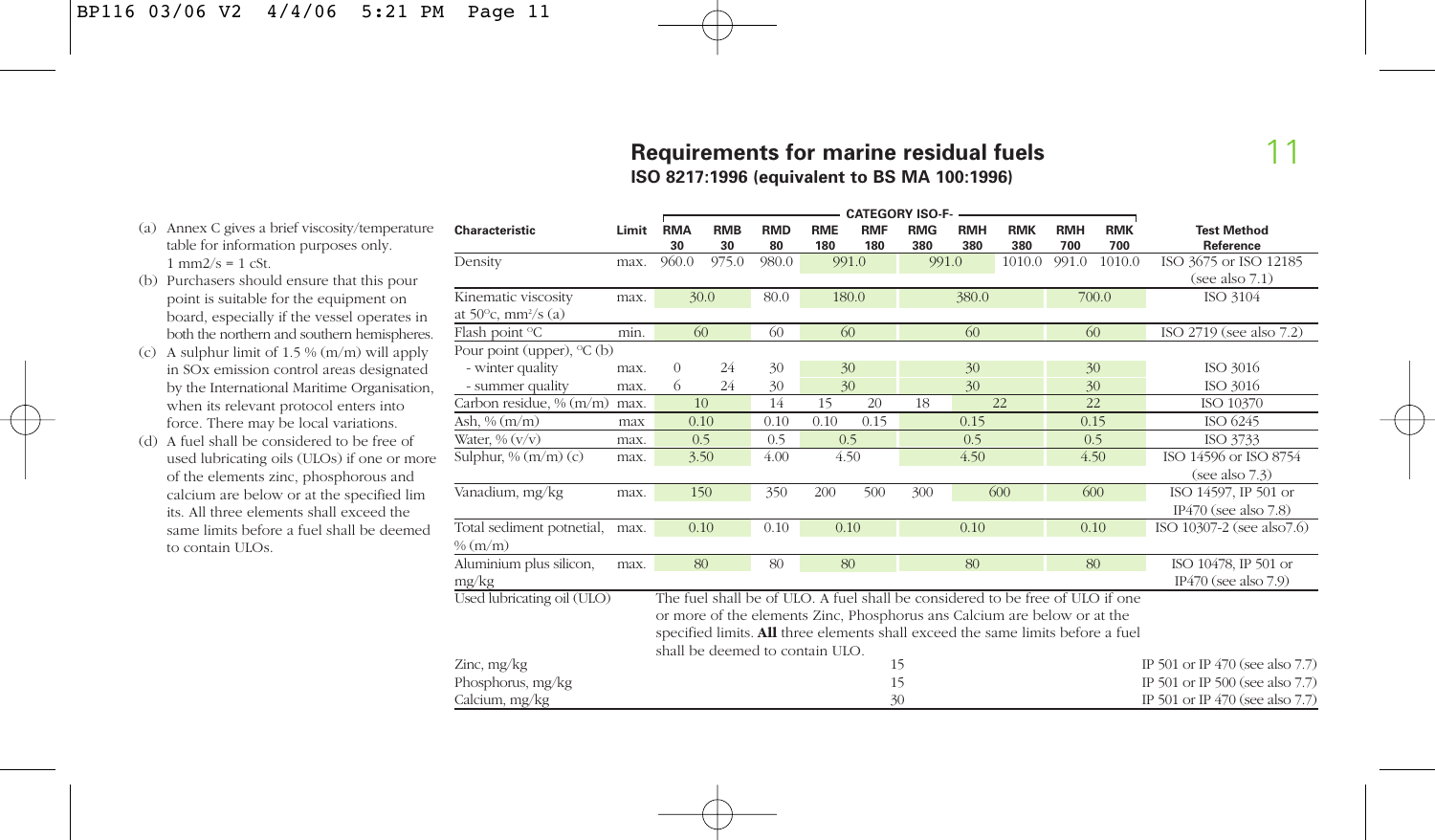#### **Requirements for marine residual fuels ISO 8217:1996 (equivalent to BS MA 100:1996)**

11

- (a) Annex C gives a brief viscosity/temperature table for information purposes only.  $1 \text{ mm}2/s = 1 \text{ cSt}.$
- (b) Purchasers should ensure that this pour point is suitable for the equipment on board, especially if the vessel operates in both the northern and southern hemispheres.
- (c) A sulphur limit of 1.5 % (m/m) will apply in SOx emission control areas designated by the International Maritime Organisation, when its relevant protocol enters into force. There may be local variations.
- (d) A fuel shall be considered to be free of used lubricating oils (ULOs) if one or more of the elements zinc, phosphorous and calcium are below or at the specified lim its. All three elements shall exceed the same limits before a fuel shall be deemed to contain ULOs.

| <b>CATEGORY ISO-F-</b>                    |       |                  |                  |                                 |                   |                   |                   |                   |                                                                                 |                   |                   |                                   |
|-------------------------------------------|-------|------------------|------------------|---------------------------------|-------------------|-------------------|-------------------|-------------------|---------------------------------------------------------------------------------|-------------------|-------------------|-----------------------------------|
| <b>Characteristic</b>                     | Limit | <b>RMA</b><br>30 | <b>RMB</b><br>30 | <b>RMD</b><br>80                | <b>RME</b><br>180 | <b>RMF</b><br>180 | <b>RMG</b><br>380 | <b>RMH</b><br>380 | <b>RMK</b><br>380                                                               | <b>RMH</b><br>700 | <b>RMK</b><br>700 | <b>Test Method</b><br>Reference   |
| Density                                   | max.  | 960.0            | 975.0            | 980.0                           |                   | 991.0             |                   | 991.0             | 1010.0                                                                          | 991.0             | 1010.0            | ISO 3675 or ISO 12185             |
|                                           |       |                  |                  |                                 |                   |                   |                   |                   |                                                                                 |                   |                   | (see also 7.1)                    |
| Kinematic viscosity                       | max.  | 30.0             |                  | 80.0                            |                   | 180.0             |                   | 380.0             |                                                                                 |                   | 700.0             | ISO 3104                          |
| at $50^{\circ}$ c, mm <sup>2</sup> /s (a) |       |                  |                  |                                 |                   |                   |                   |                   |                                                                                 |                   |                   |                                   |
| Flash point °C                            | min.  | 60               |                  | 60                              | 60                |                   |                   | 60                |                                                                                 | 60                |                   | ISO 2719 (see also 7.2)           |
| Pour point (upper), $\mathrm{C}$ (b)      |       |                  |                  |                                 |                   |                   |                   |                   |                                                                                 |                   |                   |                                   |
| - winter quality                          | max.  | 0                | 24               | 30                              | 30                |                   |                   | 30                |                                                                                 |                   | 30                | ISO 3016                          |
| - summer quality                          | max.  | 6                | 24               | 30                              |                   | 30                |                   | 30                |                                                                                 |                   | 30                | ISO 3016                          |
| Carbon residue, % (m/m)                   | max.  | 10               |                  | 14                              | 15                | 20                | 18                |                   | 22                                                                              | 22                |                   | ISO 10370                         |
| Ash, % $(m/m)$                            | max   | 0.10             |                  | 0.10                            | 0.10              | 0.15              |                   | 0.15              |                                                                                 | 0.15              |                   | ISO 6245                          |
| Water, $\%$ $(v/v)$                       | max.  | 0.5              |                  | 0.5                             | 0.5               |                   |                   | 0.5               |                                                                                 | 0.5               |                   | ISO 3733                          |
| Sulphur, $% (m/m) (c)$                    | max.  | 3.50             |                  | 4.00                            | 4.50              |                   |                   | 4.50              |                                                                                 | 4.50              |                   | ISO 14596 or ISO 8754             |
|                                           |       |                  |                  |                                 |                   |                   |                   |                   |                                                                                 |                   |                   | (see also 7.3)                    |
| Vanadium, mg/kg                           | max.  | 150              |                  | 350                             | 200               | 500               | 300               |                   | 600                                                                             | 600               |                   | ISO 14597, IP 501 or              |
|                                           |       |                  |                  |                                 |                   |                   |                   |                   |                                                                                 |                   |                   | IP $470$ (see also $7.8$ )        |
| Total sediment potnetial,                 | max.  | 0.10             |                  | 0.10                            | 0.10              |                   |                   | 0.10              |                                                                                 | 0.10              |                   | ISO 10307-2 (see also7.6)         |
| % (m/m)                                   |       |                  |                  |                                 |                   |                   |                   |                   |                                                                                 |                   |                   |                                   |
| Aluminium plus silicon,                   | max.  | 80               |                  | 80                              | 80                |                   |                   | 80                |                                                                                 | 80                |                   | ISO 10478, IP 501 or              |
| mg/kg                                     |       |                  |                  |                                 |                   |                   |                   |                   |                                                                                 |                   |                   | IP470 (see also $7.9$ )           |
| Used lubricating oil (ULO)                |       |                  |                  |                                 |                   |                   |                   |                   | The fuel shall be of ULO. A fuel shall be considered to be free of ULO if one   |                   |                   |                                   |
|                                           |       |                  |                  |                                 |                   |                   |                   |                   | or more of the elements Zinc, Phosphorus ans Calcium are below or at the        |                   |                   |                                   |
|                                           |       |                  |                  |                                 |                   |                   |                   |                   | specified limits. All three elements shall exceed the same limits before a fuel |                   |                   |                                   |
|                                           |       |                  |                  | shall be deemed to contain ULO. |                   |                   |                   |                   |                                                                                 |                   |                   |                                   |
| Zinc, mg/kg                               |       |                  |                  |                                 |                   |                   | 15                |                   |                                                                                 |                   |                   | IP 501 or IP $470$ (see also 7.7) |
| Phosphorus, mg/kg                         |       |                  |                  |                                 |                   |                   | 15                |                   |                                                                                 |                   |                   | IP 501 or IP 500 (see also 7.7)   |
| Calcium, mg/kg                            |       |                  |                  |                                 |                   |                   | 30                |                   |                                                                                 |                   |                   | IP 501 or IP 470 (see also 7.7)   |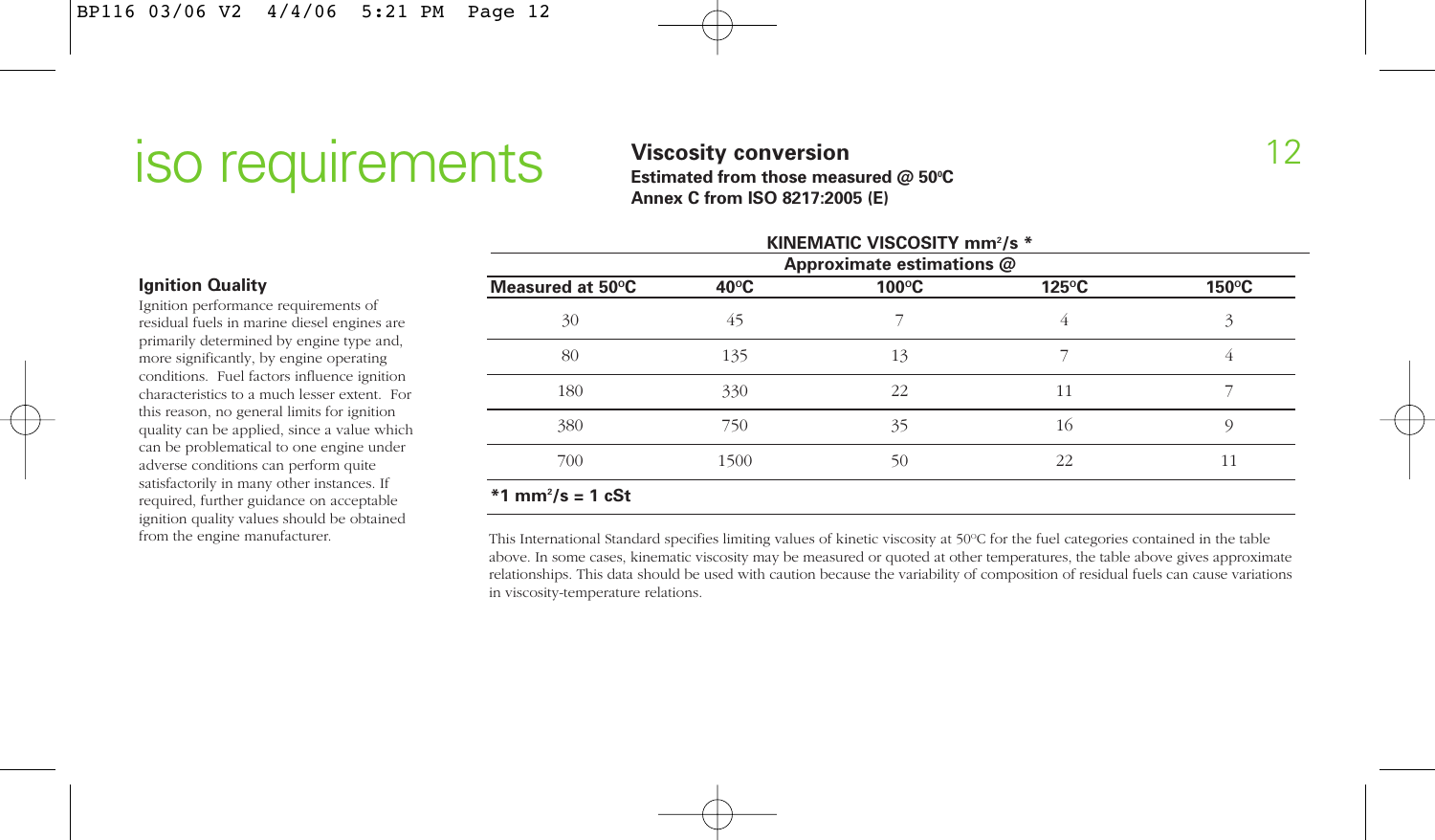## **ISO LEQUIFEMENTS** Viscosity conversion **Subsequed** C 50°C<br>
Estimated from those measured @ 50°C

**Viscosity conversion** Estimated from those measured @ 50°C **Annex C from ISO 8217:2005 (E)**

| KINEMATIC VISCOSITY mm <sup>2</sup> /s *<br>Approximate estimations @ |                |                 |                 |       |
|-----------------------------------------------------------------------|----------------|-----------------|-----------------|-------|
| Measured at 50°C                                                      | $40^{\circ}$ C | $100^{\circ}$ C | $125^{\circ}$ C | 150°C |
| 30                                                                    | 45             |                 | 4               | 3     |
| 80                                                                    | 135            | 13              |                 |       |
| 180                                                                   | 330            | 22              | 11              |       |
| 380                                                                   | 750            | 35              | 16              | O)    |
| 700                                                                   | 1500           | 50              | 22              | 11    |
| $*1$ mm <sup>2</sup> /s = 1 cSt                                       |                |                 |                 |       |

#### This International Standard specifies limiting values of kinetic viscosity at 50°C for the fuel categories contained in the table above. In some cases, kinematic viscosity may be measured or quoted at other temperatures, the table above gives approximate relationships. This data should be used with caution because the variability of composition of residual fuels can cause variations in viscosity-temperature relations.

#### **Ignition Quality**

Ignition performance requirements of residual fuels in marine diesel engines are primarily determined by engine type and, more significantly, by engine operating conditions. Fuel factors influence ignition characteristics to a much lesser extent. For this reason, no general limits for ignition quality can be applied, since a value which can be problematical to one engine under adverse conditions can perform quite satisfactorily in many other instances. If required, further guidance on acceptable ignition quality values should be obtained from the engine manufacturer.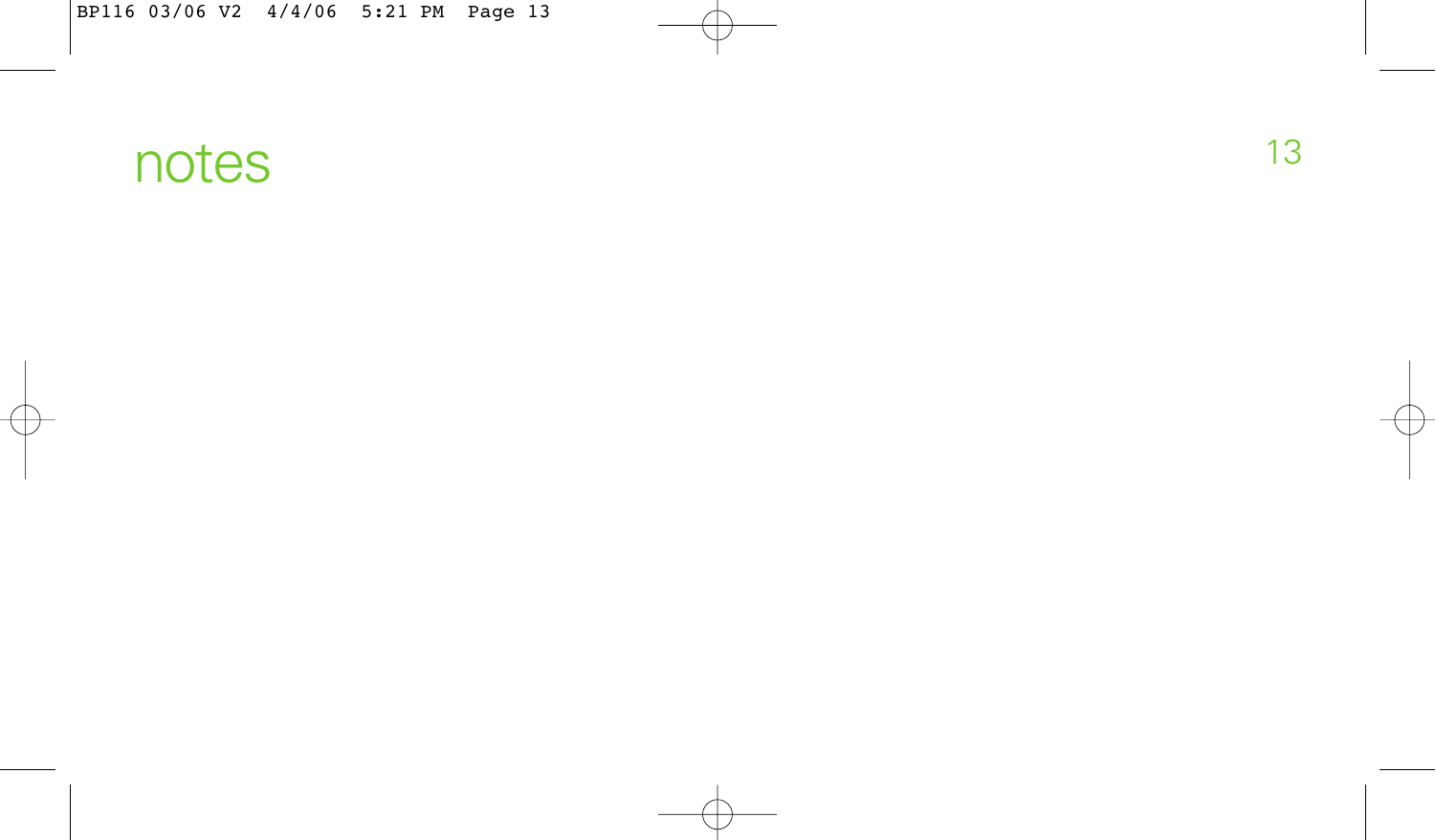## notes and the contract of the contract of the contract of the contract of the contract of the contract of the contract of the contract of the contract of the contract of the contract of the contract of the contract of the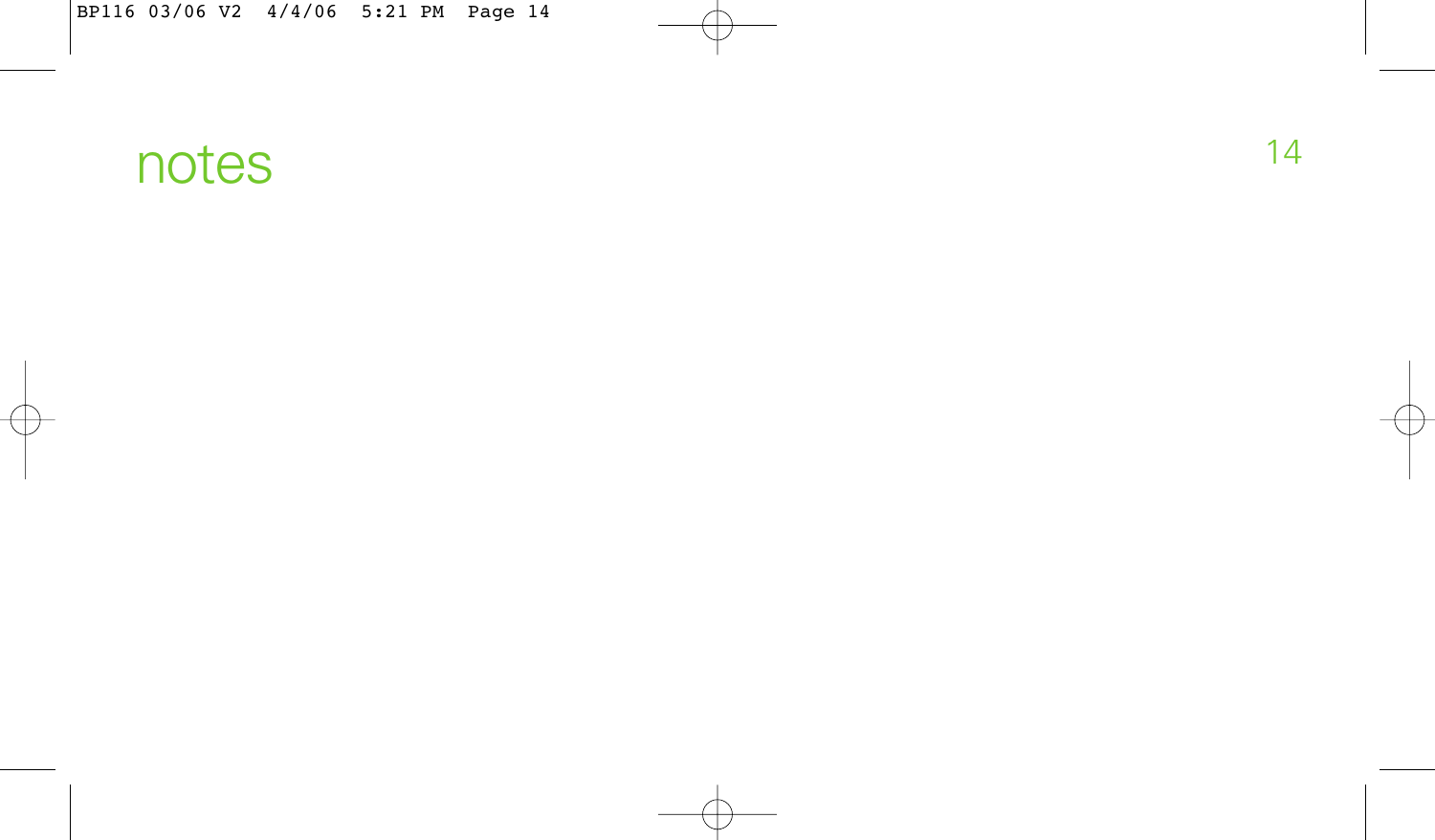## notes and the set of the set of the set of the set of the set of the set of the set of the set of the set of the set of the set of the set of the set of the set of the set of the set of the set of the set of the set of the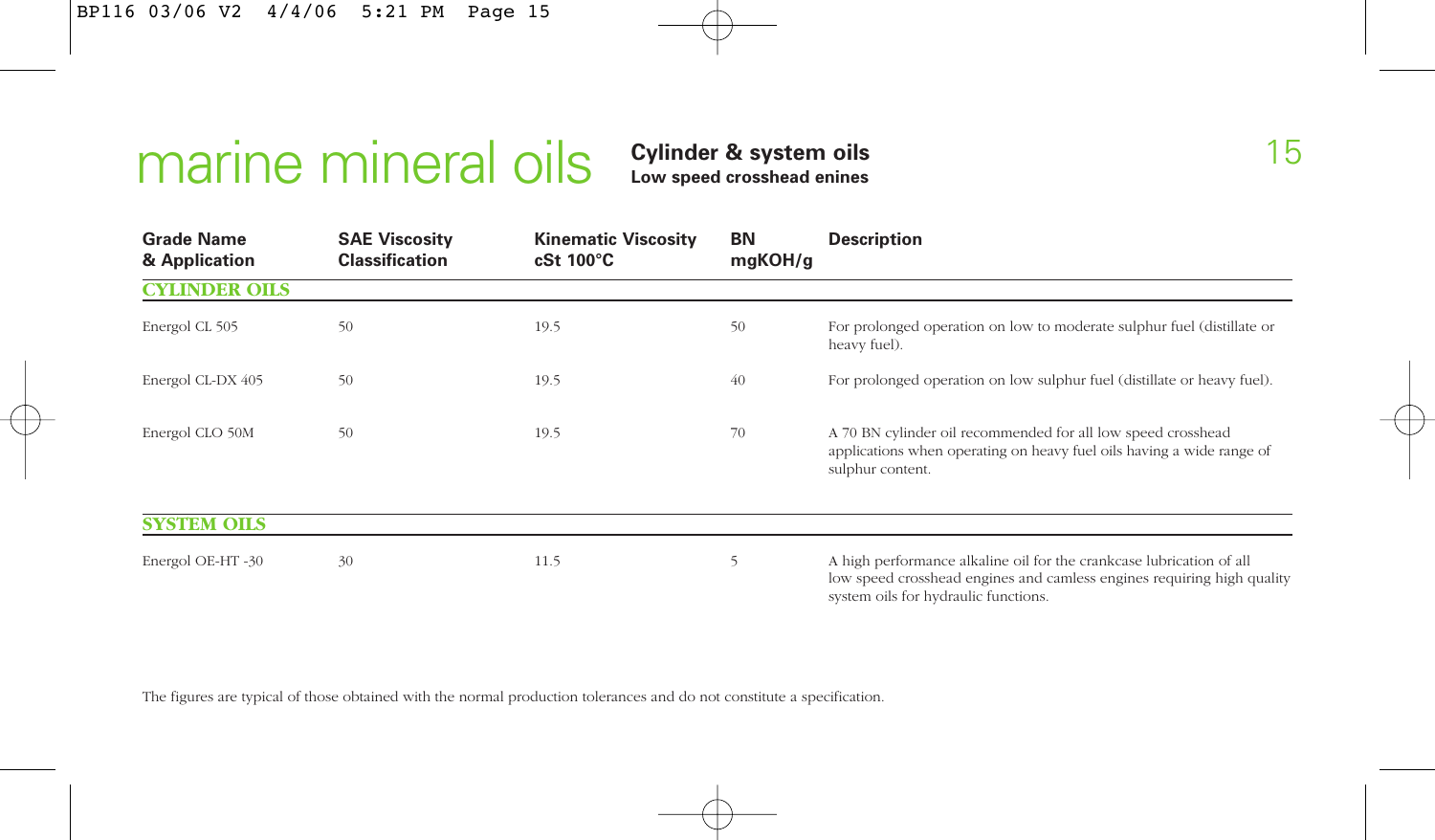## marine mineral oils **Cylinder & system oils Low speed crosshead enines**

| <b>Grade Name</b><br>& Application | <b>SAE Viscosity</b><br><b>Classification</b> | <b>Kinematic Viscosity</b><br>$cSt 100^{\circ}C$ | BN<br>mgKOH/g | <b>Description</b>                                                                                                                                                                     |
|------------------------------------|-----------------------------------------------|--------------------------------------------------|---------------|----------------------------------------------------------------------------------------------------------------------------------------------------------------------------------------|
| <b>CYLINDER OILS</b>               |                                               |                                                  |               |                                                                                                                                                                                        |
| Energol CL 505                     | 50                                            | 19.5                                             | 50            | For prolonged operation on low to moderate sulphur fuel (distillate or<br>heavy fuel).                                                                                                 |
| Energol CL-DX 405                  | 50                                            | 19.5                                             | 40            | For prolonged operation on low sulphur fuel (distillate or heavy fuel).                                                                                                                |
| Energol CLO 50M                    | 50                                            | 19.5                                             | 70            | A 70 BN cylinder oil recommended for all low speed crosshead<br>applications when operating on heavy fuel oils having a wide range of<br>sulphur content.                              |
| <b>SYSTEM OILS</b>                 |                                               |                                                  |               |                                                                                                                                                                                        |
| Energol OE-HT-30                   | 30                                            | 11.5                                             | 5             | A high performance alkaline oil for the crankcase lubrication of all<br>low speed crosshead engines and camless engines requiring high quality<br>system oils for hydraulic functions. |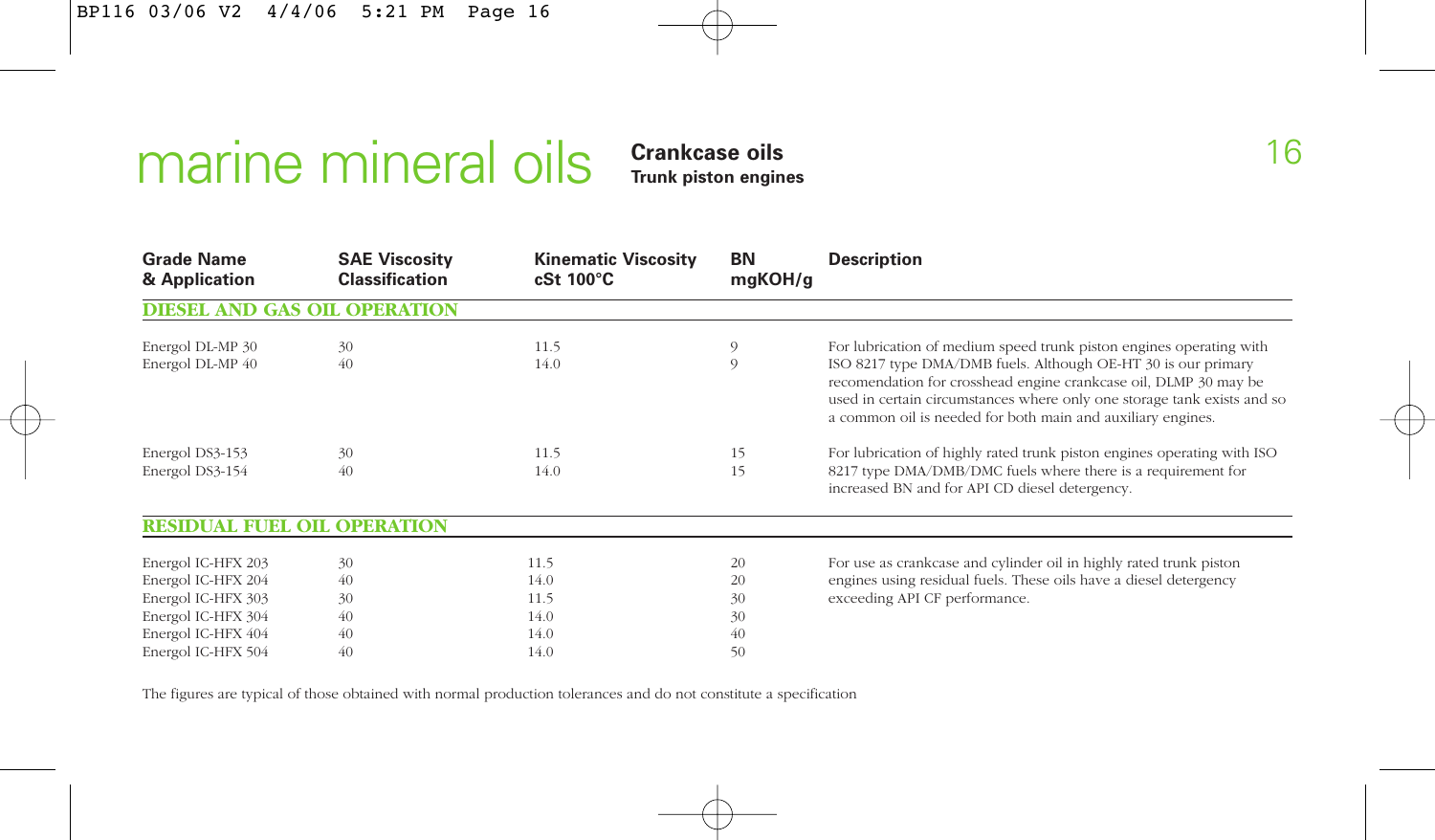# marine mineral oils **Crankcase oils Trunk piston engines**

| <b>Grade Name</b><br>& Application  | <b>SAE Viscosity</b><br><b>Classification</b> | <b>Kinematic Viscosity</b><br>$cSt 100^{\circ}C$ | BN<br>mgKOH/g | <b>Description</b>                                                                                                                                                                                                                                                          |
|-------------------------------------|-----------------------------------------------|--------------------------------------------------|---------------|-----------------------------------------------------------------------------------------------------------------------------------------------------------------------------------------------------------------------------------------------------------------------------|
| <b>DIESEL AND GAS OIL OPERATION</b> |                                               |                                                  |               |                                                                                                                                                                                                                                                                             |
| Energol DL-MP 30                    | 30                                            | 11.5                                             | 9             | For lubrication of medium speed trunk piston engines operating with                                                                                                                                                                                                         |
| Energol DL-MP 40                    | 40                                            | 14.0                                             | 9             | ISO 8217 type DMA/DMB fuels. Although OE-HT 30 is our primary<br>recomendation for crosshead engine crankcase oil, DLMP 30 may be<br>used in certain circumstances where only one storage tank exists and so<br>a common oil is needed for both main and auxiliary engines. |
| Energol DS3-153                     | 30                                            | 11.5                                             | 15            | For lubrication of highly rated trunk piston engines operating with ISO                                                                                                                                                                                                     |
| Energol DS3-154                     | 40                                            | 14.0                                             | 15            | 8217 type DMA/DMB/DMC fuels where there is a requirement for<br>increased BN and for API CD diesel detergency.                                                                                                                                                              |
| <b>RESIDUAL FUEL OIL OPERATION</b>  |                                               |                                                  |               |                                                                                                                                                                                                                                                                             |
| Energol IC-HFX 203                  | 30                                            | 11.5                                             | 20            | For use as crankcase and cylinder oil in highly rated trunk piston                                                                                                                                                                                                          |
| Energol IC-HFX 204                  | 40                                            | 14.0                                             | 20            | engines using residual fuels. These oils have a diesel detergency                                                                                                                                                                                                           |
| Energol IC-HFX 303                  | 30                                            | 11.5                                             | 30            | exceeding API CF performance.                                                                                                                                                                                                                                               |
| Energol IC-HFX 304                  | 40                                            | 14.0                                             | 30            |                                                                                                                                                                                                                                                                             |
| Energol IC-HFX 404                  | 40                                            | 14.0                                             | 40            |                                                                                                                                                                                                                                                                             |
| Energol IC-HFX 504                  | 40                                            | 14.0                                             | 50            |                                                                                                                                                                                                                                                                             |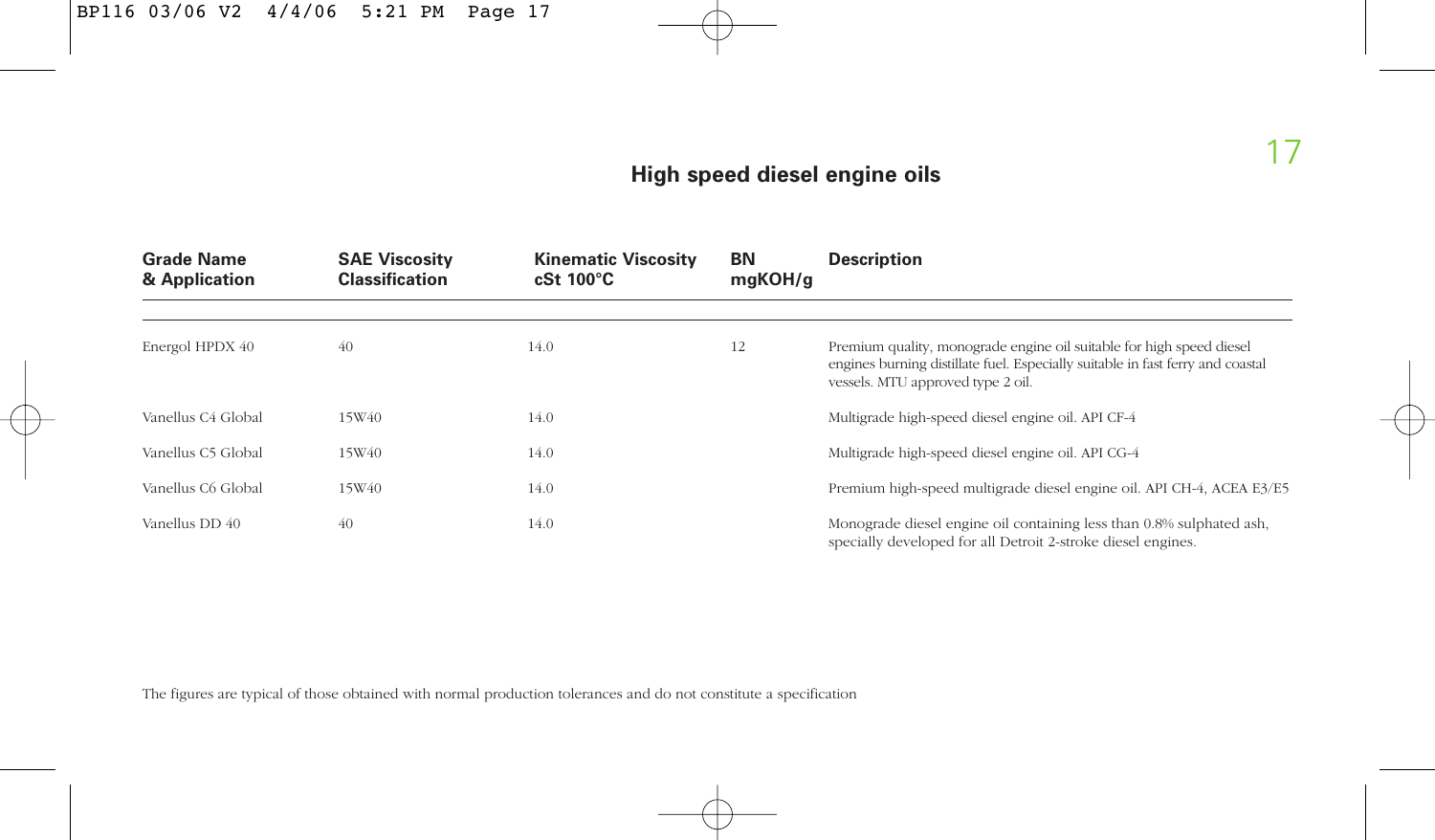#### **High speed diesel engine oils**

| <b>Grade Name</b><br>& Application | <b>SAE Viscosity</b><br><b>Classification</b> | <b>Kinematic Viscosity</b><br>$cSt 100^{\circ}C$ | ΒN<br>maKOH/a | <b>Description</b>                                                                                                                                                                          |
|------------------------------------|-----------------------------------------------|--------------------------------------------------|---------------|---------------------------------------------------------------------------------------------------------------------------------------------------------------------------------------------|
| Energol HPDX 40                    | 40                                            | 14.0                                             | 12            | Premium quality, monograde engine oil suitable for high speed diesel<br>engines burning distillate fuel. Especially suitable in fast ferry and coastal<br>vessels. MTU approved type 2 oil. |
| Vanellus C4 Global                 | 15W40                                         | 14.0                                             |               | Multigrade high-speed diesel engine oil. API CF-4                                                                                                                                           |
| Vanellus C5 Global                 | 15W40                                         | 14.0                                             |               | Multigrade high-speed diesel engine oil. API CG-4                                                                                                                                           |
| Vanellus C6 Global                 | 15W40                                         | 14.0                                             |               | Premium high-speed multigrade diesel engine oil. API CH-4, ACEA E3/E5                                                                                                                       |
| Vanellus DD 40                     | 40                                            | 14.0                                             |               | Monograde diesel engine oil containing less than 0.8% sulphated ash,<br>specially developed for all Detroit 2-stroke diesel engines.                                                        |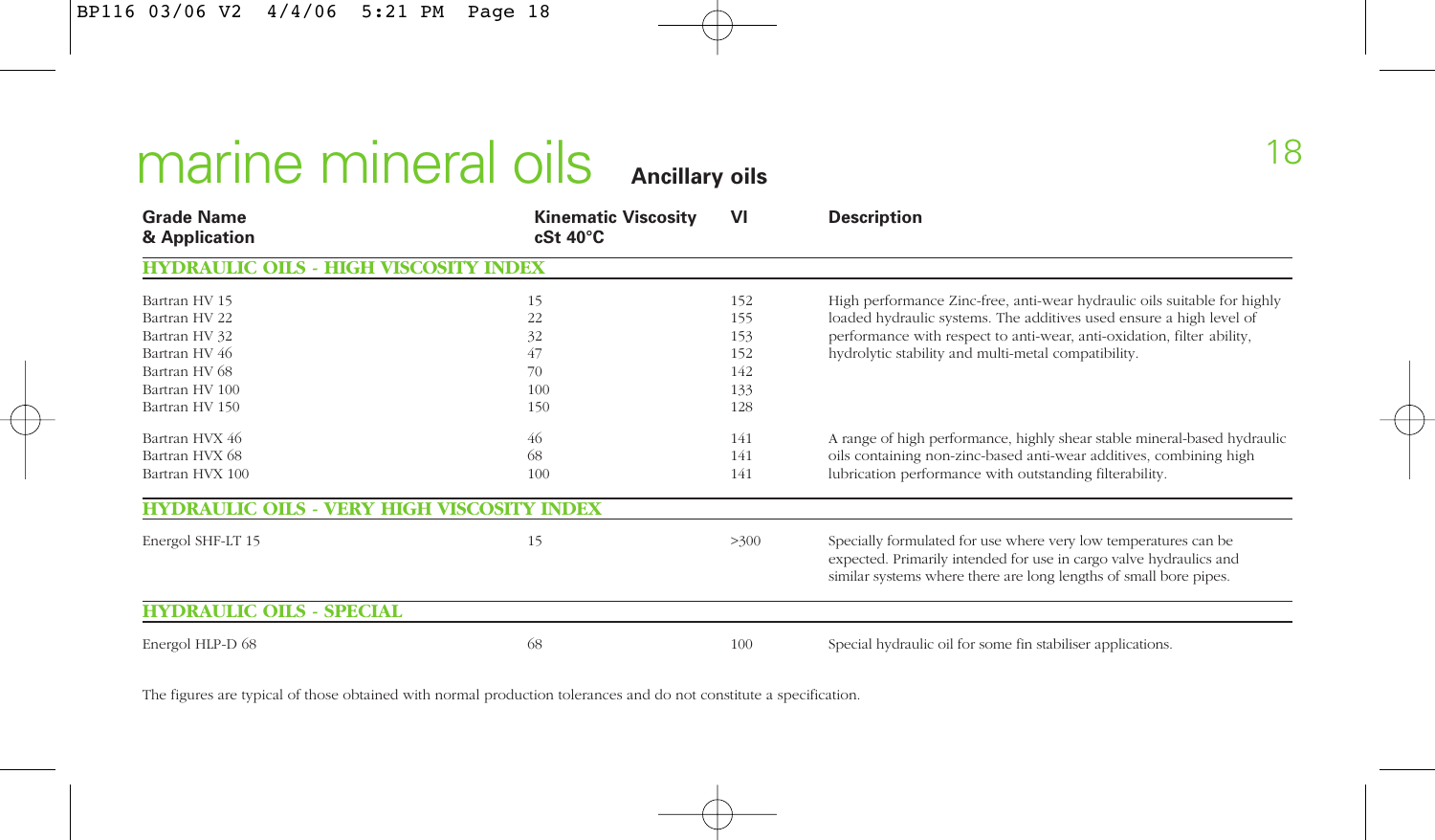# marine mineral oils **Ancillary oils**

| <b>Grade Name</b><br>& Application                                           | <b>Kinematic Viscosity</b><br>$cSt 40^{\circ}C$ | VI   | <b>Description</b>                                                                                                                                                                                         |
|------------------------------------------------------------------------------|-------------------------------------------------|------|------------------------------------------------------------------------------------------------------------------------------------------------------------------------------------------------------------|
| <b>HYDRAULIC</b><br><b>OILS</b><br>- HIGH<br><b>VISCOSIT</b><br><b>INDEX</b> |                                                 |      |                                                                                                                                                                                                            |
| Bartran HV 15                                                                | 15                                              | 152  | High performance Zinc-free, anti-wear hydraulic oils suitable for highly                                                                                                                                   |
| Bartran HV 22                                                                | 22                                              | 155  | loaded hydraulic systems. The additives used ensure a high level of                                                                                                                                        |
| Bartran HV 32                                                                | 32                                              | 153  | performance with respect to anti-wear, anti-oxidation, filter ability,                                                                                                                                     |
| Bartran HV 46                                                                | 47                                              | 152  | hydrolytic stability and multi-metal compatibility.                                                                                                                                                        |
| Bartran HV 68                                                                | 70                                              | 142  |                                                                                                                                                                                                            |
| Bartran HV 100                                                               | 100                                             | 133  |                                                                                                                                                                                                            |
| Bartran HV 150                                                               | 150                                             | 128  |                                                                                                                                                                                                            |
| Bartran HVX 46                                                               | 46                                              | 141  | A range of high performance, highly shear stable mineral-based hydraulic                                                                                                                                   |
| Bartran HVX 68                                                               | 68                                              | 141  | oils containing non-zinc-based anti-wear additives, combining high                                                                                                                                         |
| Bartran HVX 100                                                              | 100                                             | 141  | lubrication performance with outstanding filterability.                                                                                                                                                    |
| HYDRAULIC OILS - VERY HIGH VISCOSITY INDEX                                   |                                                 |      |                                                                                                                                                                                                            |
| Energol SHF-LT 15                                                            | 15                                              | >300 | Specially formulated for use where very low temperatures can be<br>expected. Primarily intended for use in cargo valve hydraulics and<br>similar systems where there are long lengths of small bore pipes. |
| <b>HYDRAULIC OILS - SPECIAL</b>                                              |                                                 |      |                                                                                                                                                                                                            |
| Energol HLP-D 68                                                             | 68                                              | 100  | Special hydraulic oil for some fin stabiliser applications.                                                                                                                                                |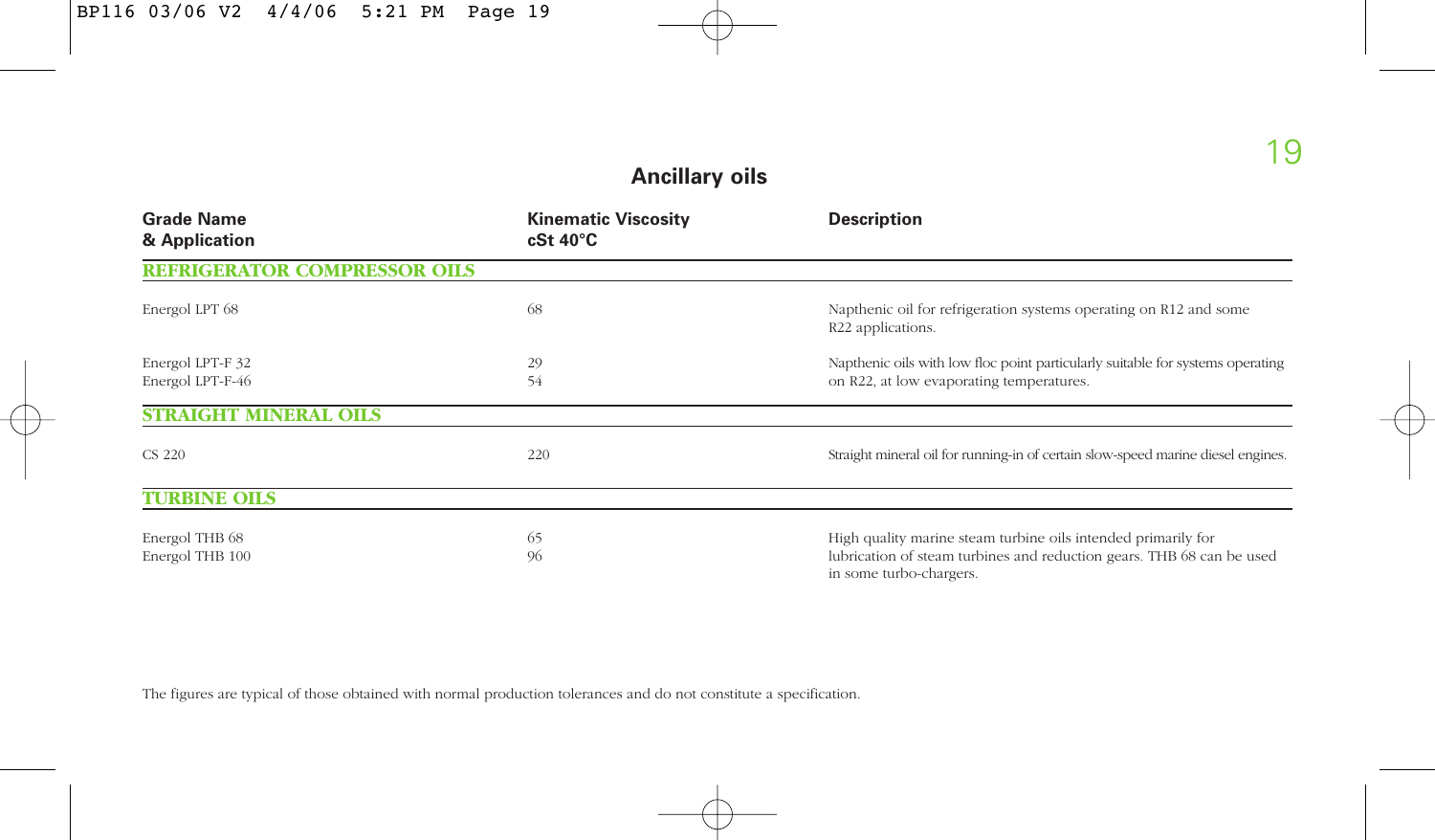#### **Ancillary oils**

| <b>Grade Name</b><br>& Application   | <b>Kinematic Viscosity</b><br>$cSt 40^{\circ}C$ | <b>Description</b>                                                                                                                                                |
|--------------------------------------|-------------------------------------------------|-------------------------------------------------------------------------------------------------------------------------------------------------------------------|
| <b>REFRIGERATOR COMPRESSOR OILS</b>  |                                                 |                                                                                                                                                                   |
| Energol LPT 68                       | 68                                              | Napthenic oil for refrigeration systems operating on R12 and some<br>R22 applications.                                                                            |
| Energol LPT-F 32<br>Energol LPT-F-46 | 29<br>54                                        | Napthenic oils with low floc point particularly suitable for systems operating<br>on R22, at low evaporating temperatures.                                        |
| <b>STRAIGHT MINERAL OILS</b>         |                                                 |                                                                                                                                                                   |
| CS 220                               | 220                                             | Straight mineral oil for running-in of certain slow-speed marine diesel engines.                                                                                  |
| <b>TURBINE OILS</b>                  |                                                 |                                                                                                                                                                   |
| Energol THB 68<br>Energol THB 100    | 65<br>96                                        | High quality marine steam turbine oils intended primarily for<br>lubrication of steam turbines and reduction gears. THB 68 can be used<br>in some turbo-chargers. |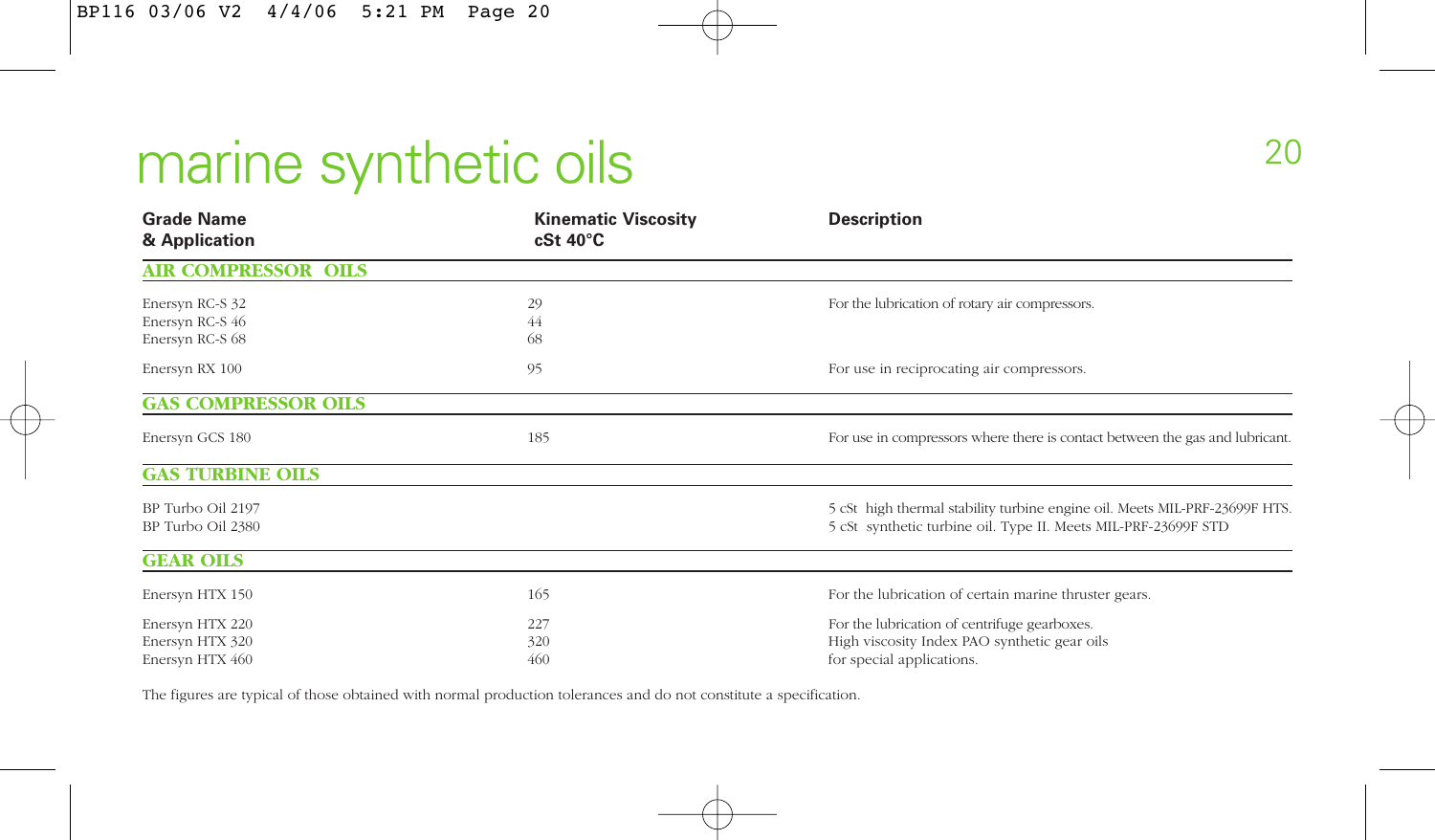## marine synthetic oils

| <b>Grade Name</b><br>& Application                    | <b>Kinematic Viscosity</b><br>$cSt 40^{\circ}C$ | <b>Description</b>                                                                                                                           |
|-------------------------------------------------------|-------------------------------------------------|----------------------------------------------------------------------------------------------------------------------------------------------|
| <b>AIR COMPRESSOR OILS</b>                            |                                                 |                                                                                                                                              |
| Enersyn RC-S 32                                       | 29                                              | For the lubrication of rotary air compressors.                                                                                               |
| Enersyn RC-S 46<br>Enersyn RC-S 68                    | 44<br>68                                        |                                                                                                                                              |
| Enersyn RX 100                                        | 95                                              | For use in reciprocating air compressors.                                                                                                    |
| <b>GAS COMPRESSOR OILS</b>                            |                                                 |                                                                                                                                              |
| Enersyn GCS 180                                       | 185                                             | For use in compressors where there is contact between the gas and lubricant.                                                                 |
| <b>GAS TURBINE OILS</b>                               |                                                 |                                                                                                                                              |
| BP Turbo Oil 2197<br>BP Turbo Oil 2380                |                                                 | 5 cSt high thermal stability turbine engine oil. Meets MIL-PRF-23699F HTS.<br>5 cSt synthetic turbine oil. Type II. Meets MIL-PRF-23699F STD |
| <b>GEAR OILS</b>                                      |                                                 |                                                                                                                                              |
| Enersyn HTX 150                                       | 165                                             | For the lubrication of certain marine thruster gears.                                                                                        |
| Enersyn HTX 220<br>Enersyn HTX 320<br>Enersyn HTX 460 | 227<br>320<br>460                               | For the lubrication of centrifuge gearboxes.<br>High viscosity Index PAO synthetic gear oils<br>for special applications.                    |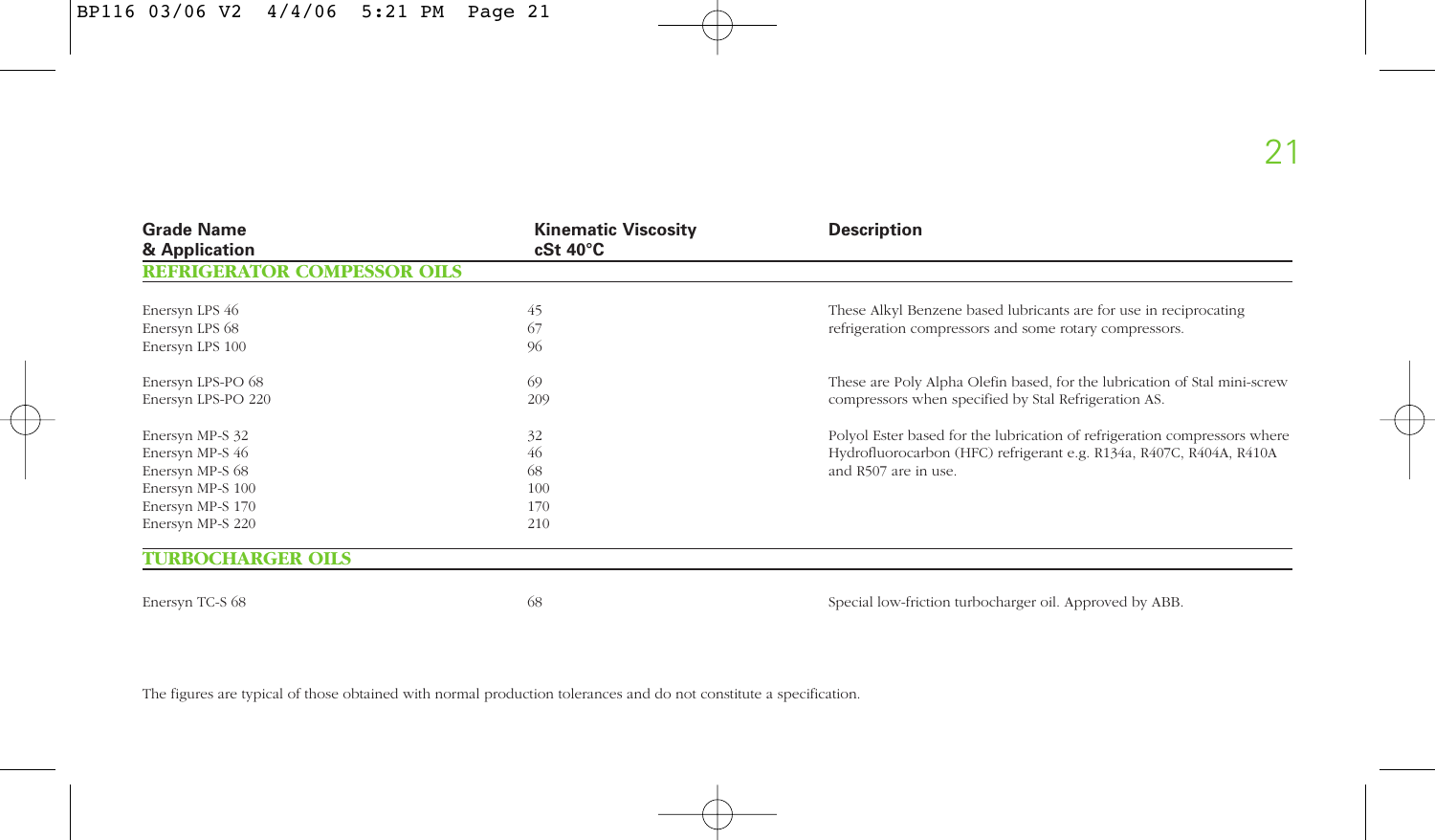| <b>Grade Name</b><br>& Application                                                                                | <b>Kinematic Viscosity</b><br>$cSt 40^{\circ}C$ | <b>Description</b>                                                                                                                                                       |
|-------------------------------------------------------------------------------------------------------------------|-------------------------------------------------|--------------------------------------------------------------------------------------------------------------------------------------------------------------------------|
| <b>REFRIGERATOR COMPESSOR OILS</b>                                                                                |                                                 |                                                                                                                                                                          |
| Enersyn LPS 46<br>Enersyn LPS 68<br>Enersyn LPS 100                                                               | 45<br>67<br>96                                  | These Alkyl Benzene based lubricants are for use in reciprocating<br>refrigeration compressors and some rotary compressors.                                              |
| Enersyn LPS-PO 68<br>Enersyn LPS-PO 220                                                                           | 69<br>209                                       | These are Poly Alpha Olefin based, for the lubrication of Stal mini-screw<br>compressors when specified by Stal Refrigeration AS.                                        |
| Enersyn MP-S 32<br>Enersyn MP-S 46<br>Enersyn MP-S 68<br>Enersyn MP-S 100<br>Enersyn MP-S 170<br>Enersyn MP-S 220 | 32<br>46<br>68<br>100<br>170<br>210             | Polyol Ester based for the lubrication of refrigeration compressors where<br>Hydrofluorocarbon (HFC) refrigerant e.g. R134a, R407C, R404A, R410A<br>and R507 are in use. |
| <b>TURBOCHARGER OILS</b>                                                                                          |                                                 |                                                                                                                                                                          |
| Enersyn TC-S 68                                                                                                   | 68                                              | Special low-friction turbocharger oil. Approved by ABB.                                                                                                                  |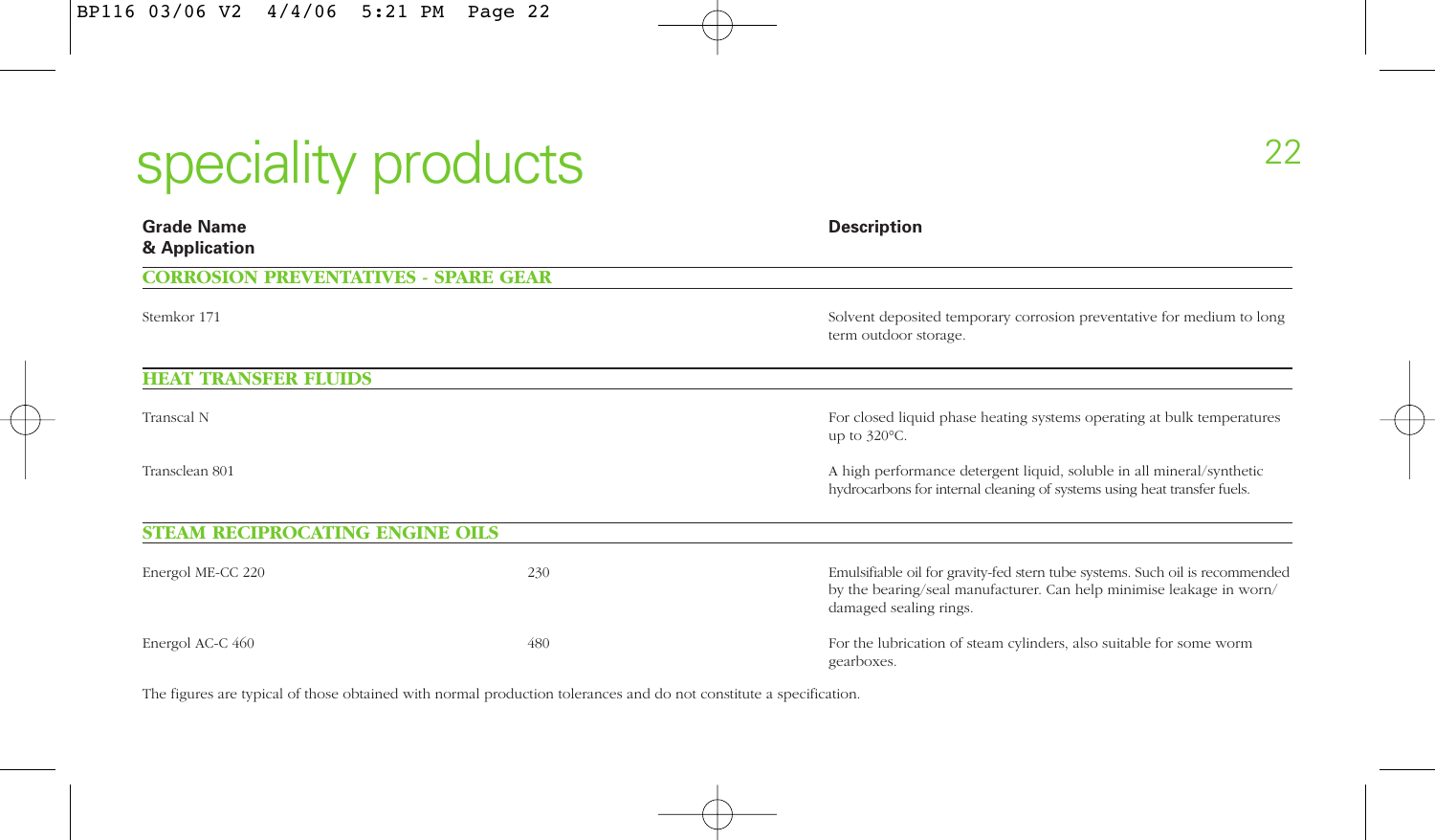# speciality products

| <b>Grade Name</b><br>& Application          |     | <b>Description</b>                                                                                                                                                             |
|---------------------------------------------|-----|--------------------------------------------------------------------------------------------------------------------------------------------------------------------------------|
| <b>CORROSION PREVENTATIVES - SPARE GEAR</b> |     |                                                                                                                                                                                |
| Stemkor 171                                 |     | Solvent deposited temporary corrosion preventative for medium to long<br>term outdoor storage.                                                                                 |
| <b>HEAT TRANSFER FLUIDS</b>                 |     |                                                                                                                                                                                |
| Transcal N                                  |     | For closed liquid phase heating systems operating at bulk temperatures<br>up to $320^{\circ}$ C.                                                                               |
| Transclean 801                              |     | A high performance detergent liquid, soluble in all mineral/synthetic<br>hydrocarbons for internal cleaning of systems using heat transfer fuels.                              |
| <b>STEAM RECIPROCATING ENGINE OILS</b>      |     |                                                                                                                                                                                |
| Energol ME-CC 220                           | 230 | Emulsifiable oil for gravity-fed stern tube systems. Such oil is recommended<br>by the bearing/seal manufacturer. Can help minimise leakage in worn/<br>damaged sealing rings. |
| Energol AC-C 460                            | 480 | For the lubrication of steam cylinders, also suitable for some worm<br>gearboxes.                                                                                              |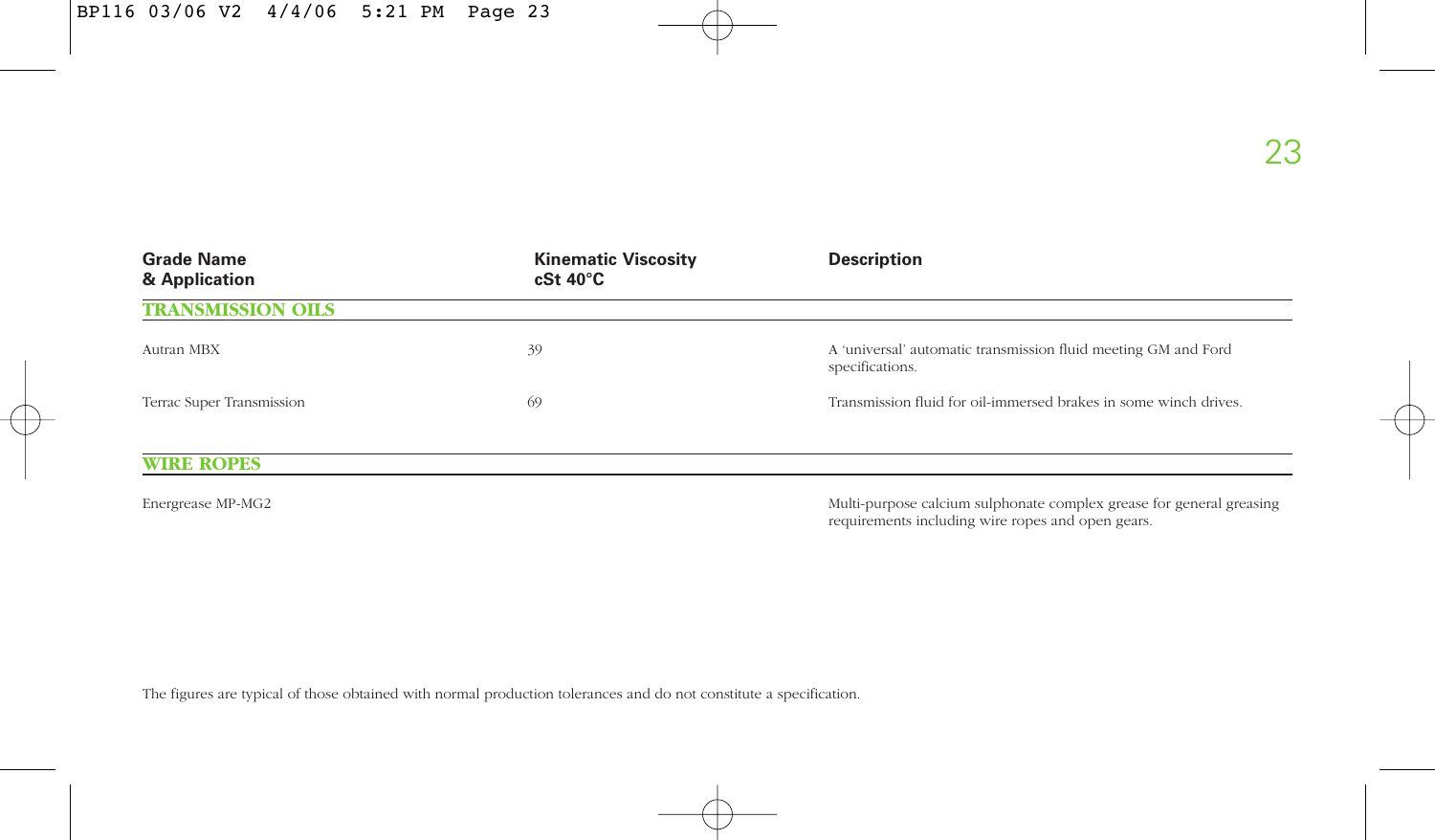| <b>Grade Name</b><br>& Application | <b>Kinematic Viscosity</b><br>$cSt 40^{\circ}C$ | <b>Description</b>                                                                |  |  |  |  |
|------------------------------------|-------------------------------------------------|-----------------------------------------------------------------------------------|--|--|--|--|
| <b>TRANSMISSION OILS</b>           |                                                 |                                                                                   |  |  |  |  |
| Autran MBX                         | 39                                              | A 'universal' automatic transmission fluid meeting GM and Ford<br>specifications. |  |  |  |  |
| Terrac Super Transmission          | 69                                              | Transmission fluid for oil-immersed brakes in some winch drives.                  |  |  |  |  |
| <b>WIRE ROPES</b>                  |                                                 |                                                                                   |  |  |  |  |

Energrease MP-MG2 Multi-purpose calcium sulphonate complex grease for general greasing requirements including wire ropes and open gears.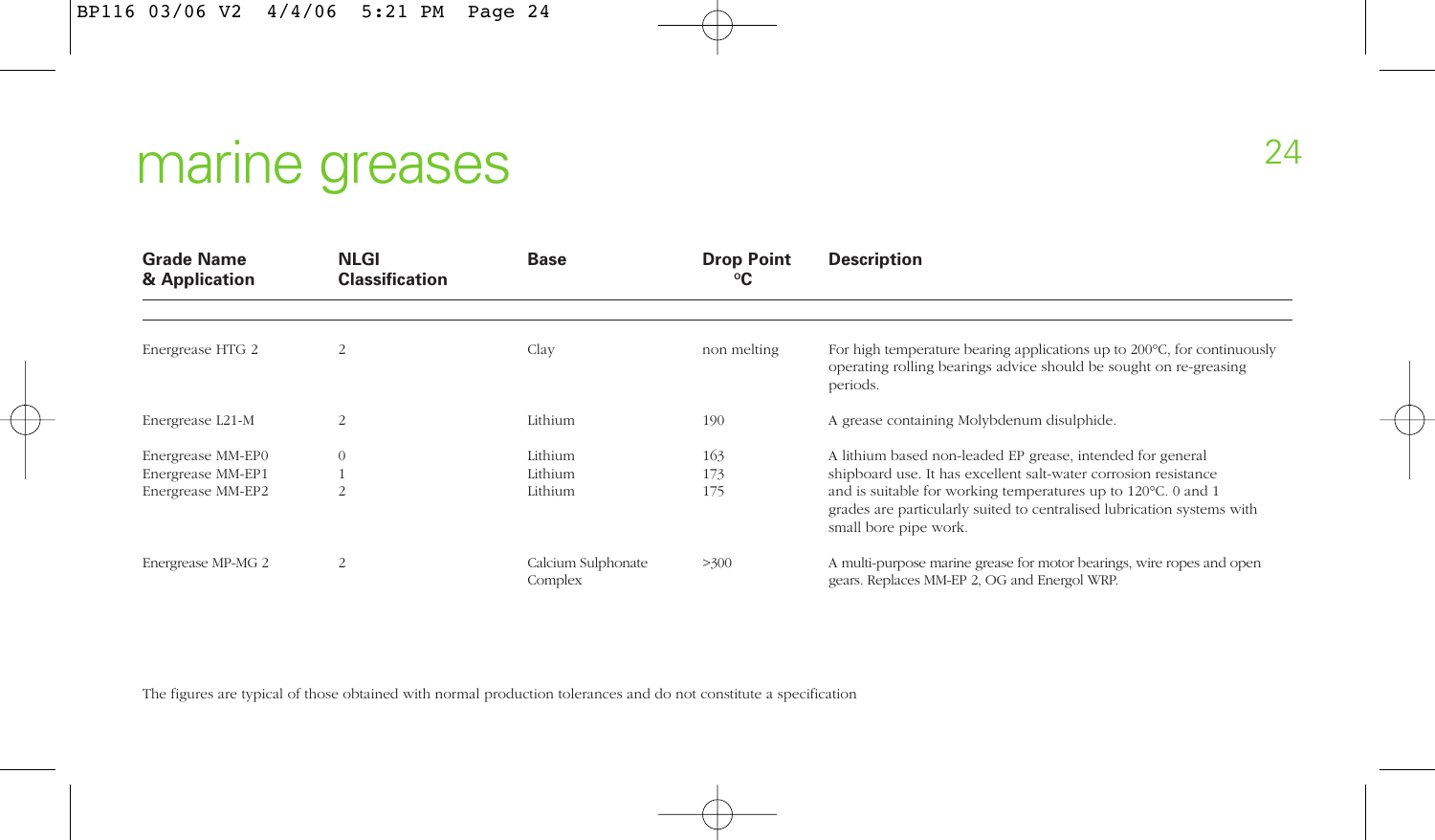# marine greases

| <b>Grade Name</b><br>& Application     | <b>NLGI</b><br><b>Classification</b> | <b>Base</b>                   | <b>Drop Point</b><br>℃ | <b>Description</b>                                                                                                                                                                                                                  |  |  |  |  |
|----------------------------------------|--------------------------------------|-------------------------------|------------------------|-------------------------------------------------------------------------------------------------------------------------------------------------------------------------------------------------------------------------------------|--|--|--|--|
|                                        |                                      |                               |                        |                                                                                                                                                                                                                                     |  |  |  |  |
| Energrease HTG 2                       |                                      | Clay                          | non melting            | For high temperature bearing applications up to 200°C, for continuously<br>operating rolling bearings advice should be sought on re-greasing<br>periods.                                                                            |  |  |  |  |
| Energrease L21-M                       | $\overline{2}$                       | Lithium                       | 190                    | A grease containing Molybdenum disulphide.                                                                                                                                                                                          |  |  |  |  |
| Energrease MM-EP0                      | $\theta$                             | Lithium                       | 163                    | A lithium based non-leaded EP grease, intended for general                                                                                                                                                                          |  |  |  |  |
| Energrease MM-EP1<br>Energrease MM-EP2 |                                      | Lithium<br>Lithium            | 173<br>175             | shipboard use. It has excellent salt-water corrosion resistance<br>and is suitable for working temperatures up to 120°C. 0 and 1<br>grades are particularly suited to centralised lubrication systems with<br>small bore pipe work. |  |  |  |  |
| Energrease MP-MG 2                     | $\overline{2}$                       | Calcium Sulphonate<br>Complex | >300                   | A multi-purpose marine grease for motor bearings, wire ropes and open<br>gears. Replaces MM-EP 2, OG and Energol WRP.                                                                                                               |  |  |  |  |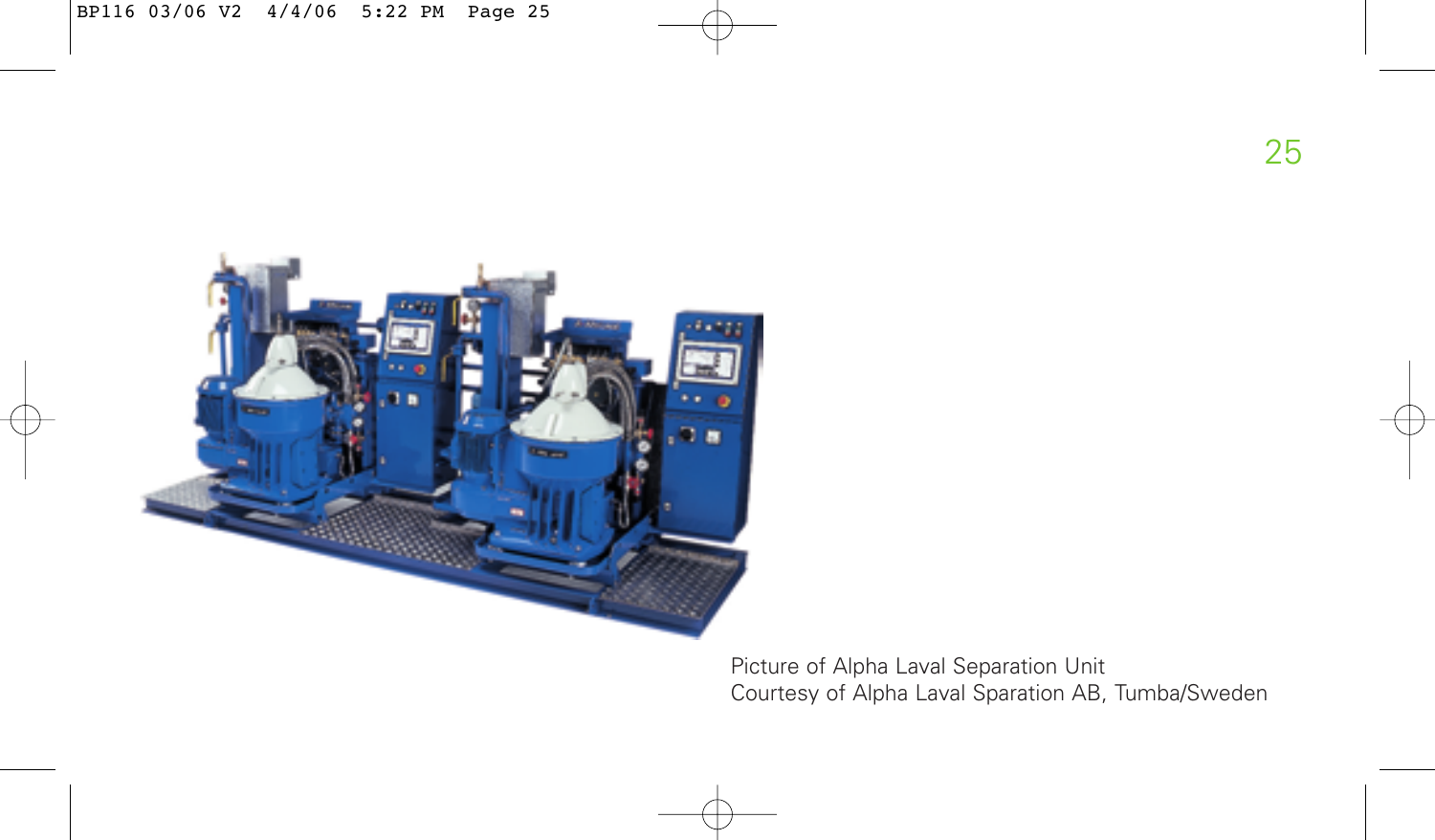

Picture of Alpha Laval Separation Unit Courtesy of Alpha Laval Sparation AB, Tumba/Sweden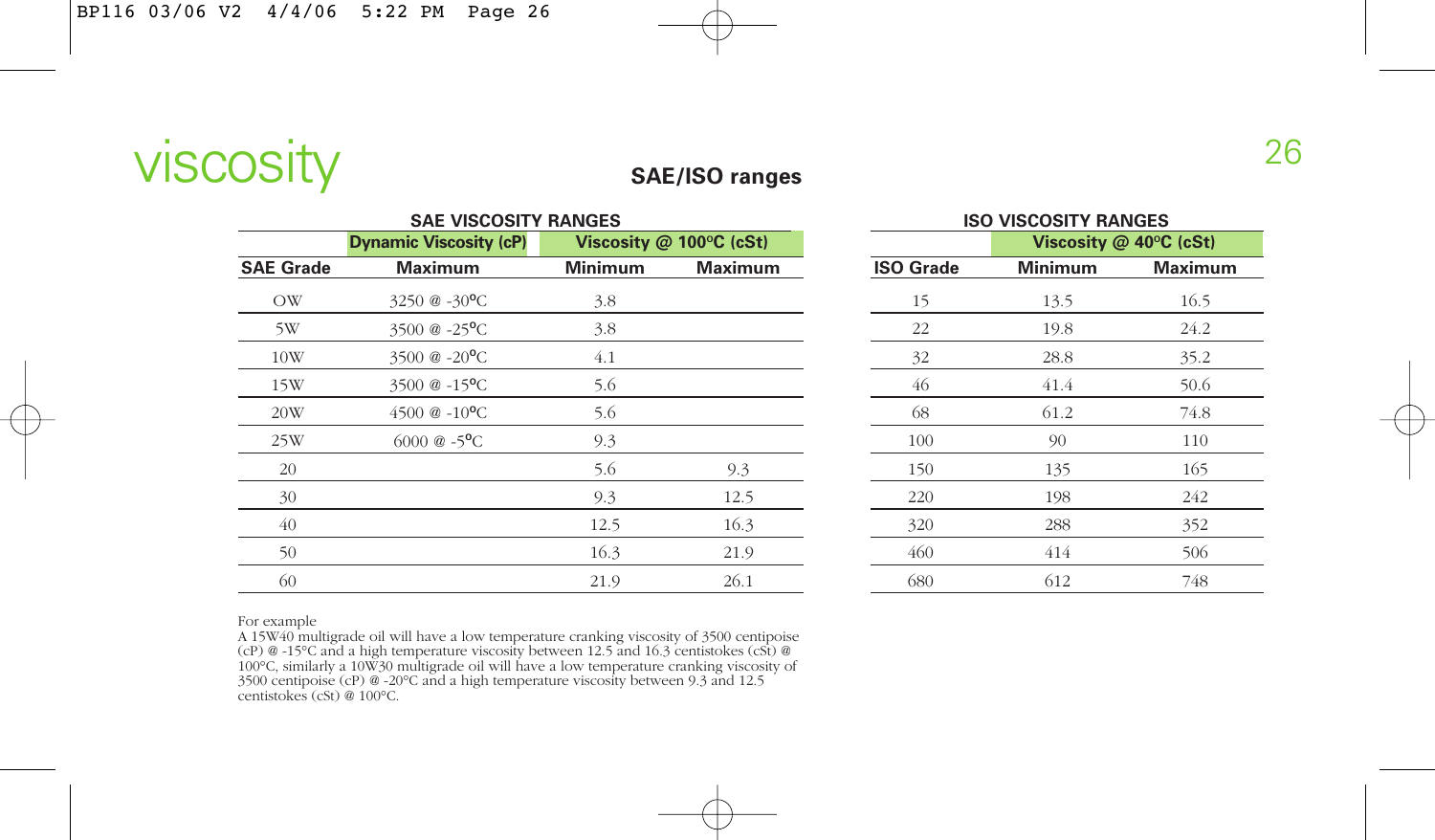

#### **SAE/ISO ranges**

| <b>SAE VISCOSITY RANGES</b> |                               |                |                              |  |  |  |  |  |
|-----------------------------|-------------------------------|----------------|------------------------------|--|--|--|--|--|
|                             | <b>Dynamic Viscosity (cP)</b> |                | Viscosity $@$ 100 $°C$ (cSt) |  |  |  |  |  |
| <b>SAE Grade</b>            | <b>Maximum</b>                | <b>Minimum</b> | <b>Maximum</b>               |  |  |  |  |  |
| <b>OW</b>                   | 3250 $@ - 30°C$               | 3.8            |                              |  |  |  |  |  |
| 5W                          | 3500 $@ -25$ <sup>o</sup> C   | 3.8            |                              |  |  |  |  |  |
| 10W                         | 3500 $@ - 20^{\circ}$ C       | 4.1            |                              |  |  |  |  |  |
| 15W                         | 3500 @ -15 <sup>o</sup> C     | 5.6            |                              |  |  |  |  |  |
| 20W                         | $4500 \& 0.10 \text{°C}$      | 5.6            |                              |  |  |  |  |  |
| 25W                         | $6000 \& -5$ <sup>o</sup> C   | 9.3            |                              |  |  |  |  |  |
| 20                          |                               | 5.6            | 9.3                          |  |  |  |  |  |
| 30                          |                               | 9.3            | 12.5                         |  |  |  |  |  |
| 40                          |                               | 12.5           | 16.3                         |  |  |  |  |  |
| 50                          |                               | 16.3           | 21.9                         |  |  |  |  |  |
| 60                          |                               | 21.9           | 26.1                         |  |  |  |  |  |

| <b>ISO VISCOSITY RANGES</b><br>Viscosity @ 40°C (cSt) |                |                |  |  |  |  |  |  |
|-------------------------------------------------------|----------------|----------------|--|--|--|--|--|--|
|                                                       |                |                |  |  |  |  |  |  |
| <b>ISO Grade</b>                                      | <b>Minimum</b> | <b>Maximum</b> |  |  |  |  |  |  |
| 15                                                    | 13.5           | 16.5           |  |  |  |  |  |  |
| 22                                                    | 19.8           | 24.2           |  |  |  |  |  |  |
| 32                                                    | 28.8           | 35.2           |  |  |  |  |  |  |
| 46                                                    | 41.4           | 50.6           |  |  |  |  |  |  |
| 68                                                    | 61.2           | 74.8           |  |  |  |  |  |  |
| 100                                                   | 90             | 110            |  |  |  |  |  |  |
| 150                                                   | 135            | 165            |  |  |  |  |  |  |
| 220                                                   | 198            | 242            |  |  |  |  |  |  |
| 320                                                   | 288            | 352            |  |  |  |  |  |  |
| 460                                                   | 414            | 506            |  |  |  |  |  |  |
| 680                                                   | 612            | 748            |  |  |  |  |  |  |

For example

A 15W40 multigrade oil will have a low temperature cranking viscosity of 3500 centipoise<br>(cP) @ -15°C and a high temperature viscosity between 12.5 and 16.3 centistokes (cSt) @<br>100°C, similarly a 10W30 multigrade oil will centistokes (cSt) @ 100°C.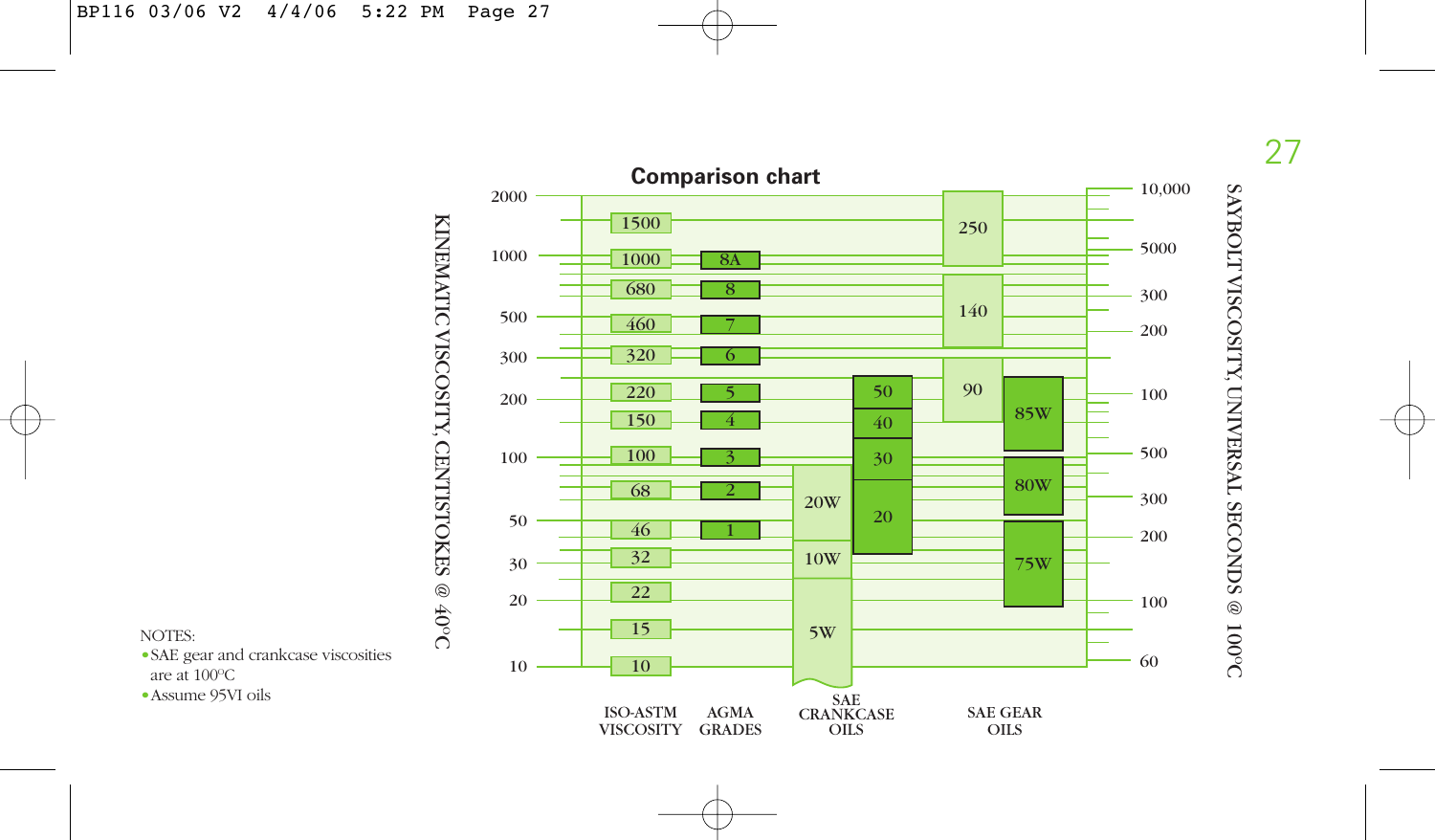



NOTES:

•SAE gear and crankcase viscosities are at 100 O C

•Assume 95VI oils

SAYBOLT VISCOSITY, UNIVERSAL SECONDS @ 100OC

SAYBOLT VISCOSITY, UNIVERSAL SECONDS @ 100°C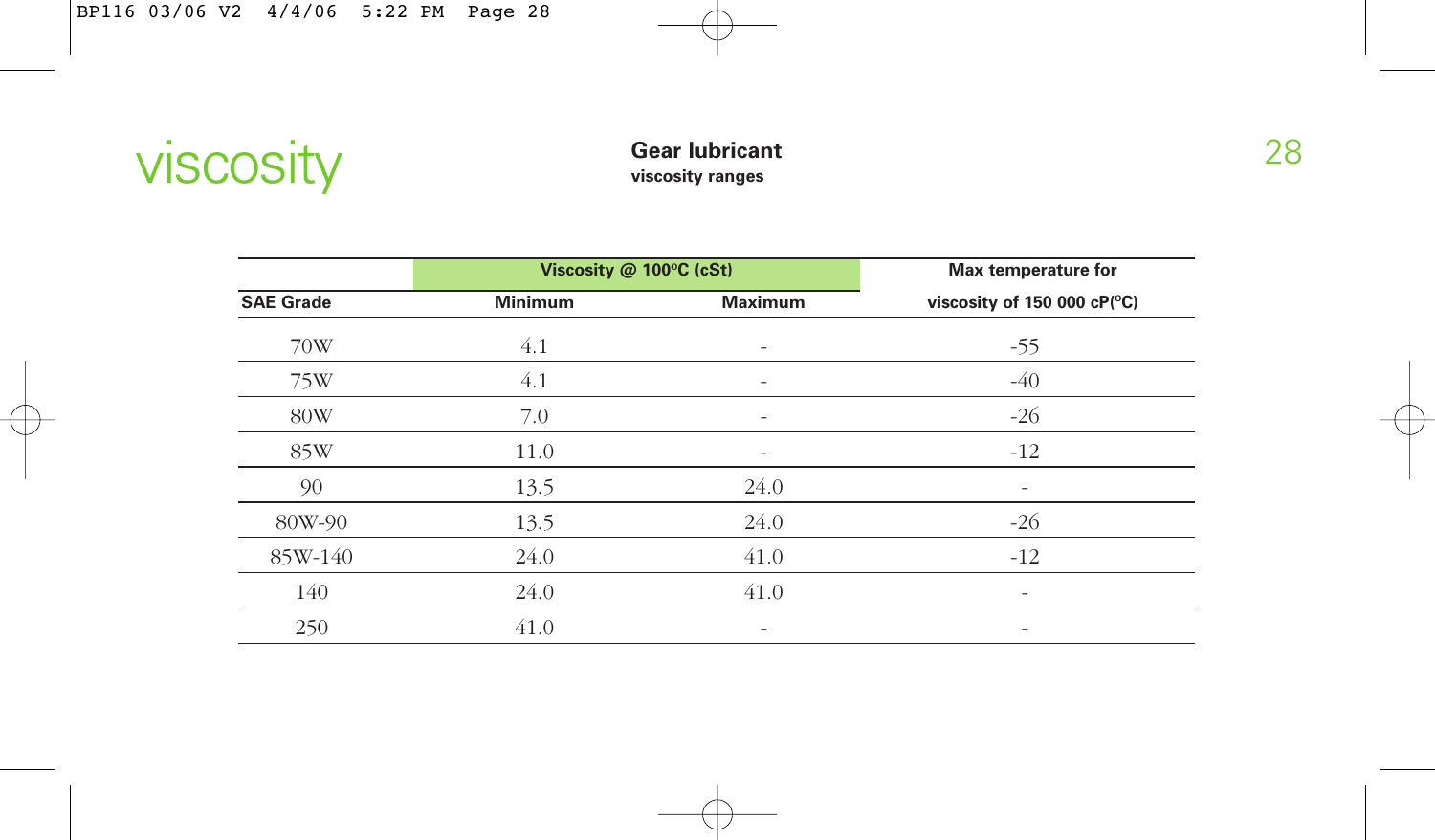

## **viscosity ranges**

|                  | Viscosity @ 100°C (cSt) | Max temperature for          |                             |  |
|------------------|-------------------------|------------------------------|-----------------------------|--|
| <b>SAE Grade</b> | <b>Minimum</b>          | <b>Maximum</b>               | viscosity of 150 000 cP(°C) |  |
| 70W              | 4.1                     | $\overline{\phantom{a}}$     | $-55$                       |  |
| 75W              | 4.1                     |                              | $-40$                       |  |
| 80W              | 7.0                     | $\qquad \qquad \blacksquare$ | $-26$                       |  |
| 85W              | 11.0                    | -                            | $-12$                       |  |
| 90               | 13.5                    | 24.0                         |                             |  |
| 80W-90           | 13.5                    | 24.0                         | $-26$                       |  |
| 85W-140          | 24.0                    | 41.0                         | $-12$                       |  |
| 140              | 24.0                    | 41.0                         |                             |  |
| 250              | 41.0                    | -                            | -                           |  |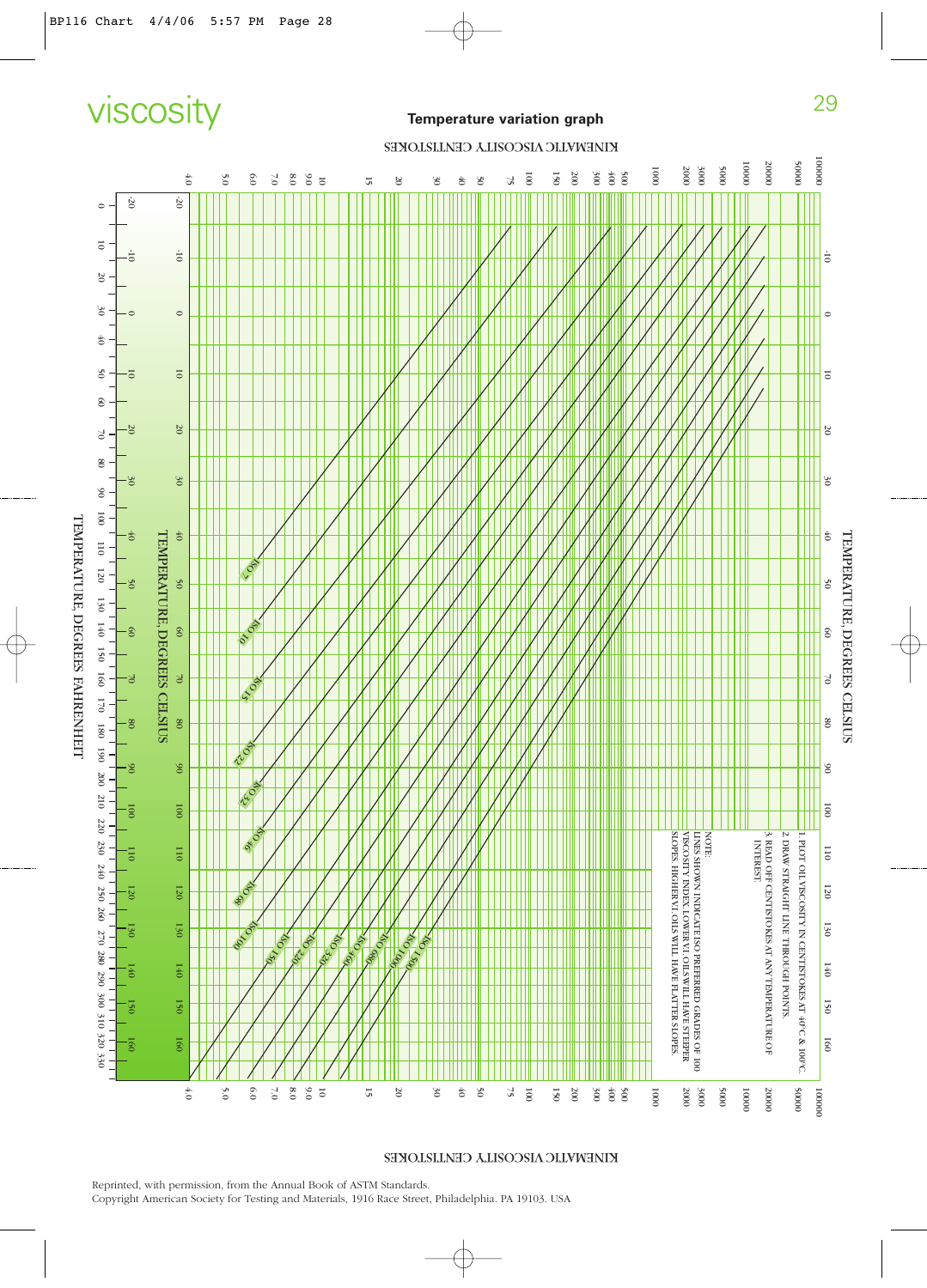# viscosity **Temperature variation graph**

#### KINEMATIC VISCOSITY CENTISTOKES



KINEMATIC VISCOSITY CENTISTOKES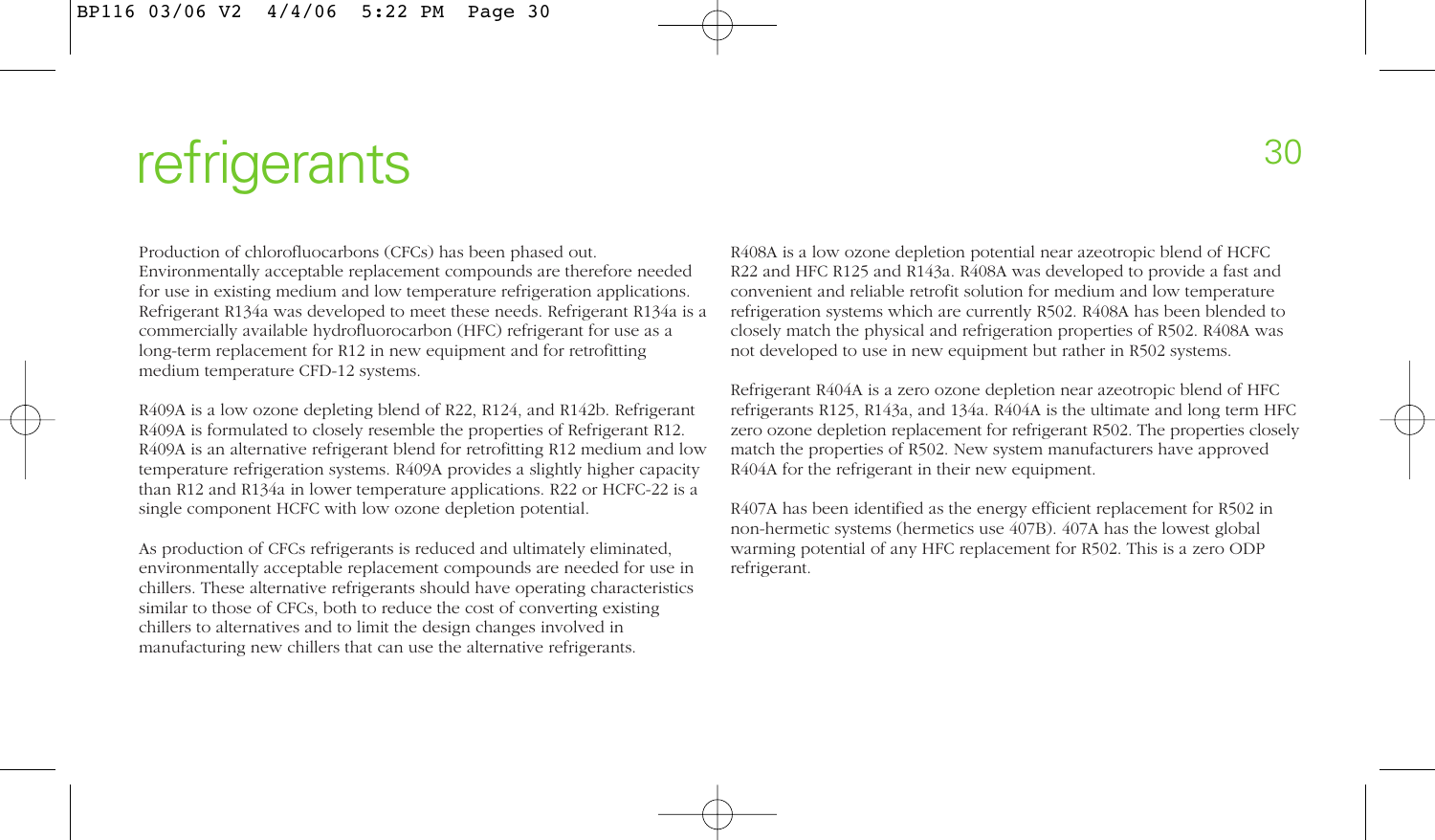# refrigerants and the state of the state of the state of the state of the state of the state of the state of the state of the state of the state of the state of the state of the state of the state of the state of the state

Production of chlorofluocarbons (CFCs) has been phased out. Environmentally acceptable replacement compounds are therefore needed for use in existing medium and low temperature refrigeration applications. Refrigerant R134a was developed to meet these needs. Refrigerant R134a is a commercially available hydrofluorocarbon (HFC) refrigerant for use as a long-term replacement for R12 in new equipment and for retrofitting medium temperature CFD-12 systems.

R409A is a low ozone depleting blend of R22, R124, and R142b. Refrigerant R409A is formulated to closely resemble the properties of Refrigerant R12. R409A is an alternative refrigerant blend for retrofitting R12 medium and low temperature refrigeration systems. R409A provides a slightly higher capacity than R12 and R134a in lower temperature applications. R22 or HCFC-22 is a single component HCFC with low ozone depletion potential.

As production of CFCs refrigerants is reduced and ultimately eliminated, environmentally acceptable replacement compounds are needed for use in chillers. These alternative refrigerants should have operating characteristics similar to those of CFCs, both to reduce the cost of converting existing chillers to alternatives and to limit the design changes involved in manufacturing new chillers that can use the alternative refrigerants.

R408A is a low ozone depletion potential near azeotropic blend of HCFC R22 and HFC R125 and R143a. R408A was developed to provide a fast and convenient and reliable retrofit solution for medium and low temperature refrigeration systems which are currently R502. R408A has been blended to closely match the physical and refrigeration properties of R502. R408A was not developed to use in new equipment but rather in R502 systems.

Refrigerant R404A is a zero ozone depletion near azeotropic blend of HFC refrigerants R125, R143a, and 134a. R404A is the ultimate and long term HFC zero ozone depletion replacement for refrigerant R502. The properties closely match the properties of R502. New system manufacturers have approved R404A for the refrigerant in their new equipment.

R407A has been identified as the energy efficient replacement for R502 in non-hermetic systems (hermetics use 407B). 407A has the lowest global warming potential of any HFC replacement for R502. This is a zero ODP refrigerant.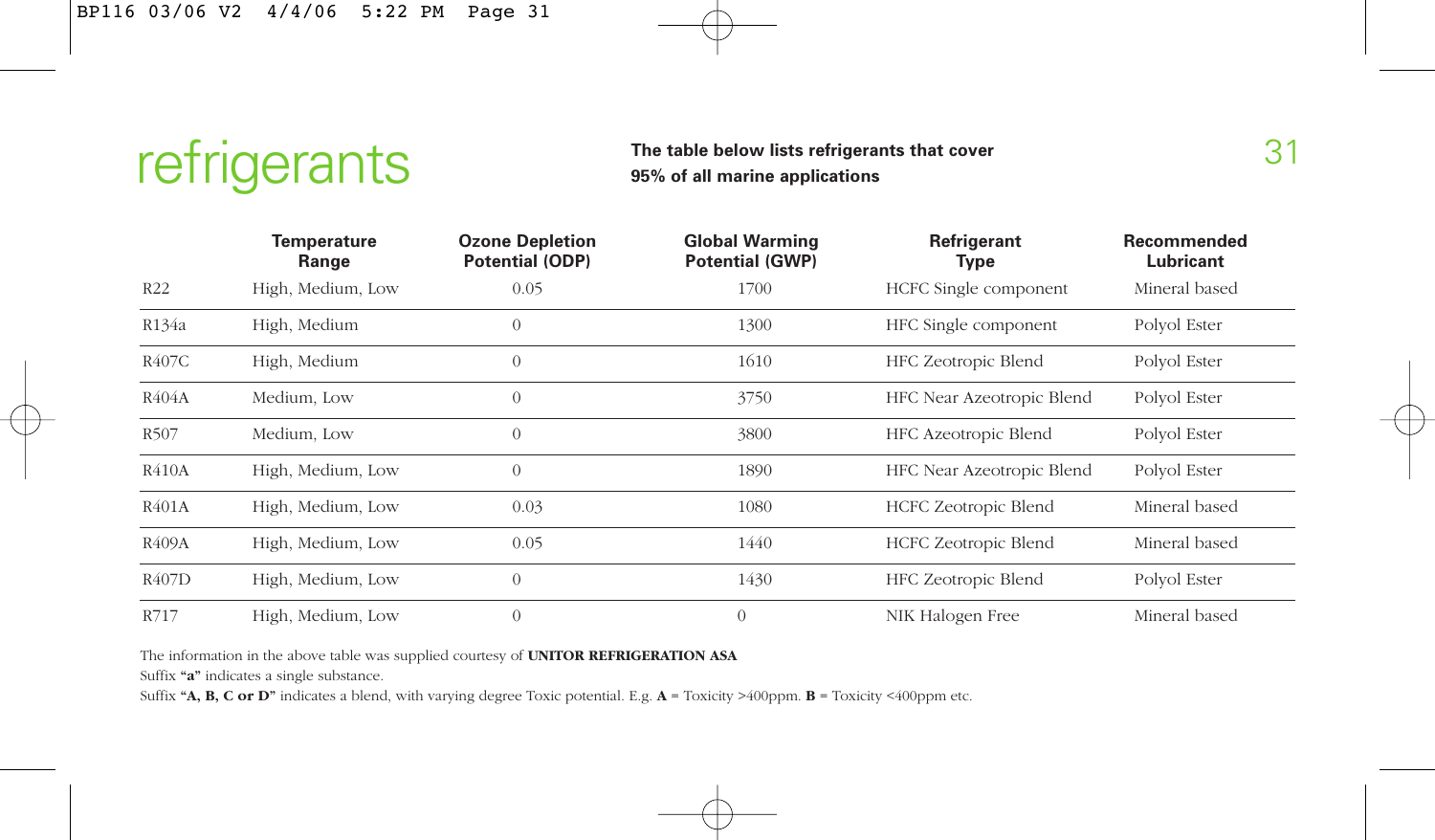

#### The table below lists refrigerants that cover 31<br>31 **95% of all marine applications**

| <b>Temperature</b><br>Range |                   | <b>Ozone Depletion</b><br><b>Potential (ODP)</b> | <b>Global Warming</b><br><b>Potential (GWP)</b> | Refrigerant<br>Type         | Recommended<br>Lubricant |  |
|-----------------------------|-------------------|--------------------------------------------------|-------------------------------------------------|-----------------------------|--------------------------|--|
| R22                         | High, Medium, Low | 0.05                                             | 1700                                            | HCFC Single component       | Mineral based            |  |
| R134a                       | High, Medium      | $\theta$                                         | 1300                                            | HFC Single component        | Polyol Ester             |  |
| R407C                       | High, Medium      | $\overline{0}$                                   | 1610                                            | HFC Zeotropic Blend         | Polyol Ester             |  |
| R404A                       | Medium, Low       | $\theta$                                         | 3750                                            | HFC Near Azeotropic Blend   | Polyol Ester             |  |
| R507                        | Medium, Low       | $\theta$                                         | 3800                                            | HFC Azeotropic Blend        | Polyol Ester             |  |
| R410A                       | High, Medium, Low | $\theta$                                         | 1890                                            | HFC Near Azeotropic Blend   | Polyol Ester             |  |
| R401A                       | High, Medium, Low | 0.03                                             | 1080                                            | <b>HCFC Zeotropic Blend</b> | Mineral based            |  |
| R409A                       | High, Medium, Low | 0.05                                             | 1440                                            | HCFC Zeotropic Blend        | Mineral based            |  |
| R407D                       | High, Medium, Low | $\theta$                                         | 1430                                            | HFC Zeotropic Blend         | Polyol Ester             |  |
| R717                        | High, Medium, Low | $\mathbf{0}$                                     | $\overline{0}$                                  | NIK Halogen Free            | Mineral based            |  |

The information in the above table was supplied courtesy of **UNITOR REFRIGERATION ASA**

Suffix **"a"** indicates a single substance.

Suffix **"A, B, C or D"** indicates a blend, with varying degree Toxic potential. E.g. **A** = Toxicity >400ppm. **B** = Toxicity <400ppm etc.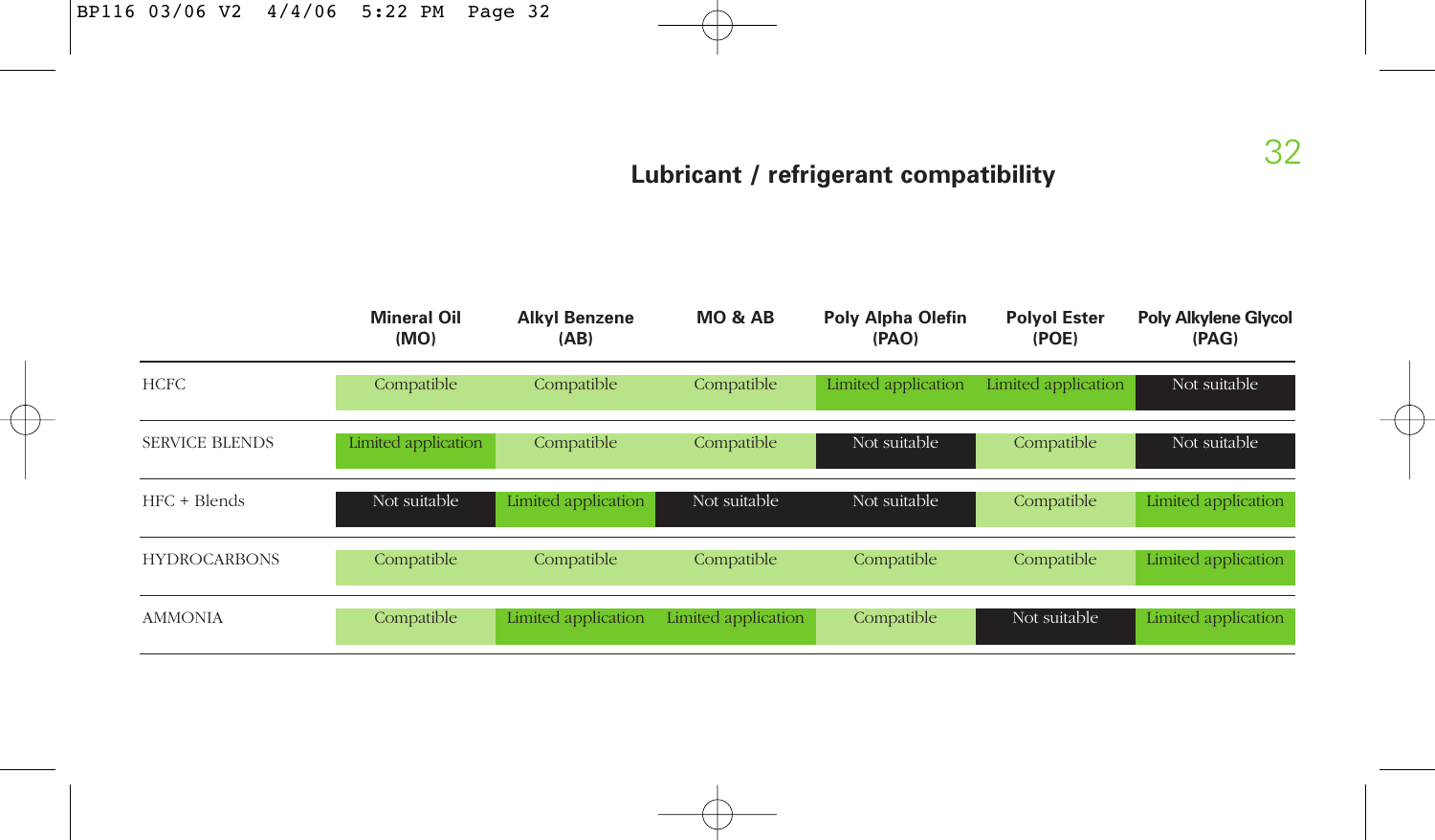### **Lubricant / refrigerant compatibility**

|                       | <b>Mineral Oil</b><br><b>Alkyl Benzene</b><br>(MO)<br>(AB) |                     | <b>MO &amp; AB</b>  | <b>Poly Alpha Olefin</b><br>(PAO) | <b>Polyol Ester</b><br>(POE) | <b>Poly Alkylene Glycol</b><br>(PAG) |  |
|-----------------------|------------------------------------------------------------|---------------------|---------------------|-----------------------------------|------------------------------|--------------------------------------|--|
| <b>HCFC</b>           | Compatible                                                 | Compatible          | Compatible          | Limited application               | Limited application          | Not suitable                         |  |
| <b>SERVICE BLENDS</b> | Limited application                                        | Compatible          | Compatible          | Not suitable                      | Compatible                   | Not suitable                         |  |
| HFC + Blends          | Not suitable                                               | Limited application | Not suitable        | Not suitable                      | Compatible                   | Limited application                  |  |
| <b>HYDROCARBONS</b>   | Compatible                                                 | Compatible          | Compatible          | Compatible                        | Compatible                   | Limited application                  |  |
| <b>AMMONIA</b>        | Compatible                                                 | Limited application | Limited application | Compatible                        | Not suitable                 | Limited application                  |  |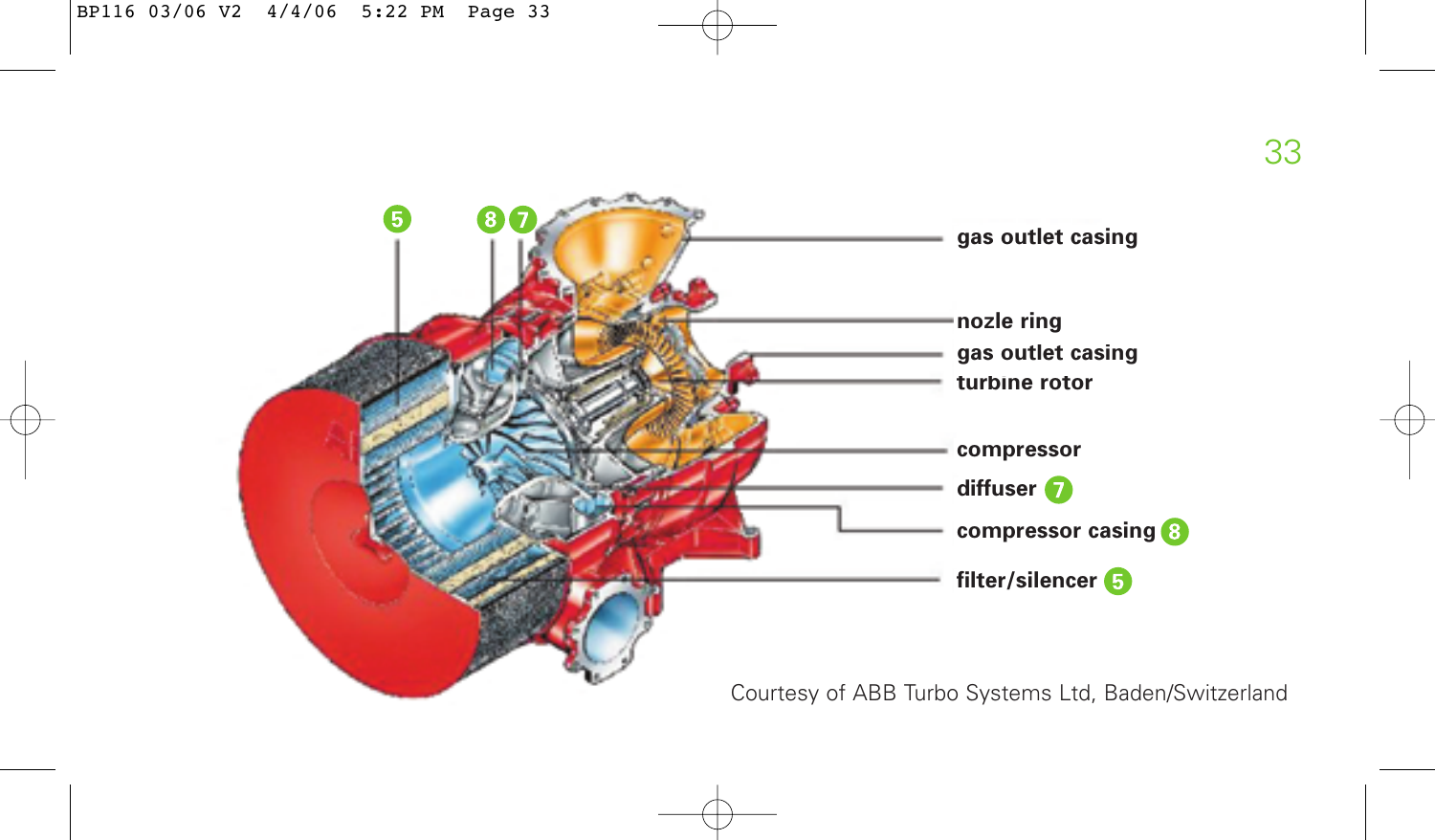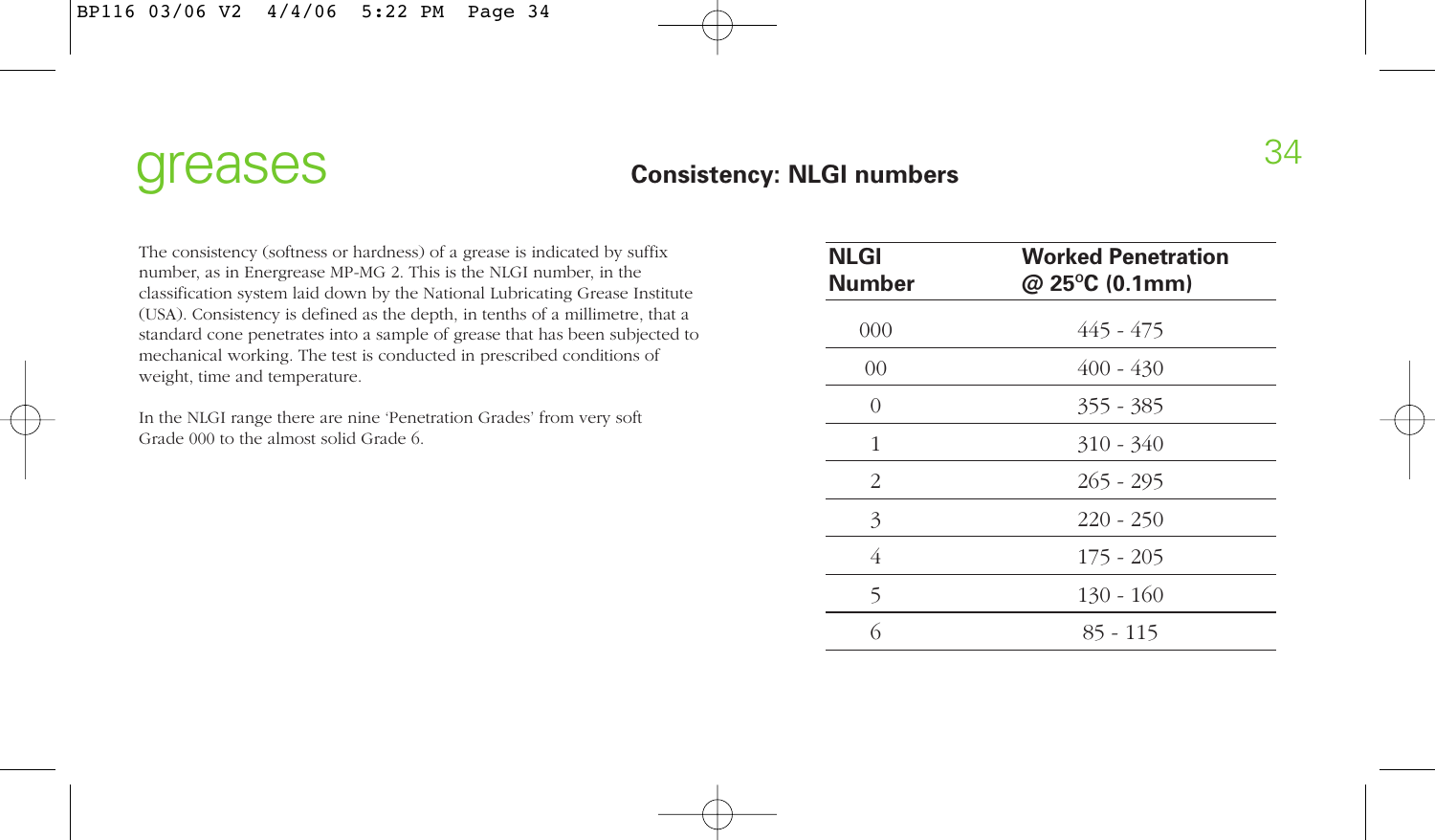#### greases consistency: NLGI numbers 34 **Consistency: NLGI numbers**

The consistency (softness or hardness) of a grease is indicated by suffix number, as in Energrease MP-MG 2. This is the NLGI number, in the classification system laid down by the National Lubricating Grease Institute (USA). Consistency is defined as the depth, in tenths of a millimetre, that a standard cone penetrates into a sample of grease that has been subjected to mechanical working. The test is conducted in prescribed conditions of weight, time and temperature.

In the NLGI range there are nine 'Penetration Grades' from very soft Grade 000 to the almost solid Grade 6.

| <b>NLGI</b><br>Number | <b>Worked Penetration</b><br>@ 25°C (0.1mm) |
|-----------------------|---------------------------------------------|
| 000                   | 445 - 475                                   |
| $00\,$                | $400 - 430$                                 |
| $\theta$              | $355 - 385$                                 |
| 1                     | $310 - 340$                                 |
| 2                     | $265 - 295$                                 |
| 3                     | $220 - 250$                                 |
| 4                     | $175 - 205$                                 |
| 5                     | $130 - 160$                                 |
| 6                     | $85 - 115$                                  |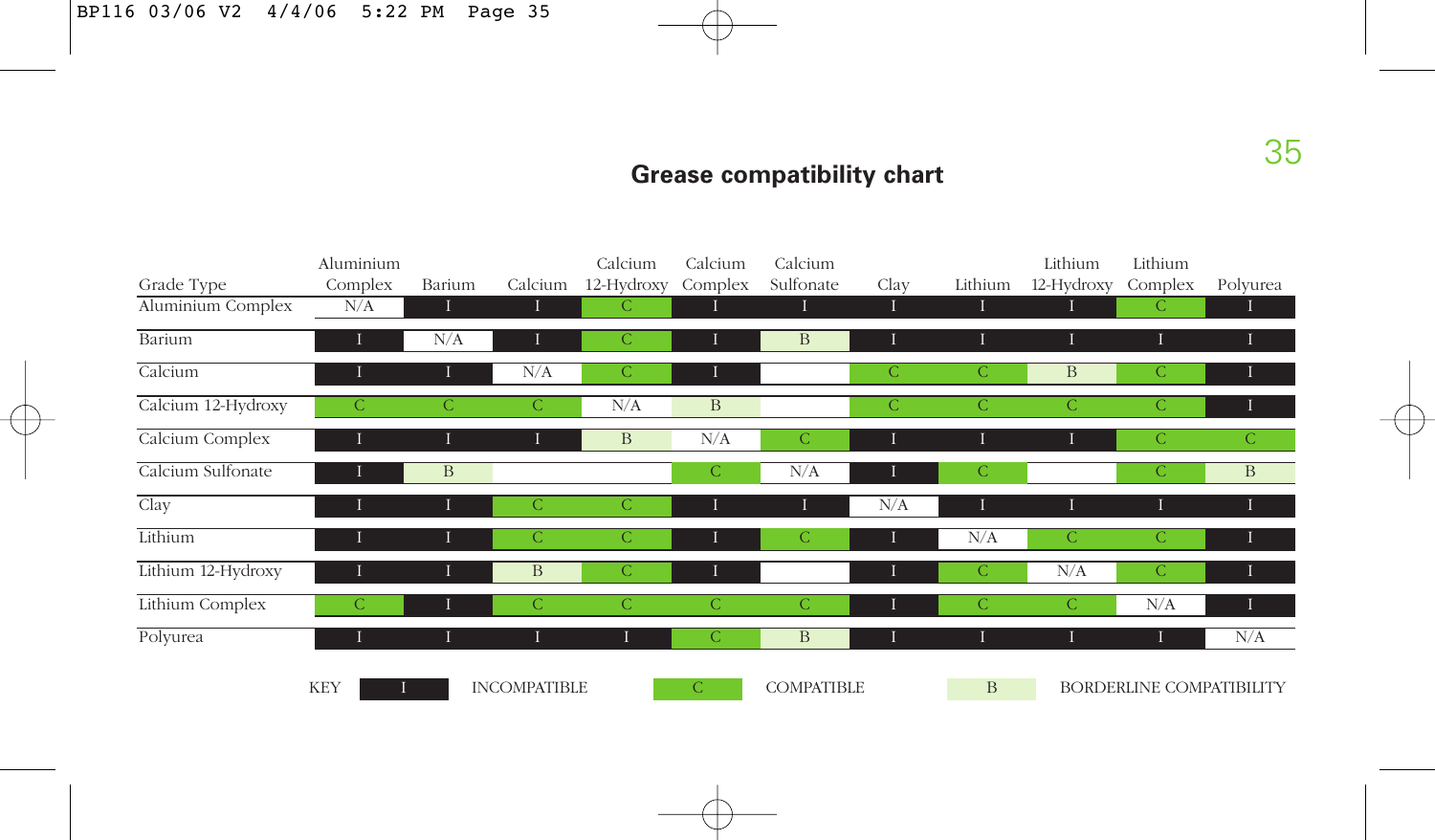### **Grease compatibility chart**

|                    | Aluminium    |               |                     | Calcium       | Calcium       | Calcium           |               |               | Lithium       | Lithium                  |              |
|--------------------|--------------|---------------|---------------------|---------------|---------------|-------------------|---------------|---------------|---------------|--------------------------|--------------|
| Grade Type         | Complex      | Barium        | Calcium             | 12-Hydroxy    | Complex       | Sulfonate         | Clay          | Lithium       | 12-Hydroxy    | Complex                  | Polyurea     |
| Aluminium Complex  | N/A          |               |                     | C             |               |                   |               |               | ı             | $\mathsf{C}$             |              |
| Barium             |              | N/A           |                     | С             |               | B                 |               |               |               |                          |              |
| Calcium            | Ш            | 1             | N/A                 | $\mathcal{C}$ | I             |                   | $\mathcal{C}$ | $\mathcal{C}$ | $\, {\bf B}$  | $\mathcal{C}$            | ш            |
| Calcium 12-Hydroxy | $\mathsf{C}$ | $\mathcal{C}$ | С                   | N/A           | B             |                   | $\mathcal{C}$ | $\mathcal{C}$ | $\mathcal{C}$ | $\mathcal{C}$            |              |
| Calcium Complex    |              |               |                     | B             | N/A           | $\mathsf{C}$      |               |               |               | $\mathcal{C}$            | $\mathsf{C}$ |
| Calcium Sulfonate  |              | B             |                     |               | $\mathsf{C}$  | N/A               |               | $\mathcal{C}$ |               | C                        | $\mathbf{B}$ |
| Clay               |              | П             | C                   | $\mathcal{C}$ | $\bf{I}$      |                   | N/A           |               | Т             |                          |              |
| Lithium            |              | Т             | C                   | $\mathcal{C}$ | н             | $\mathsf{C}$      |               | N/A           | $\mathcal{C}$ | $\mathcal{C}$            |              |
| Lithium 12-Hydroxy |              | п             | B                   | $\mathcal{C}$ | Ι             |                   |               | $\mathcal{C}$ | N/A           | $\mathcal{C}$            |              |
| Lithium Complex    | C            | ш             | C                   | C             | C             | $\mathsf{C}$      |               | $\mathcal{C}$ | $\mathsf{C}$  | N/A                      |              |
| Polyurea           | п            |               |                     | $\bf{I}$      | C             | B                 |               |               |               |                          | N/A          |
|                    | <b>KEY</b>   |               | <b>INCOMPATIBLE</b> |               | $\mathcal{C}$ | <b>COMPATIBLE</b> |               | B             |               | BORDERLINE COMPATIBILITY |              |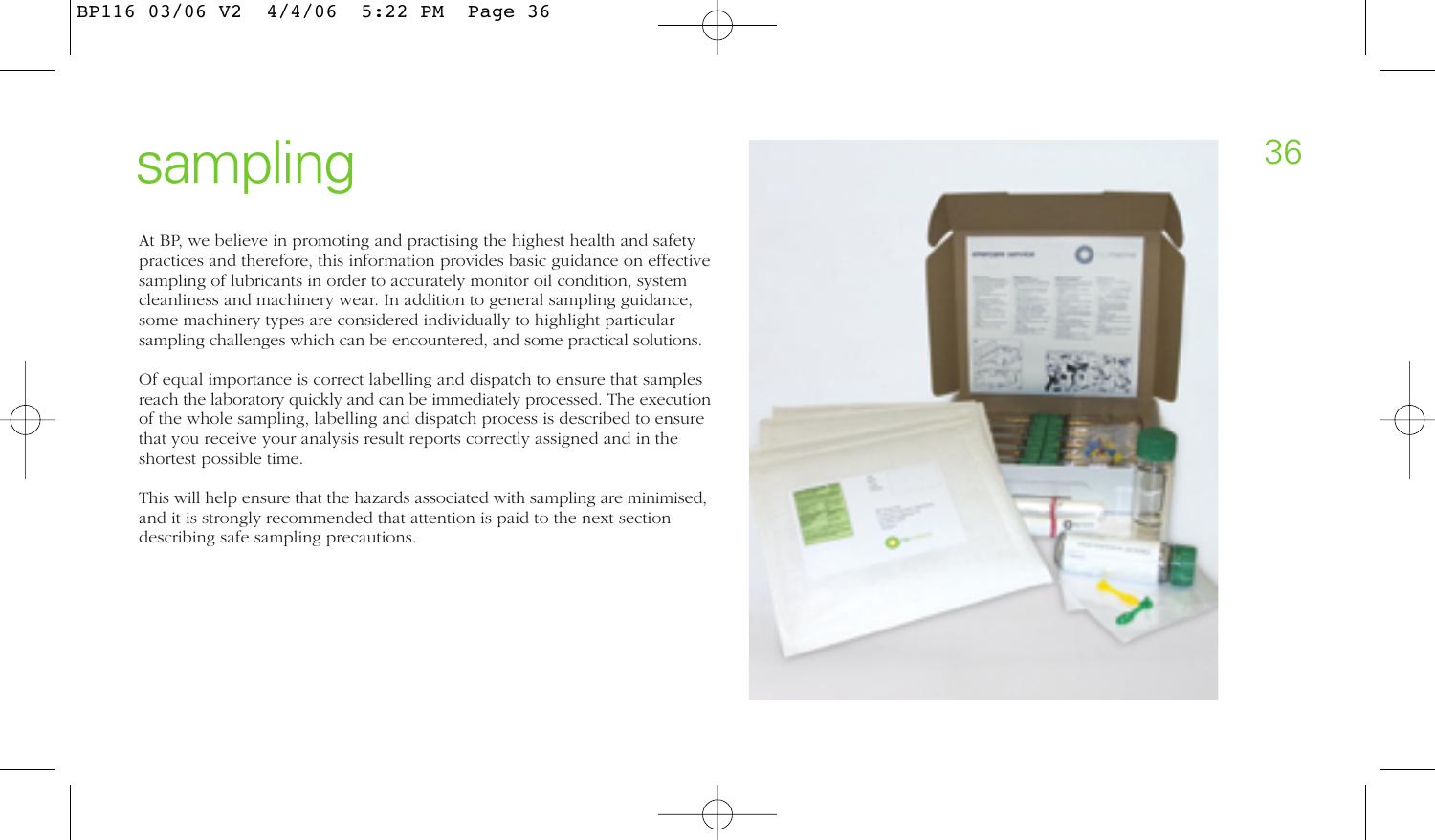At BP, we believe in promoting and practising the highest health and safety practices and therefore, this information provides basic guidance on effective sampling of lubricants in order to accurately monitor oil condition, system cleanliness and machinery wear. In addition to general sampling guidance, some machinery types are considered individually to highlight particular sampling challenges which can be encountered, and some practical solutions.

Of equal importance is correct labelling and dispatch to ensure that samples reach the laboratory quickly and can be immediately processed. The execution of the whole sampling, labelling and dispatch process is described to ensure that you receive your analysis result reports correctly assigned and in the shortest possible time.

This will help ensure that the hazards associated with sampling are minimised, and it is strongly recommended that attention is paid to the next section describing safe sampling precautions.

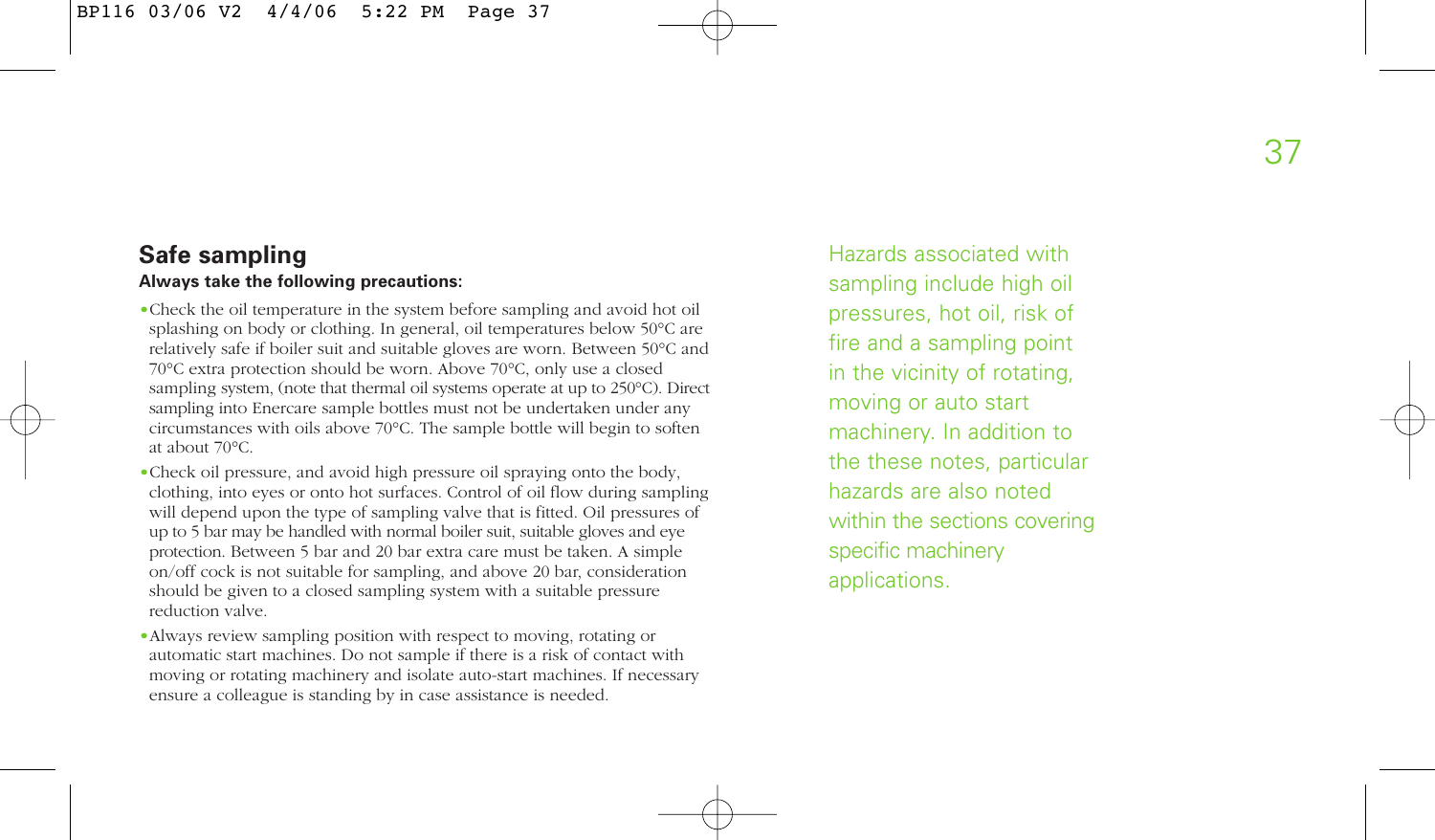# **Safe sampling Always take the following precautions:**

- •Check the oil temperature in the system before sampling and avoid hot oil splashing on body or clothing. In general, oil temperatures below 50°C are relatively safe if boiler suit and suitable gloves are worn. Between 50°C and 70°C extra protection should be worn. Above 70°C, only use a closed sampling system, (note that thermal oil systems operate at up to 250°C). Direct sampling into Enercare sample bottles must not be undertaken under any circumstances with oils above 70°C. The sample bottle will begin to soften at about 70°C.
- •Check oil pressure, and avoid high pressure oil spraying onto the body, clothing, into eyes or onto hot surfaces. Control of oil flow during sampling will depend upon the type of sampling valve that is fitted. Oil pressures of up to 5 bar may be handled with normal boiler suit, suitable gloves and eye protection. Between 5 bar and 20 bar extra care must be taken. A simple on/off cock is not suitable for sampling, and above 20 bar, consideration should be given to a closed sampling system with a suitable pressure reduction valve.
- •Always review sampling position with respect to moving, rotating or automatic start machines. Do not sample if there is a risk of contact with moving or rotating machinery and isolate auto-start machines. If necessary ensure a colleague is standing by in case assistance is needed.

Hazards associated with sampling include high oil pressures, hot oil, risk of fire and a sampling point in the vicinity of rotating, moving or auto start machinery. In addition to the these notes, particular hazards are also noted within the sections covering specific machinery applications.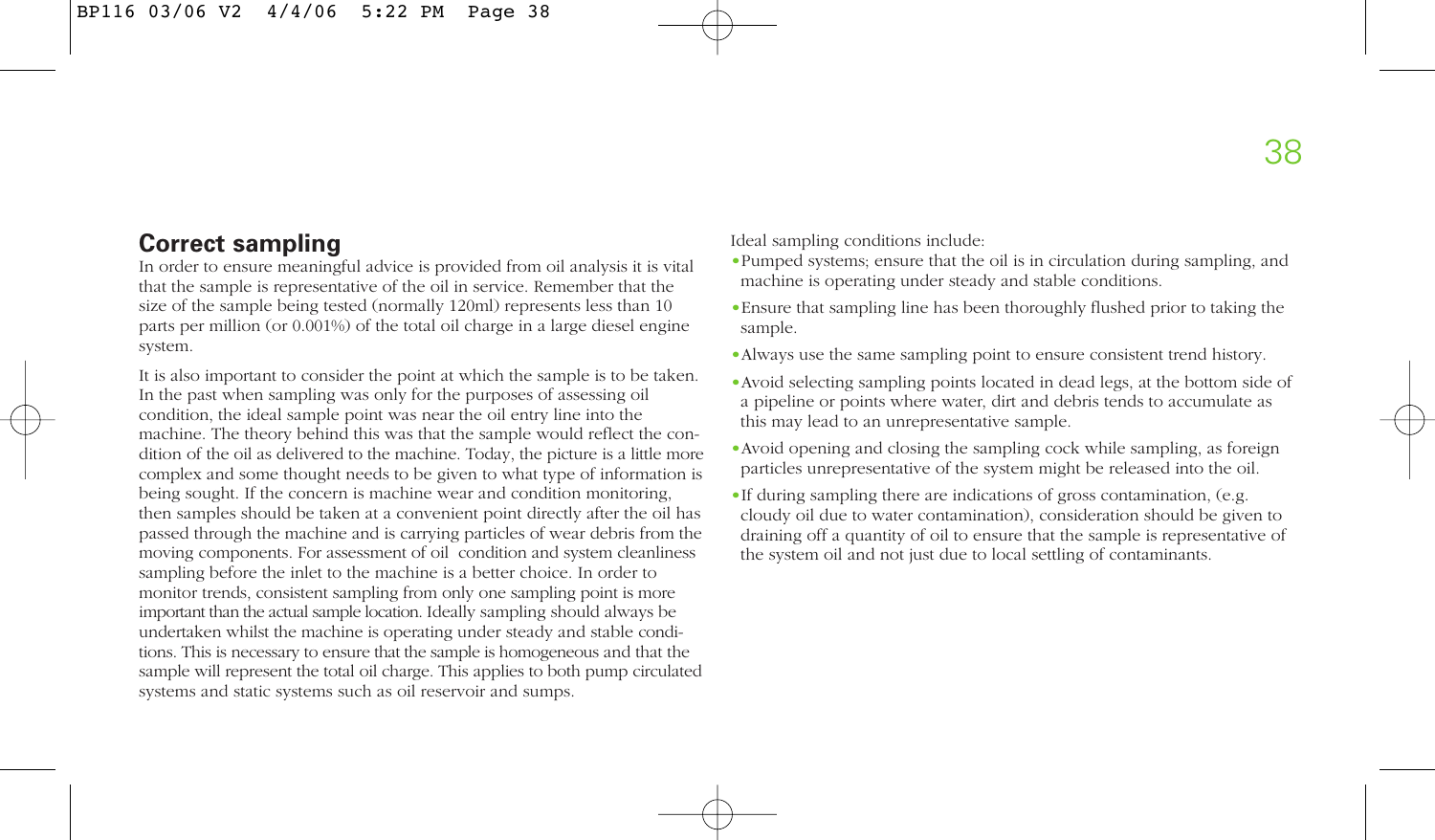# **Correct sampling**

In order to ensure meaningful advice is provided from oil analysis it is vital that the sample is representative of the oil in service. Remember that the size of the sample being tested (normally 120ml) represents less than 10 parts per million (or 0.001%) of the total oil charge in a large diesel engine system.

It is also important to consider the point at which the sample is to be taken. In the past when sampling was only for the purposes of assessing oil condition, the ideal sample point was near the oil entry line into the machine. The theory behind this was that the sample would reflect the condition of the oil as delivered to the machine. Today, the picture is a little more complex and some thought needs to be given to what type of information is being sought. If the concern is machine wear and condition monitoring, then samples should be taken at a convenient point directly after the oil has passed through the machine and is carrying particles of wear debris from the moving components. For assessment of oil condition and system cleanliness sampling before the inlet to the machine is a better choice. In order to monitor trends, consistent sampling from only one sampling point is more important than the actual sample location. Ideally sampling should always be undertaken whilst the machine is operating under steady and stable conditions. This is necessary to ensure that the sample is homogeneous and that the sample will represent the total oil charge. This applies to both pump circulated systems and static systems such as oil reservoir and sumps.

Ideal sampling conditions include:

- •Pumped systems; ensure that the oil is in circulation during sampling, and machine is operating under steady and stable conditions.
- •Ensure that sampling line has been thoroughly flushed prior to taking the sample.
- •Always use the same sampling point to ensure consistent trend history.
- •Avoid selecting sampling points located in dead legs, at the bottom side of a pipeline or points where water, dirt and debris tends to accumulate as this may lead to an unrepresentative sample.
- •Avoid opening and closing the sampling cock while sampling, as foreign particles unrepresentative of the system might be released into the oil.
- •If during sampling there are indications of gross contamination, (e.g. cloudy oil due to water contamination), consideration should be given to draining off a quantity of oil to ensure that the sample is representative of the system oil and not just due to local settling of contaminants.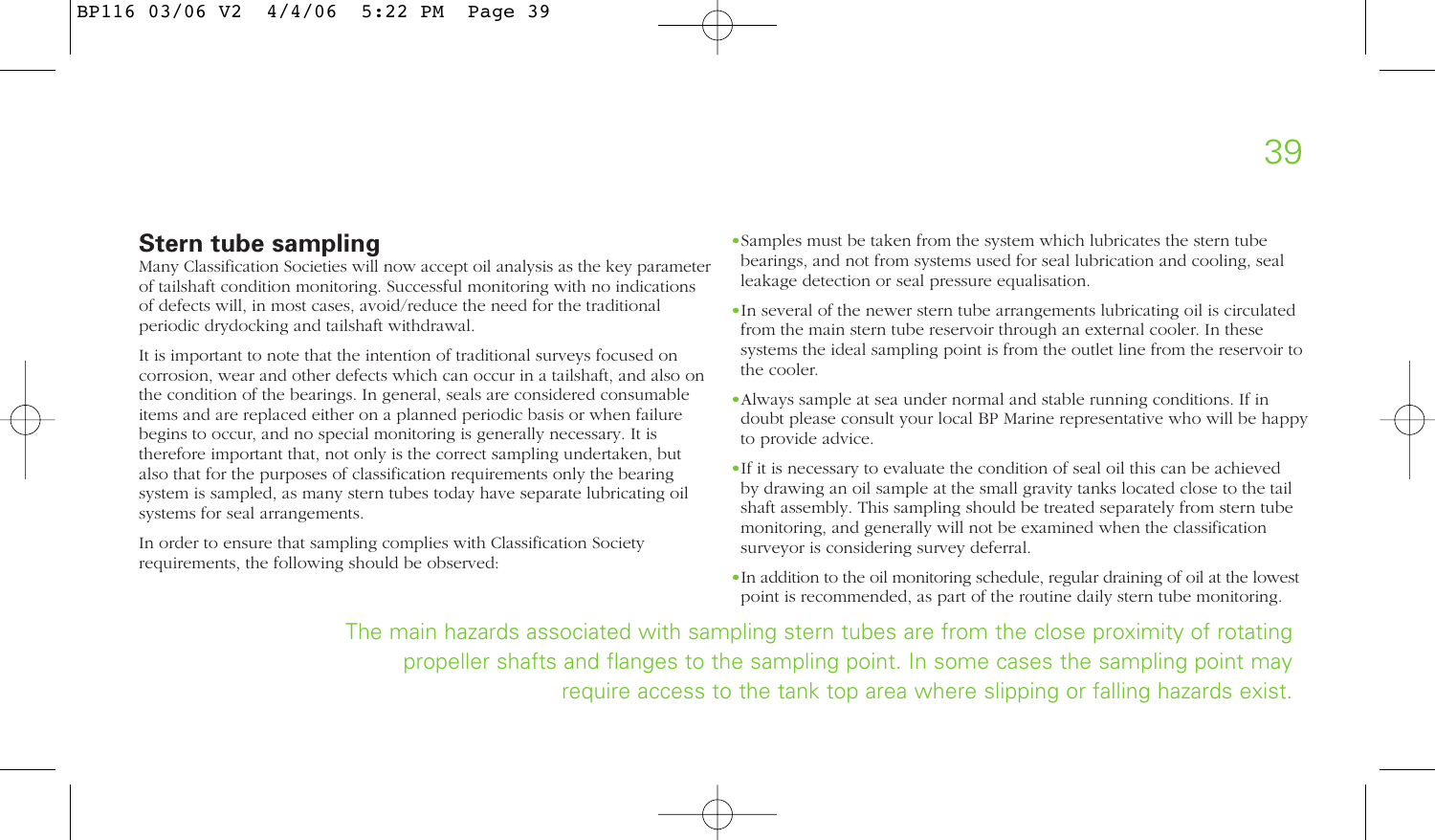# **Stern tube sampling**

Many Classification Societies will now accept oil analysis as the key parameter of tailshaft condition monitoring. Successful monitoring with no indications of defects will, in most cases, avoid/reduce the need for the traditional periodic drydocking and tailshaft withdrawal.

It is important to note that the intention of traditional surveys focused on corrosion, wear and other defects which can occur in a tailshaft, and also on the condition of the bearings. In general, seals are considered consumable items and are replaced either on a planned periodic basis or when failure begins to occur, and no special monitoring is generally necessary. It is therefore important that, not only is the correct sampling undertaken, but also that for the purposes of classification requirements only the bearing system is sampled, as many stern tubes today have separate lubricating oil systems for seal arrangements.

In order to ensure that sampling complies with Classification Society requirements, the following should be observed:

- •Samples must be taken from the system which lubricates the stern tube bearings, and not from systems used for seal lubrication and cooling, seal leakage detection or seal pressure equalisation.
- •In several of the newer stern tube arrangements lubricating oil is circulated from the main stern tube reservoir through an external cooler. In these systems the ideal sampling point is from the outlet line from the reservoir to the cooler.
- •Always sample at sea under normal and stable running conditions. If in doubt please consult your local BP Marine representative who will be happy to provide advice.
- •If it is necessary to evaluate the condition of seal oil this can be achieved by drawing an oil sample at the small gravity tanks located close to the tail shaft assembly. This sampling should be treated separately from stern tube monitoring, and generally will not be examined when the classification surveyor is considering survey deferral.
- •In addition to the oil monitoring schedule, regular draining of oil at the lowest point is recommended, as part of the routine daily stern tube monitoring.

The main hazards associated with sampling stern tubes are from the close proximity of rotating propeller shafts and flanges to the sampling point. In some cases the sampling point may require access to the tank top area where slipping or falling hazards exist.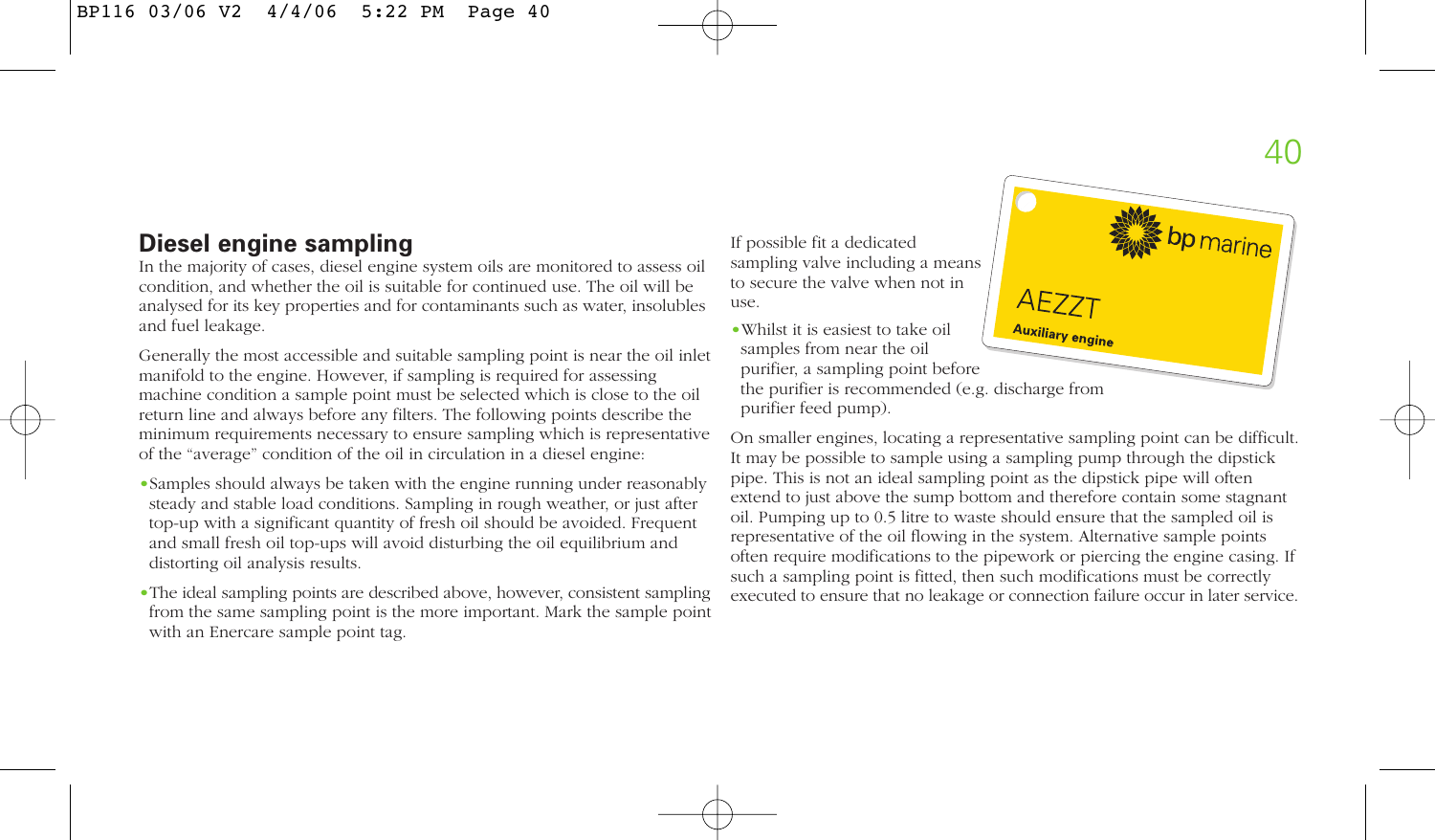# **Diesel engine sampling**

In the majority of cases, diesel engine system oils are monitored to assess oil condition, and whether the oil is suitable for continued use. The oil will be analysed for its key properties and for contaminants such as water, insolubles and fuel leakage.

Generally the most accessible and suitable sampling point is near the oil inlet manifold to the engine. However, if sampling is required for assessing machine condition a sample point must be selected which is close to the oil return line and always before any filters. The following points describe the minimum requirements necessary to ensure sampling which is representative of the "average" condition of the oil in circulation in a diesel engine:

- •Samples should always be taken with the engine running under reasonably steady and stable load conditions. Sampling in rough weather, or just after top-up with a significant quantity of fresh oil should be avoided. Frequent and small fresh oil top-ups will avoid disturbing the oil equilibrium and distorting oil analysis results.
- •The ideal sampling points are described above, however, consistent sampling from the same sampling point is the more important. Mark the sample point with an Enercare sample point tag.

If possible fit a dedicated sampling valve including a means to secure the valve when not in use.

•Whilst it is easiest to take oil samples from near the oil purifier, a sampling point before the purifier is recommended (e.g. discharge from purifier feed pump).



On smaller engines, locating a representative sampling point can be difficult. It may be possible to sample using a sampling pump through the dipstick pipe. This is not an ideal sampling point as the dipstick pipe will often extend to just above the sump bottom and therefore contain some stagnant oil. Pumping up to 0.5 litre to waste should ensure that the sampled oil is representative of the oil flowing in the system. Alternative sample points often require modifications to the pipework or piercing the engine casing. If such a sampling point is fitted, then such modifications must be correctly executed to ensure that no leakage or connection failure occur in later service.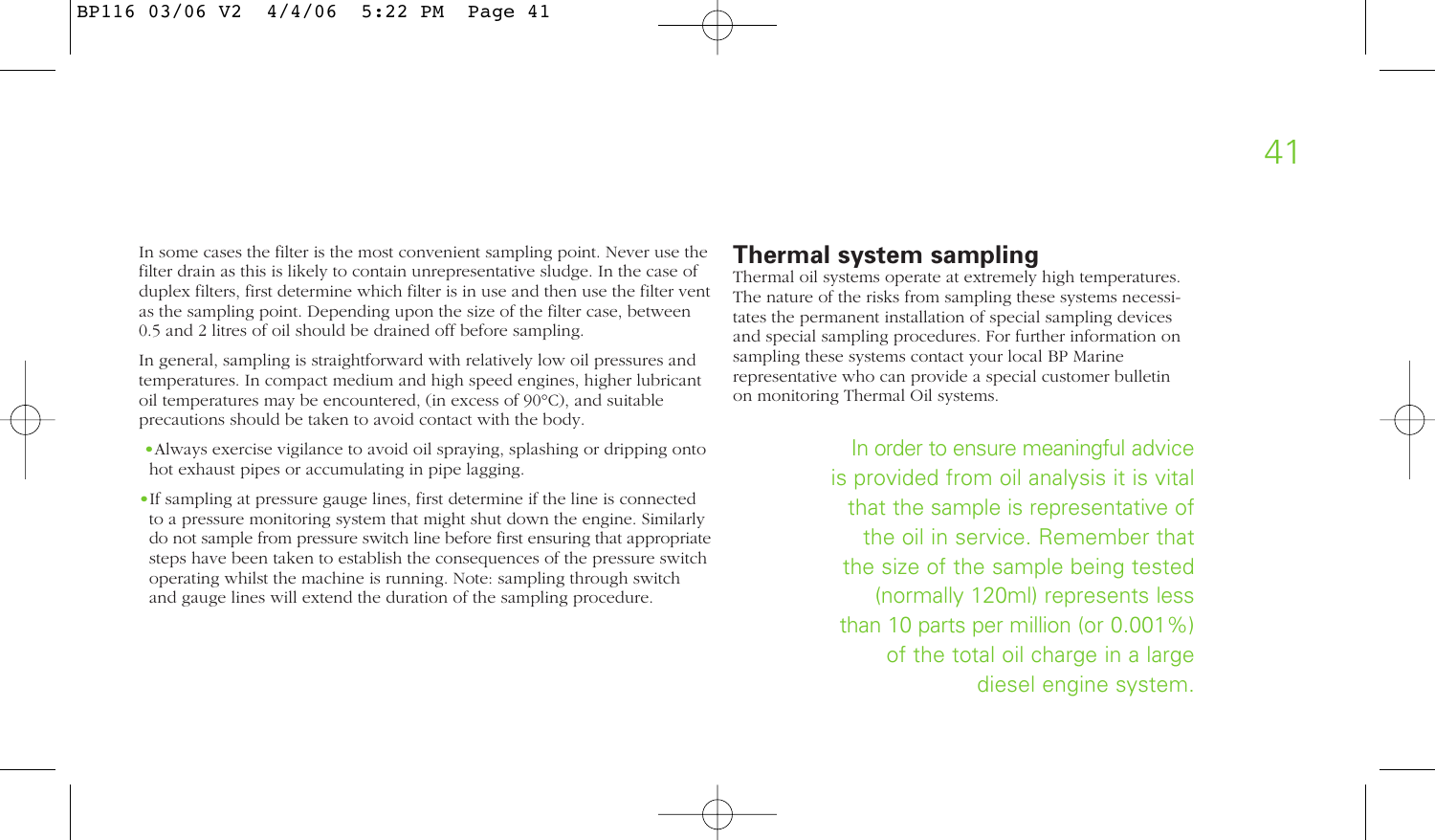In some cases the filter is the most convenient sampling point. Never use the filter drain as this is likely to contain unrepresentative sludge. In the case of duplex filters, first determine which filter is in use and then use the filter vent as the sampling point. Depending upon the size of the filter case, between 0.5 and 2 litres of oil should be drained off before sampling.

In general, sampling is straightforward with relatively low oil pressures and temperatures. In compact medium and high speed engines, higher lubricant oil temperatures may be encountered, (in excess of 90°C), and suitable precautions should be taken to avoid contact with the body.

- •Always exercise vigilance to avoid oil spraying, splashing or dripping onto hot exhaust pipes or accumulating in pipe lagging.
- •If sampling at pressure gauge lines, first determine if the line is connected to a pressure monitoring system that might shut down the engine. Similarly do not sample from pressure switch line before first ensuring that appropriate steps have been taken to establish the consequences of the pressure switch operating whilst the machine is running. Note: sampling through switch and gauge lines will extend the duration of the sampling procedure.

# **Thermal system sampling**

Thermal oil systems operate at extremely high temperatures. The nature of the risks from sampling these systems necessitates the permanent installation of special sampling devices and special sampling procedures. For further information on sampling these systems contact your local BP Marine representative who can provide a special customer bulletin on monitoring Thermal Oil systems.

> In order to ensure meaningful advice is provided from oil analysis it is vital that the sample is representative of the oil in service. Remember that the size of the sample being tested (normally 120ml) represents less than 10 parts per million (or 0.001%) of the total oil charge in a large diesel engine system.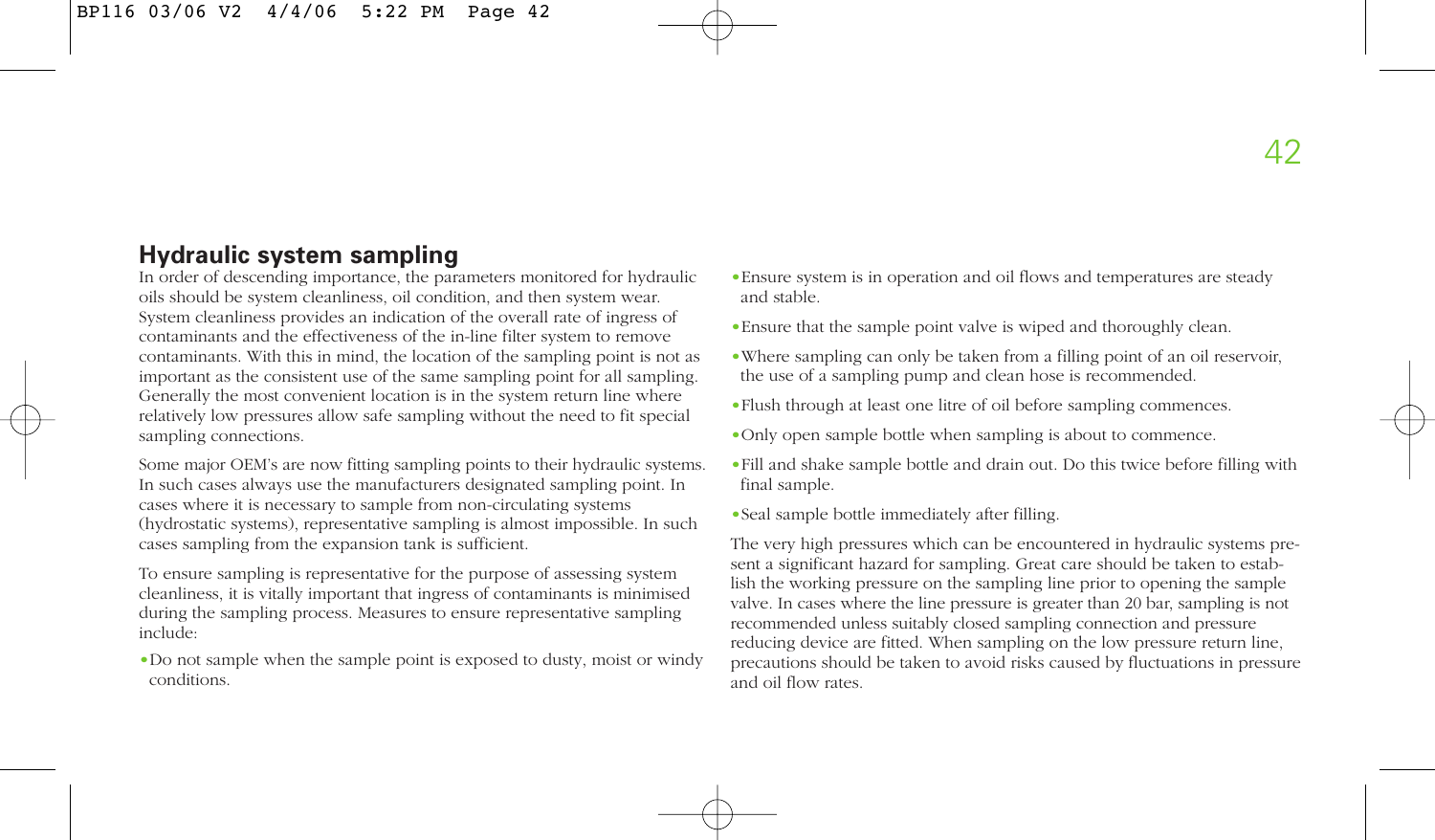# **Hydraulic system sampling**

In order of descending importance, the parameters monitored for hydraulic oils should be system cleanliness, oil condition, and then system wear. System cleanliness provides an indication of the overall rate of ingress of contaminants and the effectiveness of the in-line filter system to remove contaminants. With this in mind, the location of the sampling point is not as important as the consistent use of the same sampling point for all sampling. Generally the most convenient location is in the system return line where relatively low pressures allow safe sampling without the need to fit special sampling connections.

Some major OEM's are now fitting sampling points to their hydraulic systems. In such cases always use the manufacturers designated sampling point. In cases where it is necessary to sample from non-circulating systems (hydrostatic systems), representative sampling is almost impossible. In such cases sampling from the expansion tank is sufficient.

To ensure sampling is representative for the purpose of assessing system cleanliness, it is vitally important that ingress of contaminants is minimised during the sampling process. Measures to ensure representative sampling include:

•Do not sample when the sample point is exposed to dusty, moist or windy conditions.

- •Ensure system is in operation and oil flows and temperatures are steady and stable.
- •Ensure that the sample point valve is wiped and thoroughly clean.
- •Where sampling can only be taken from a filling point of an oil reservoir, the use of a sampling pump and clean hose is recommended.
- •Flush through at least one litre of oil before sampling commences.
- •Only open sample bottle when sampling is about to commence.
- •Fill and shake sample bottle and drain out. Do this twice before filling with final sample.
- •Seal sample bottle immediately after filling.

The very high pressures which can be encountered in hydraulic systems present a significant hazard for sampling. Great care should be taken to establish the working pressure on the sampling line prior to opening the sample valve. In cases where the line pressure is greater than 20 bar, sampling is not recommended unless suitably closed sampling connection and pressure reducing device are fitted. When sampling on the low pressure return line, precautions should be taken to avoid risks caused by fluctuations in pressure and oil flow rates.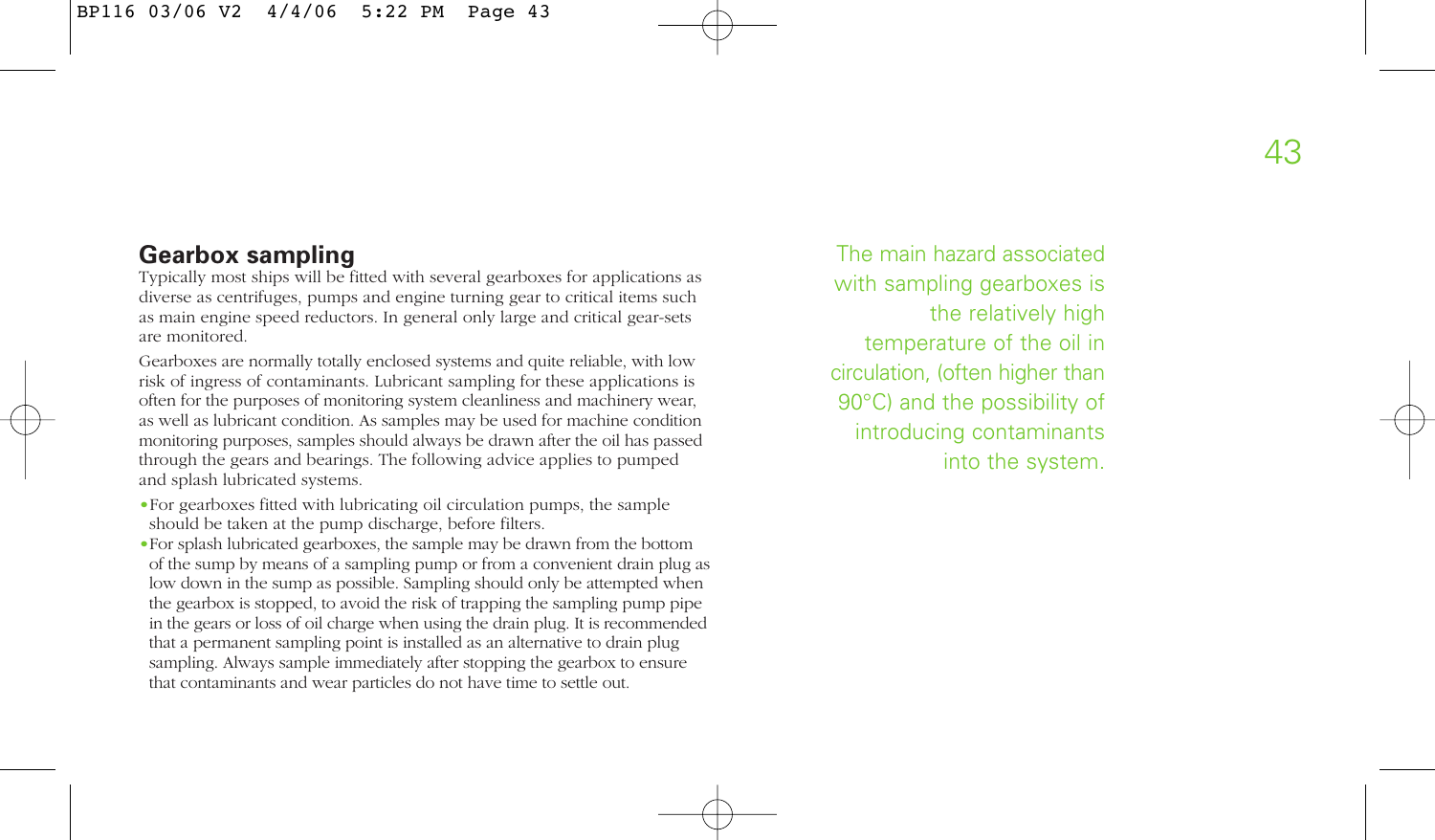# **Gearbox sampling**

Typically most ships will be fitted with several gearboxes for applications as diverse as centrifuges, pumps and engine turning gear to critical items such as main engine speed reductors. In general only large and critical gear-sets are monitored.

Gearboxes are normally totally enclosed systems and quite reliable, with low risk of ingress of contaminants. Lubricant sampling for these applications is often for the purposes of monitoring system cleanliness and machinery wear, as well as lubricant condition. As samples may be used for machine condition monitoring purposes, samples should always be drawn after the oil has passed through the gears and bearings. The following advice applies to pumped and splash lubricated systems.

- •For gearboxes fitted with lubricating oil circulation pumps, the sample should be taken at the pump discharge, before filters.
- •For splash lubricated gearboxes, the sample may be drawn from the bottom of the sump by means of a sampling pump or from a convenient drain plug as low down in the sump as possible. Sampling should only be attempted when the gearbox is stopped, to avoid the risk of trapping the sampling pump pipe in the gears or loss of oil charge when using the drain plug. It is recommended that a permanent sampling point is installed as an alternative to drain plug sampling. Always sample immediately after stopping the gearbox to ensure that contaminants and wear particles do not have time to settle out.

The main hazard associated with sampling gearboxes is the relatively high temperature of the oil in circulation, (often higher than 90°C) and the possibility of introducing contaminants into the system.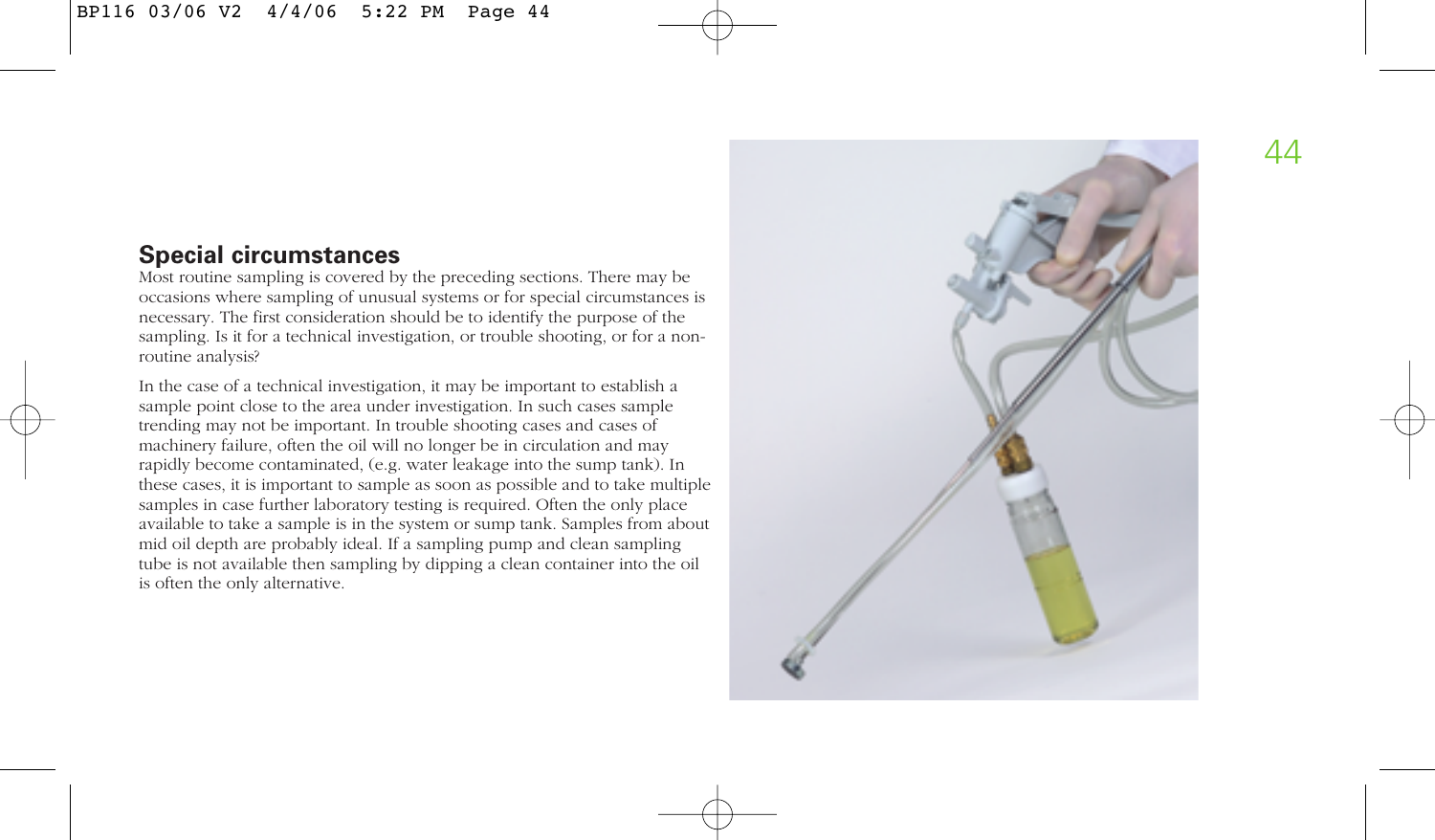# **Special circumstances**

Most routine sampling is covered by the preceding sections. There may be occasions where sampling of unusual systems or for special circumstances is necessary. The first consideration should be to identify the purpose of the sampling. Is it for a technical investigation, or trouble shooting, or for a nonroutine analysis?

In the case of a technical investigation, it may be important to establish a sample point close to the area under investigation. In such cases sample trending may not be important. In trouble shooting cases and cases of machinery failure, often the oil will no longer be in circulation and may rapidly become contaminated, (e.g. water leakage into the sump tank). In these cases, it is important to sample as soon as possible and to take multiple samples in case further laboratory testing is required. Often the only place available to take a sample is in the system or sump tank. Samples from about mid oil depth are probably ideal. If a sampling pump and clean sampling tube is not available then sampling by dipping a clean container into the oil is often the only alternative.

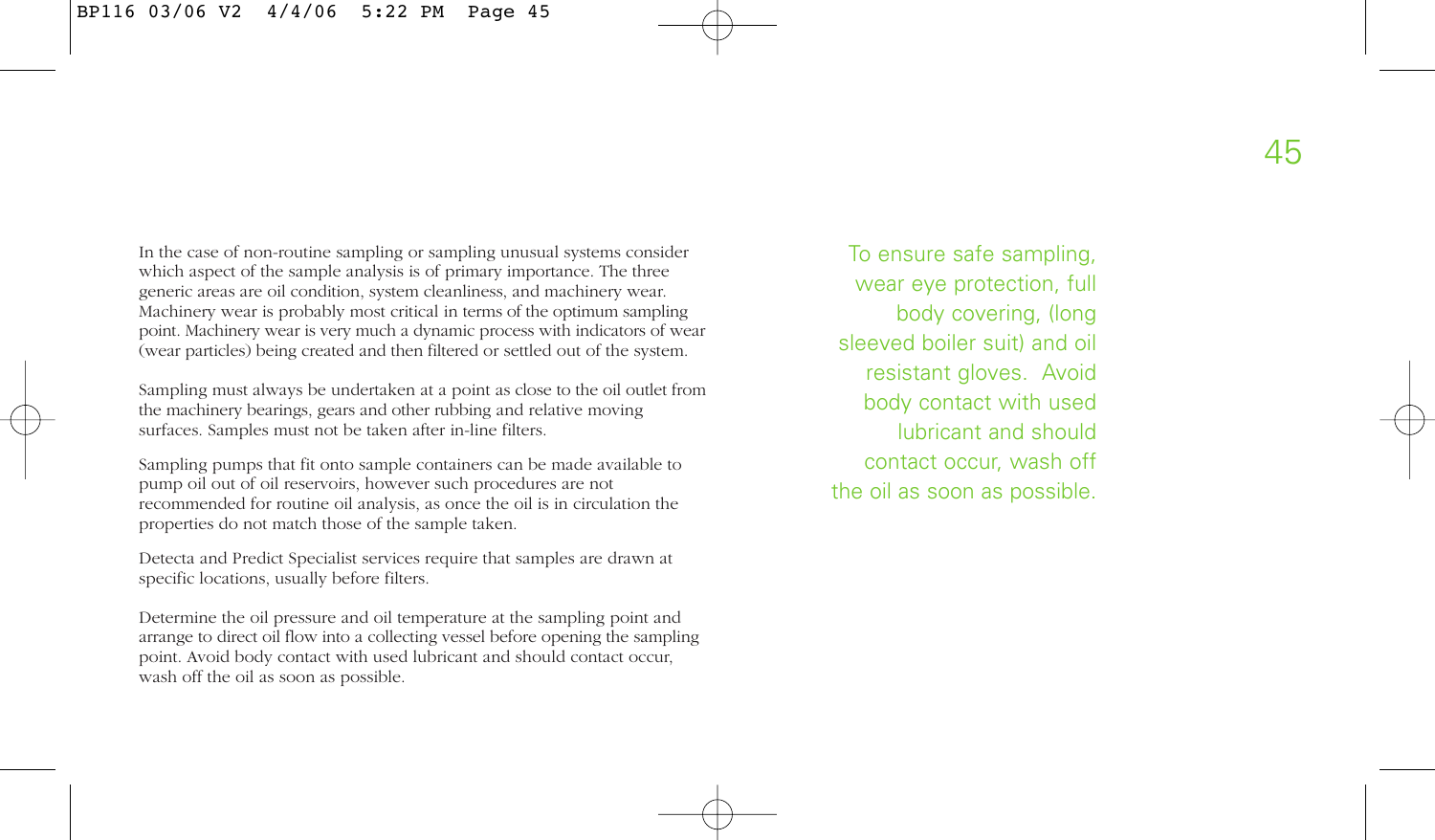In the case of non-routine sampling or sampling unusual systems consider which aspect of the sample analysis is of primary importance. The three generic areas are oil condition, system cleanliness, and machinery wear. Machinery wear is probably most critical in terms of the optimum sampling point. Machinery wear is very much a dynamic process with indicators of wear (wear particles) being created and then filtered or settled out of the system.

Sampling must always be undertaken at a point as close to the oil outlet from the machinery bearings, gears and other rubbing and relative moving surfaces. Samples must not be taken after in-line filters.

Sampling pumps that fit onto sample containers can be made available to pump oil out of oil reservoirs, however such procedures are not recommended for routine oil analysis, as once the oil is in circulation the properties do not match those of the sample taken.

Detecta and Predict Specialist services require that samples are drawn at specific locations, usually before filters.

Determine the oil pressure and oil temperature at the sampling point and arrange to direct oil flow into a collecting vessel before opening the sampling point. Avoid body contact with used lubricant and should contact occur, wash off the oil as soon as possible.

To ensure safe sampling, wear eye protection, full body covering, (long sleeved boiler suit) and oil resistant gloves. Avoid body contact with used lubricant and should contact occur, wash off the oil as soon as possible.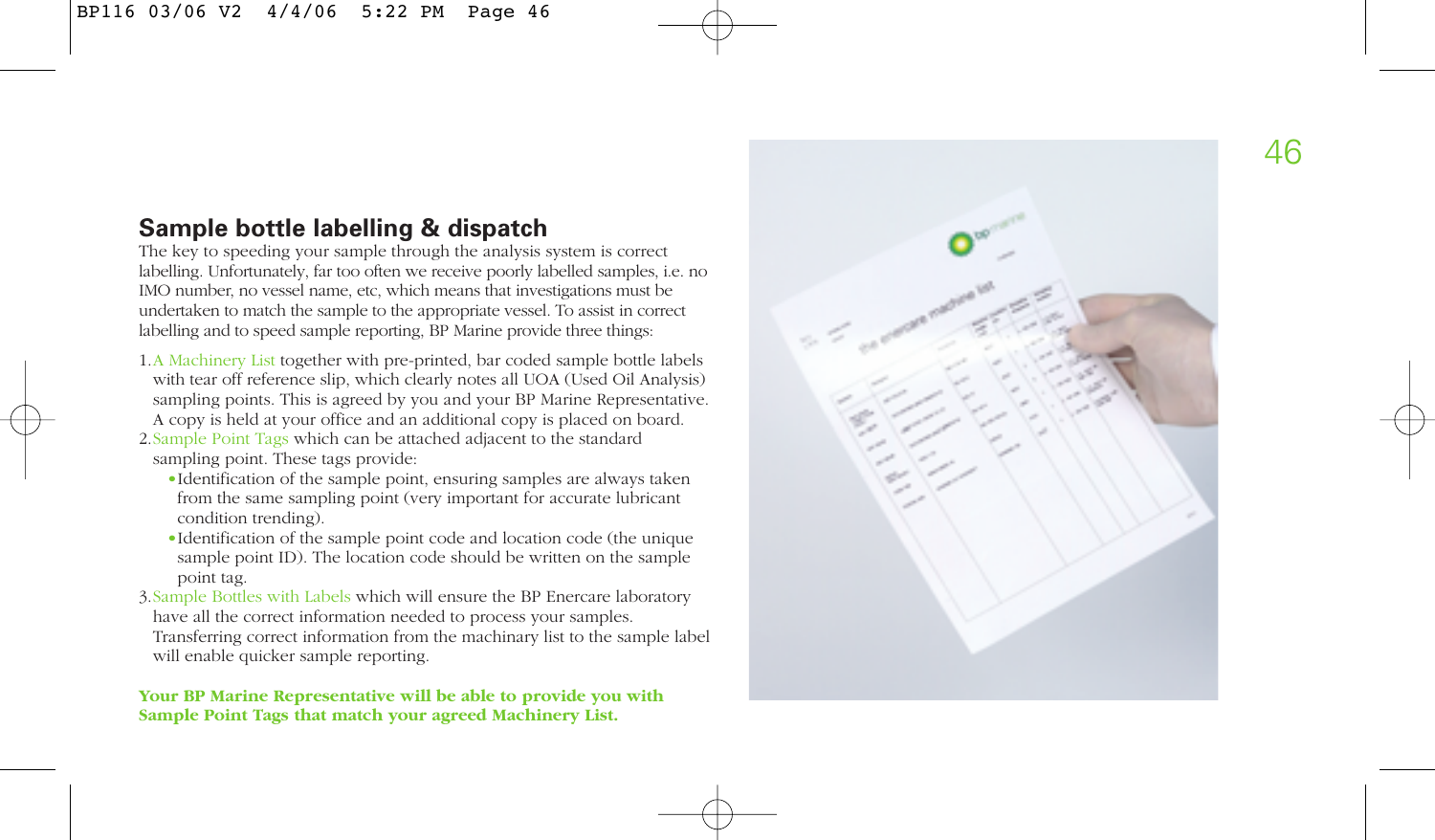# **Sample bottle labelling & dispatch**

The key to speeding your sample through the analysis system is correct labelling. Unfortunately, far too often we receive poorly labelled samples, i.e. no IMO number, no vessel name, etc, which means that investigations must be undertaken to match the sample to the appropriate vessel. To assist in correct labelling and to speed sample reporting, BP Marine provide three things:

1.A Machinery List together with pre-printed, bar coded sample bottle labels with tear off reference slip, which clearly notes all UOA (Used Oil Analysis) sampling points. This is agreed by you and your BP Marine Representative. A copy is held at your office and an additional copy is placed on board.

2.Sample Point Tags which can be attached adjacent to the standard sampling point. These tags provide:

- •Identification of the sample point, ensuring samples are always taken from the same sampling point (very important for accurate lubricant condition trending).
- •Identification of the sample point code and location code (the unique sample point ID). The location code should be written on the sample point tag.
- 3.Sample Bottles with Labels which will ensure the BP Enercare laboratory have all the correct information needed to process your samples. Transferring correct information from the machinary list to the sample label will enable quicker sample reporting.

**Your BP Marine Representative will be able to provide you with Sample Point Tags that match your agreed Machinery List.**

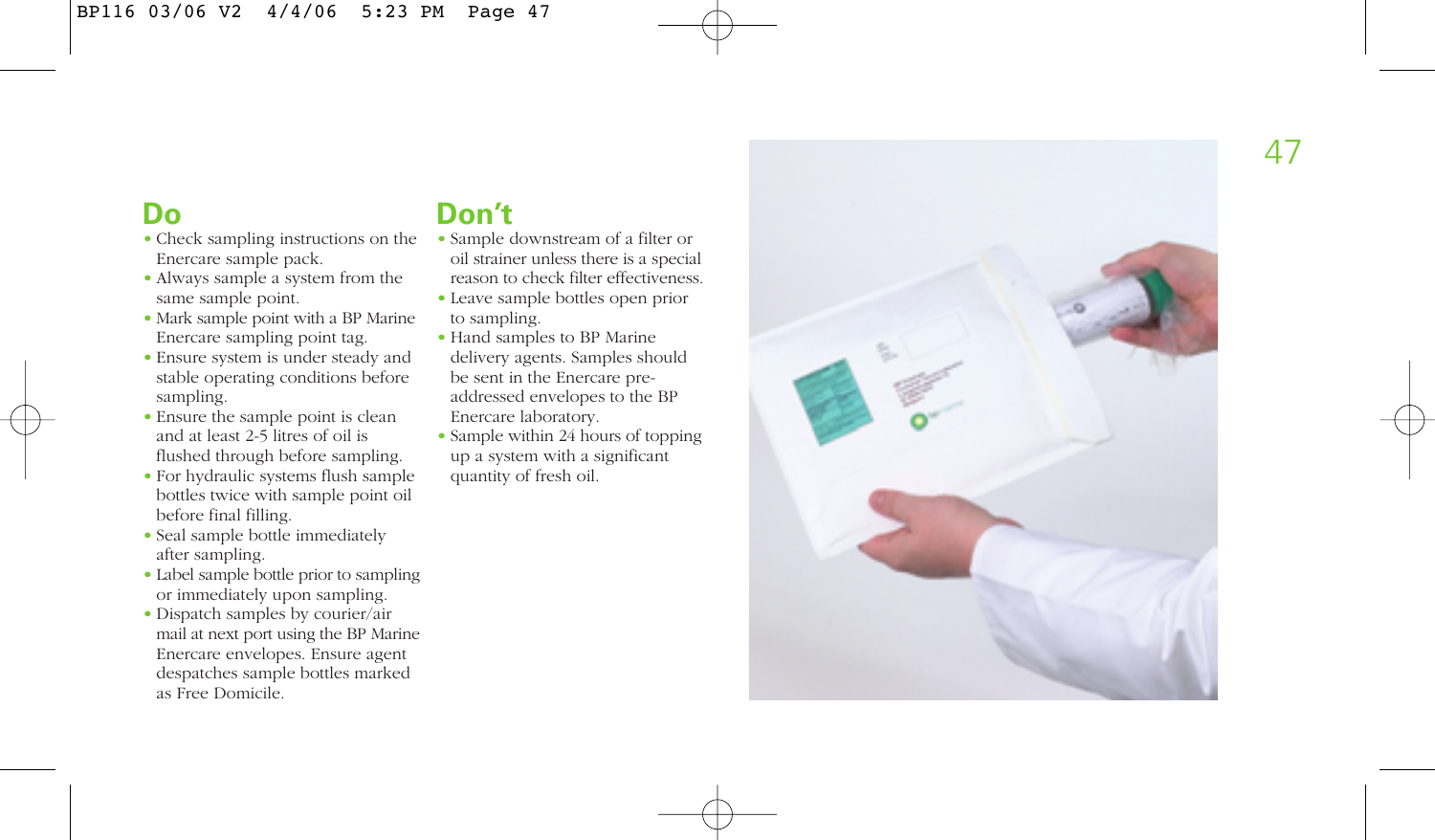# **Do**

- Check sampling instructions on the Enercare sample pack.
- Always sample a system from the same sample point.
- Mark sample point with a BP Marine Enercare sampling point tag.
- Ensure system is under steady and stable operating conditions before sampling.
- Ensure the sample point is clean and at least 2-5 litres of oil is flushed through before sampling.
- For hydraulic systems flush sample bottles twice with sample point oil before final filling.
- Seal sample bottle immediately after sampling.
- Label sample bottle prior to sampling or immediately upon sampling.
- Dispatch samples by courier/air mail at next port using the BP Marine Enercare envelopes. Ensure agent despatches sample bottles marked as Free Domicile.

# **Don't**

- Sample downstream of a filter or oil strainer unless there is a special reason to check filter effectiveness.
- Leave sample bottles open prior to sampling.
- Hand samples to BP Marine delivery agents. Samples should be sent in the Enercare preaddressed envelopes to the BP Enercare laboratory.
- Sample within 24 hours of topping up a system with a significant quantity of fresh oil.

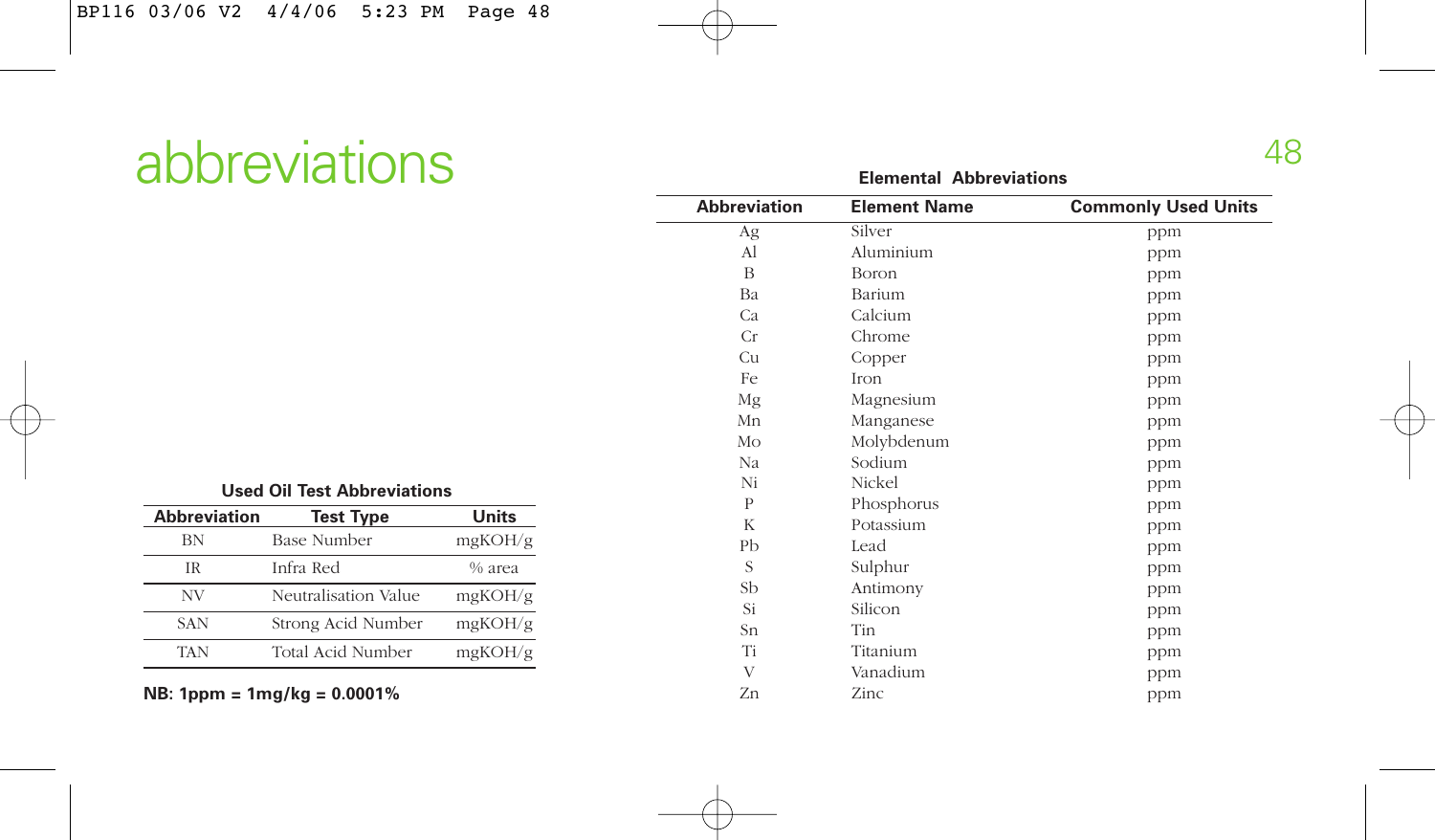# abbreviations 48

| <b>Abbreviation</b> | <b>Test Type</b>     | Units   |
|---------------------|----------------------|---------|
| BN                  | <b>Base Number</b>   | mgKOH/g |
| ΙR                  | Infra Red            | % area  |
| NV                  | Neutralisation Value | mgKOH/g |
| <b>SAN</b>          | Strong Acid Number   | mgKOH/g |
| <b>TAN</b>          | Total Acid Number    | mgKOH/g |

**NB: 1ppm = 1mg/kg = 0.0001%**

| <b>Abbreviation</b> | <b>Element Name</b> | <b>Commonly Used Units</b> |
|---------------------|---------------------|----------------------------|
| Ag                  | Silver              | ppm                        |
| Al                  | Aluminium           | ppm                        |
| B                   | Boron               | ppm                        |
| Ba                  | Barium              | ppm                        |
| Ca                  | Calcium             | ppm                        |
| Cr                  | Chrome              | ppm                        |
| Cu                  | Copper              | ppm                        |
| Fe                  | <b>Iron</b>         | ppm                        |
| Mg                  | Magnesium           | ppm                        |
| Mn                  | Manganese           | ppm                        |
| Mo                  | Molybdenum          | ppm                        |
| Na                  | Sodium              | ppm                        |
| Ni                  | Nickel              | ppm                        |
| P                   | Phosphorus          | ppm                        |
| K                   | Potassium           | ppm                        |
| Pb                  | Lead                | ppm                        |
| S                   | Sulphur             | ppm                        |
| Sb                  | Antimony            | ppm                        |
| Si                  | Silicon             | ppm                        |
| Sn                  | Tin                 | ppm                        |
| Ti                  | Titanium            | ppm                        |
| V                   | Vanadium            | ppm                        |
| Zn                  | Zinc                | ppm                        |

**Elemental Abbreviations**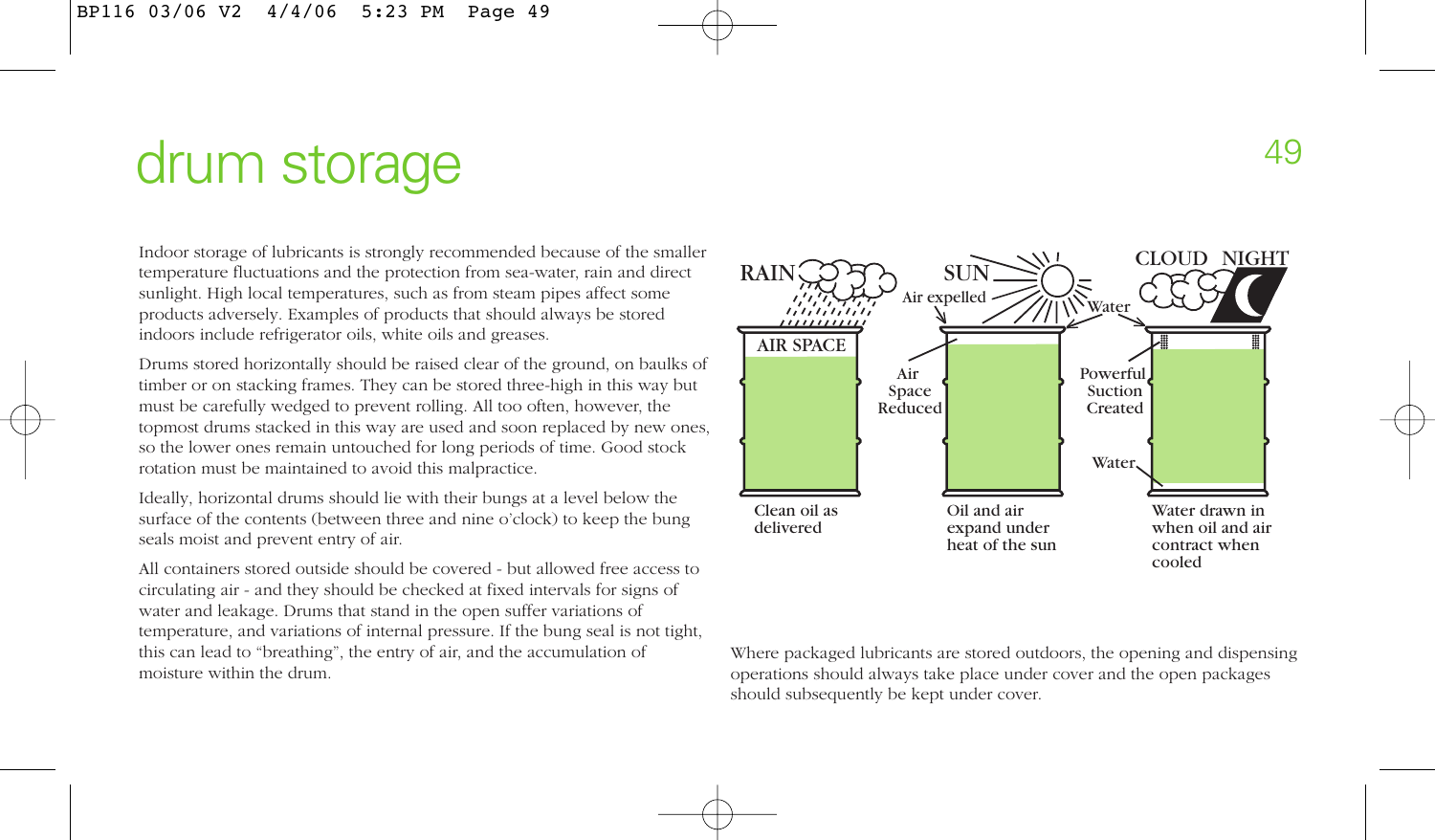# drum storage and the storage of the storage  $\frac{49}{49}$

Indoor storage of lubricants is strongly recommended because of the smaller temperature fluctuations and the protection from sea-water, rain and direct sunlight. High local temperatures, such as from steam pipes affect some products adversely. Examples of products that should always be stored indoors include refrigerator oils, white oils and greases.

Drums stored horizontally should be raised clear of the ground, on baulks of timber or on stacking frames. They can be stored three-high in this way but must be carefully wedged to prevent rolling. All too often, however, the topmost drums stacked in this way are used and soon replaced by new ones, so the lower ones remain untouched for long periods of time. Good stock rotation must be maintained to avoid this malpractice.

Ideally, horizontal drums should lie with their bungs at a level below the surface of the contents (between three and nine o'clock) to keep the bung seals moist and prevent entry of air.

All containers stored outside should be covered - but allowed free access to circulating air - and they should be checked at fixed intervals for signs of water and leakage. Drums that stand in the open suffer variations of temperature, and variations of internal pressure. If the bung seal is not tight, this can lead to "breathing", the entry of air, and the accumulation of moisture within the drum.



Where packaged lubricants are stored outdoors, the opening and dispensing operations should always take place under cover and the open packages should subsequently be kept under cover.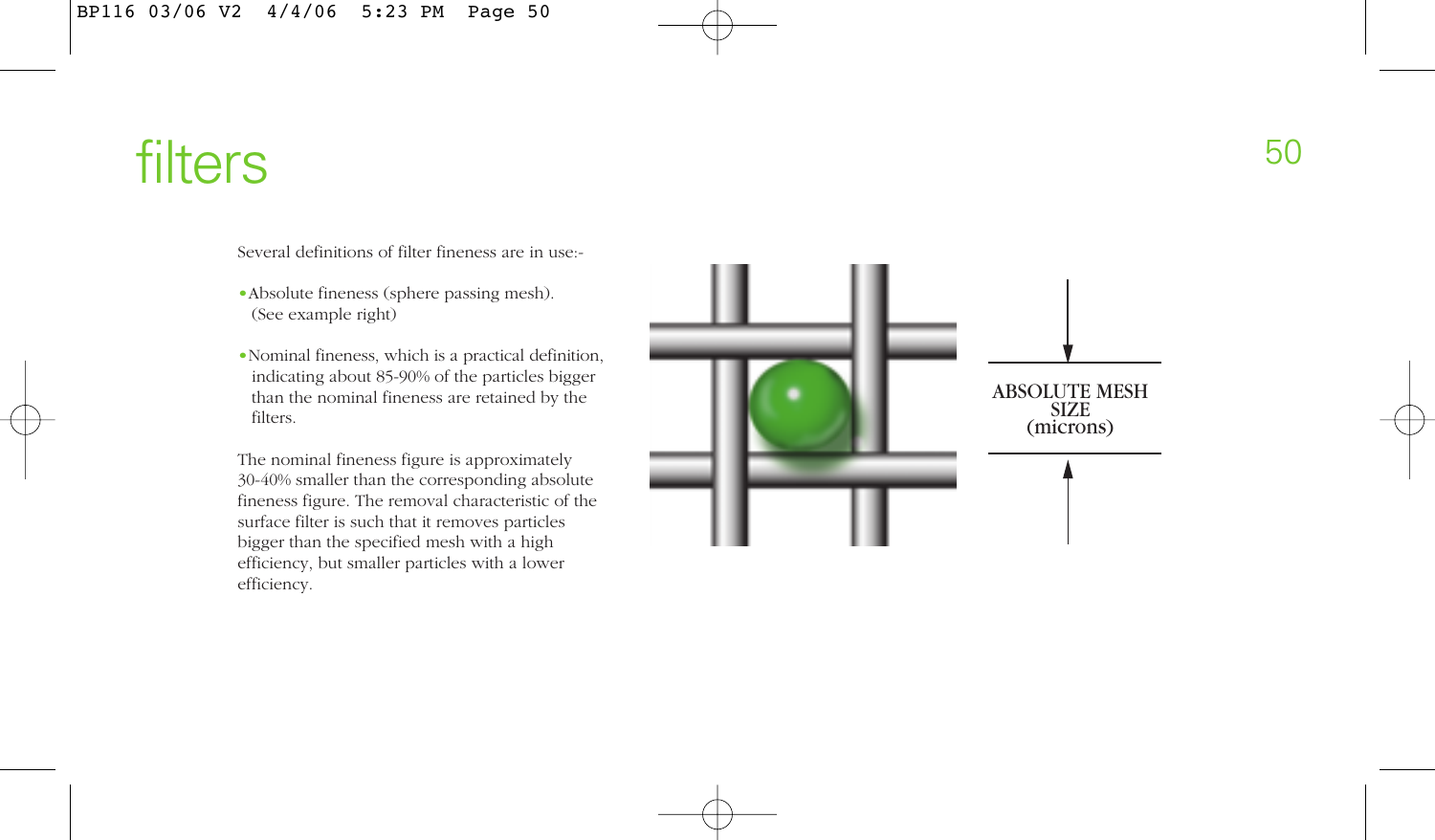filters 50

Several definitions of filter fineness are in use:-

- •Absolute fineness (sphere passing mesh). (See example right)
- •Nominal fineness, which is a practical definition, indicating about 85-90% of the particles bigger than the nominal fineness are retained by the filters.

The nominal fineness figure is approximately 30-40% smaller than the corresponding absolute fineness figure. The removal characteristic of the surface filter is such that it removes particles bigger than the specified mesh with a high efficiency, but smaller particles with a lower efficiency.

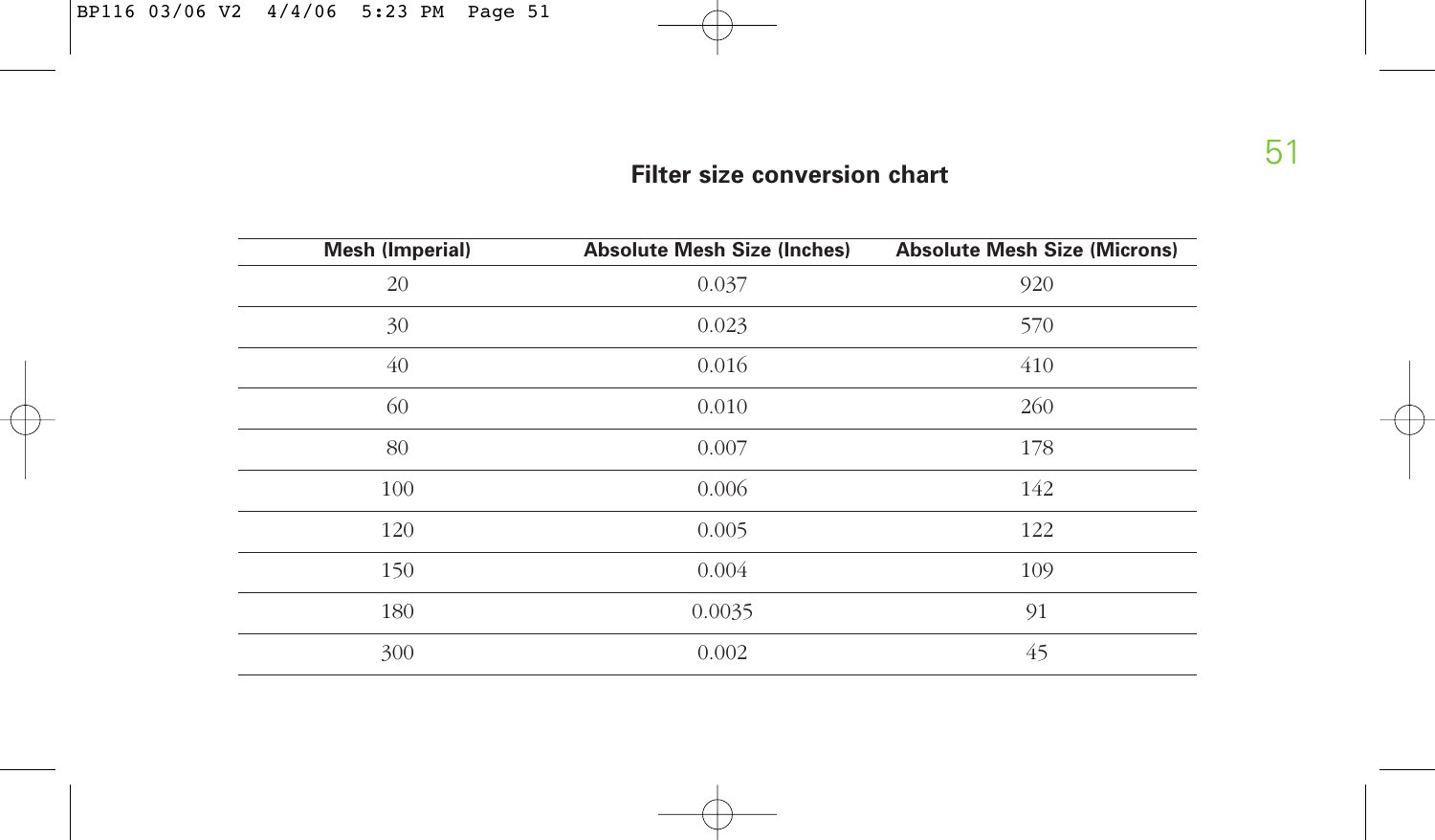# **Filter size conversion chart**

| <b>Mesh (Imperial)</b> | <b>Absolute Mesh Size (Inches)</b> | <b>Absolute Mesh Size (Microns)</b> |
|------------------------|------------------------------------|-------------------------------------|
| 20                     | 0.037                              | 920                                 |
| 30                     | 0.023                              | 570                                 |
| 40                     | 0.016                              | 410                                 |
| 60                     | 0.010                              | 260                                 |
| 80                     | 0.007                              | 178                                 |
| 100                    | 0.006                              | 142                                 |
| 120                    | 0.005                              | 122                                 |
| 150                    | 0.004                              | 109                                 |
| 180                    | 0.0035                             | 91                                  |
| 300                    | 0.002                              | 45                                  |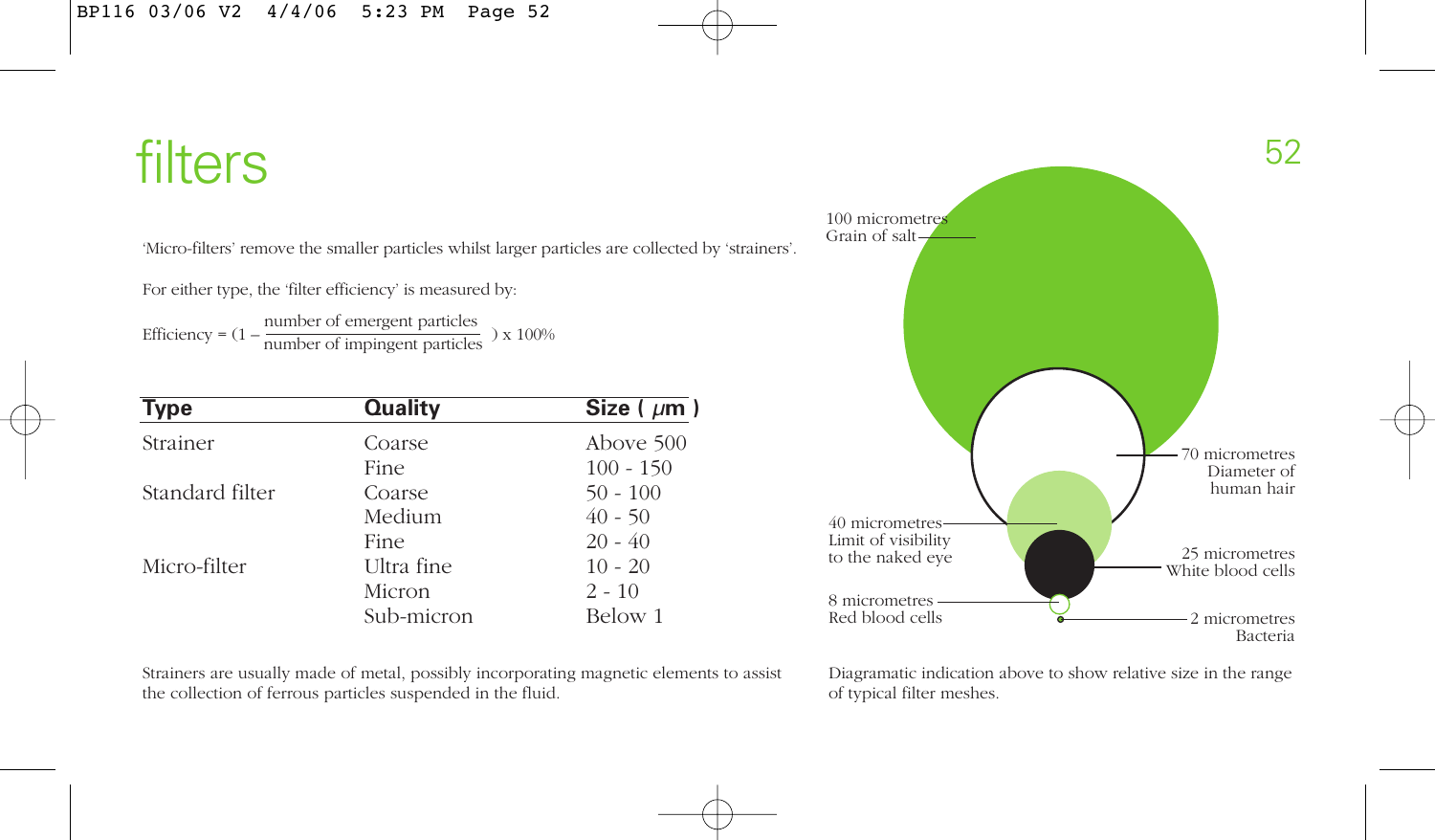# filters 52

'Micro-filters' remove the smaller particles whilst larger particles are collected by 'strainers'.

For either type, the 'filter efficiency' is measured by:

Efficiency =  $(1 - \frac{\text{number of emergent particles}}{\text{number of impingent particles}}) \times 100\%$ 

| <b>Type</b>     | <b>Quality</b> | Size ( $\mu$ m) |
|-----------------|----------------|-----------------|
| Strainer        | Coarse         | Above 500       |
|                 | Fine           | $100 - 150$     |
| Standard filter | Coarse         | $50 - 100$      |
|                 | Medium         | $40 - 50$       |
|                 | Fine           | $20 - 40$       |
| Micro-filter    | Ultra fine     | $10 - 20$       |
|                 | Micron         | $2 - 10$        |
|                 | Sub-micron     | Below 1         |

40 micrometres Limit of visibility to the naked eye 8 micrometres 70 micrometres Diameter of human hair 25 micrometres White blood cells

100 micrometres Grain of salt

Red blood cells

Strainers are usually made of metal, possibly incorporating magnetic elements to assist the collection of ferrous particles suspended in the fluid.

Diagramatic indication above to show relative size in the range of typical filter meshes.

2 micrometres Bacteria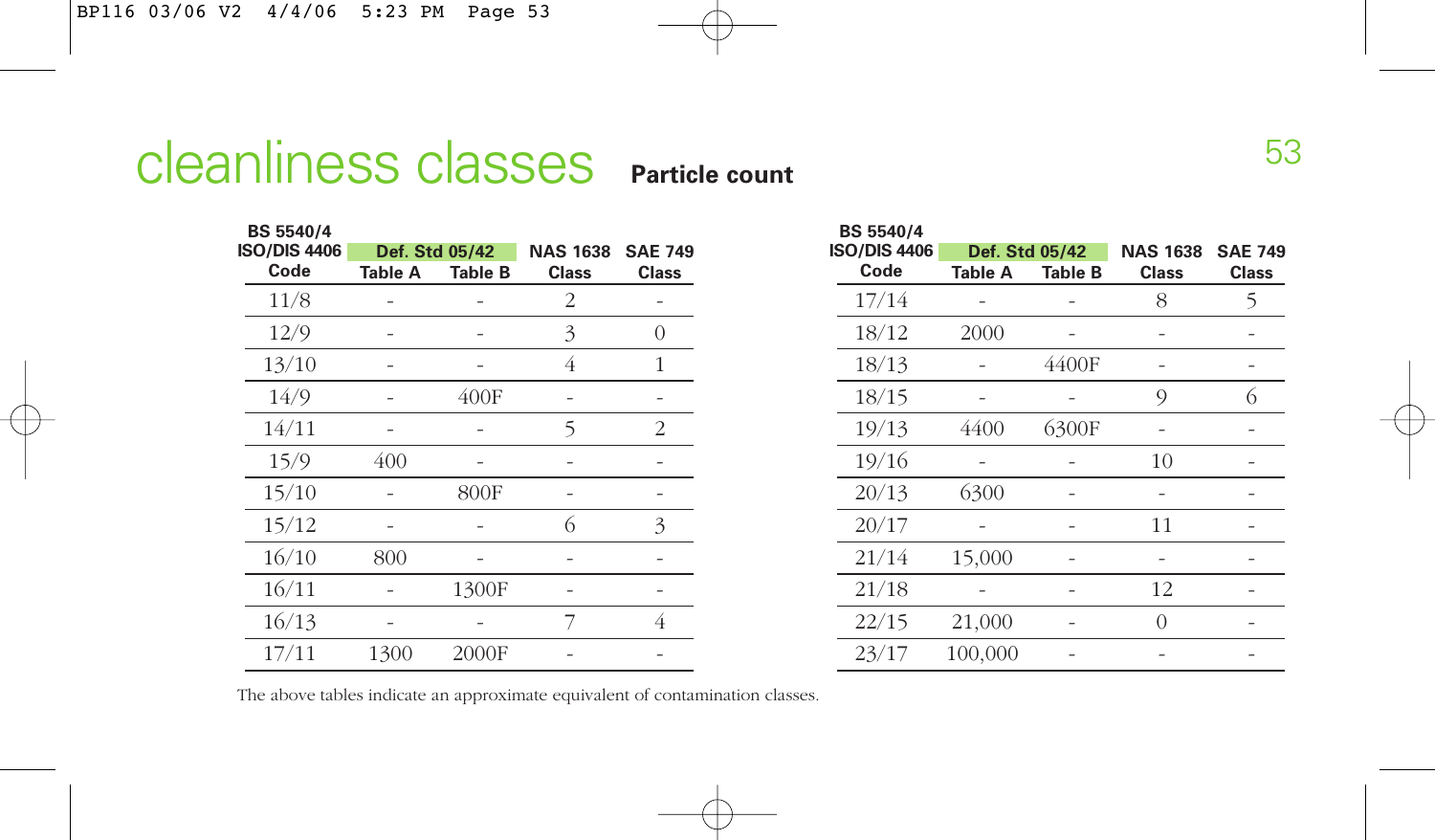# **Cleanliness classes** Particle count<br> **Particle count**

**BS 5540/4**

| <b>BS 5540/4</b>    |         |                |                 |                |
|---------------------|---------|----------------|-----------------|----------------|
| <b>ISO/DIS 4406</b> |         | Def. Std 05/42 | <b>NAS 1638</b> | <b>SAE 749</b> |
| Code                | Table A | <b>Table B</b> | <b>Class</b>    | <b>Class</b>   |
| 11/8                |         |                | 2               |                |
| 12/9                |         |                | 3               | Ω              |
| 13/10               |         |                | 4               | 1              |
| 14/9                |         | 400F           |                 |                |
| 14/11               |         |                | 5               | 2              |
| 15/9                | 400     |                |                 |                |
| 15/10               |         | 800F           |                 |                |
| 15/12               |         |                | 6               | 3              |
| 16/10               | 800     |                |                 |                |
| 16/11               |         | 1300F          |                 |                |
| 16/13               |         |                | 7               | 4              |
| 17/11               | 1300    | 2000F          |                 |                |
|                     |         |                |                 |                |

| <b>PO+014</b>       |                |                |                 |                |
|---------------------|----------------|----------------|-----------------|----------------|
| <b>ISO/DIS 4406</b> | Def. Std 05/42 |                | <b>NAS 1638</b> | <b>SAE 749</b> |
| Code                | <b>Table A</b> | <b>Table B</b> | <b>Class</b>    | <b>Class</b>   |
| 17/14               |                |                | 8               | 5              |
| 18/12               | 2000           |                |                 |                |
| 18/13               |                | 4400F          |                 |                |
| 18/15               |                |                | 9               | 6              |
| 19/13               | 4400           | 6300F          |                 |                |
| 19/16               |                |                | 10              |                |
| 20/13               | 6300           |                |                 |                |
| 20/17               |                |                | 11              |                |
| 21/14               | 15,000         |                |                 |                |
| 21/18               |                |                | 12              |                |
| 22/15               | 21,000         |                | $\Omega$        |                |
| 23/17               | 100,000        |                |                 |                |

The above tables indicate an approximate equivalent of contamination classes.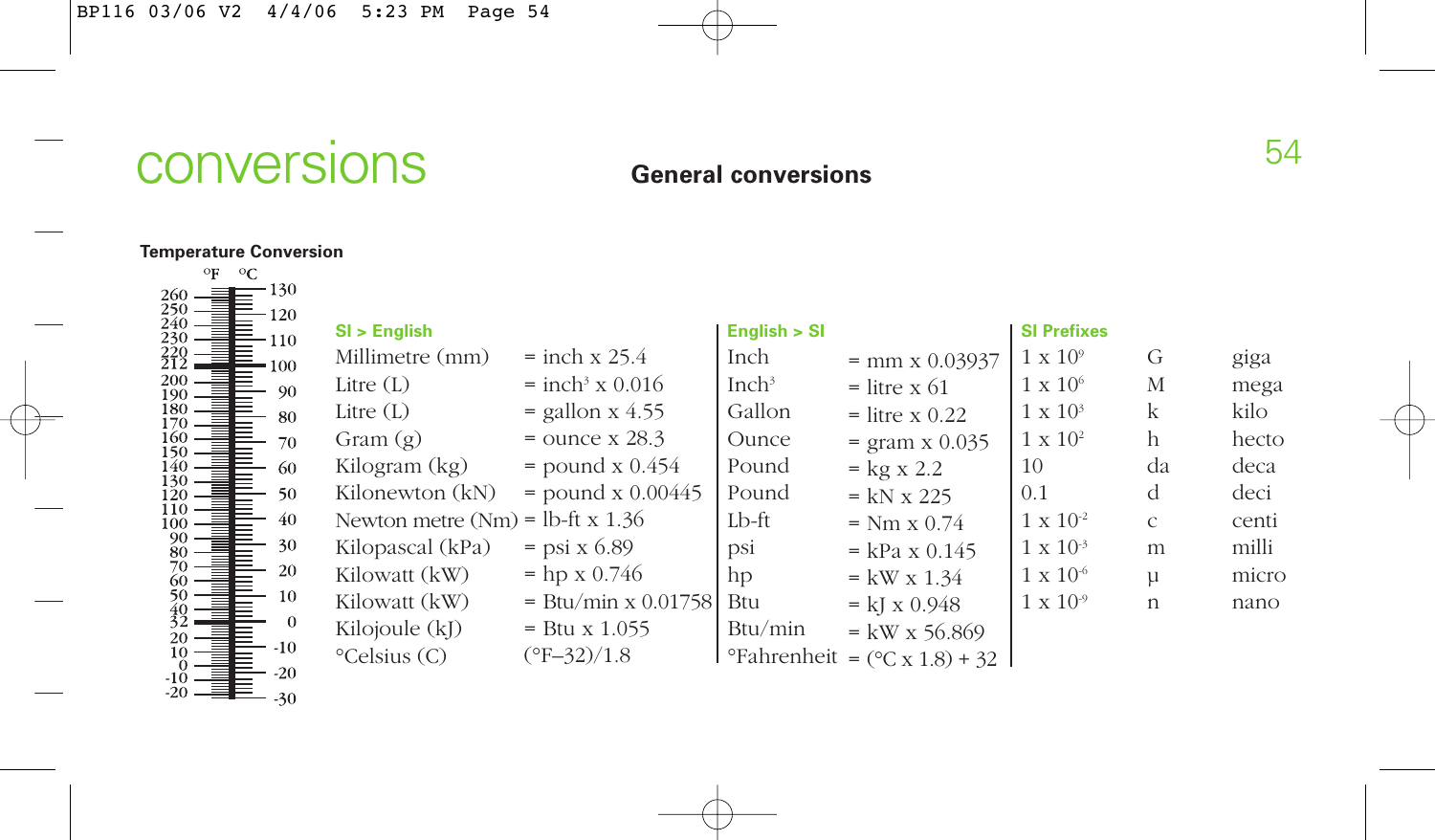# conversions 64

# **General conversions**

# **Temperature Conversion**

| οF         | $\circ$ C |                |
|------------|-----------|----------------|
| 260<br>250 |           | 130            |
|            |           | 120            |
| 240<br>230 |           | 110            |
| 20<br>12   |           | 100            |
| 200<br>190 |           | 90             |
| 180        |           | 80             |
| 170<br>160 |           | 70             |
| 150<br>140 |           | 60             |
| 130        |           |                |
| 120        |           | 50             |
| 110<br>100 |           | 40             |
| 90<br>80   |           | 30             |
| 70         |           | 20             |
| 60<br>50   |           | 10             |
| 40         |           |                |
| 32         |           | $\overline{0}$ |
| 20<br>10   |           | $-10$          |
| 0<br>-10   |           | $-20$          |
| -20        |           | -30            |

| SI > English                       |                               | English > SI      |                                                              | <b>SI Prefixes</b> |               |       |
|------------------------------------|-------------------------------|-------------------|--------------------------------------------------------------|--------------------|---------------|-------|
| Millimetre (mm)                    | $=$ inch x 25.4               | Inch              | $=$ mm x 0.03937                                             | $1 \times 10^{9}$  | G             | giga  |
| Litre $(L)$                        | $=$ inch <sup>3</sup> x 0.016 | Inch <sup>3</sup> | $=$ litre x 61                                               | $1 \times 10^6$    | М             | mega  |
| Litre $(L)$                        | $=$ gallon x 4.55             | Gallon            | $=$ litre x $0.22$                                           | $1 \times 10^3$    | $\mathbf k$   | kilo  |
| Gram $(g)$                         | $=$ ounce x 28.3              | Ounce             | $=$ gram x 0.035                                             | $1 \times 10^2$    | h             | hecto |
| Kilogram (kg)                      | $=$ pound x $0.454$           | Pound             | $=$ kg x 2.2                                                 | 10                 | da            | deca  |
| Kilonewton (kN)                    | $=$ pound x 0.00445           | Pound             | $=$ kN x 225                                                 | 0.1                | d             | deci  |
| Newton metre $(Nm)$ = lb-ft x 1.36 |                               | $Lb$ -ft          | $= Nm \times 0.74$                                           | $1 \times 10^{-2}$ | $\mathcal{C}$ | centi |
| Kilopascal (kPa)                   | $=$ psi x 6.89                | psi               | $=$ kPa x 0.145                                              | $1 \times 10^{-3}$ | m             | milli |
| Kilowatt (kW)                      | $=$ hp x 0.746                | hp                | $=$ kW x 1.34                                                | $1 \times 10^{-6}$ | $\mu$         | micro |
| Kilowatt (kW)                      | $=$ Btu/min x 0.01758         | <b>Btu</b>        | $= kI \times 0.948$                                          | $1 \times 10^{-9}$ | $\mathsf{n}$  | nano  |
| Kilojoule (kJ)                     | $=$ Btu x 1.055               | Btu/min           | $=$ kW x 56.869                                              |                    |               |       |
| $^{\circ}$ Celsius (C)             | $(^{\circ}F - 32)/1.8$        |                   | $\textdegree$ Fahrenheit = $(\textdegree C \times 1.8) + 32$ |                    |               |       |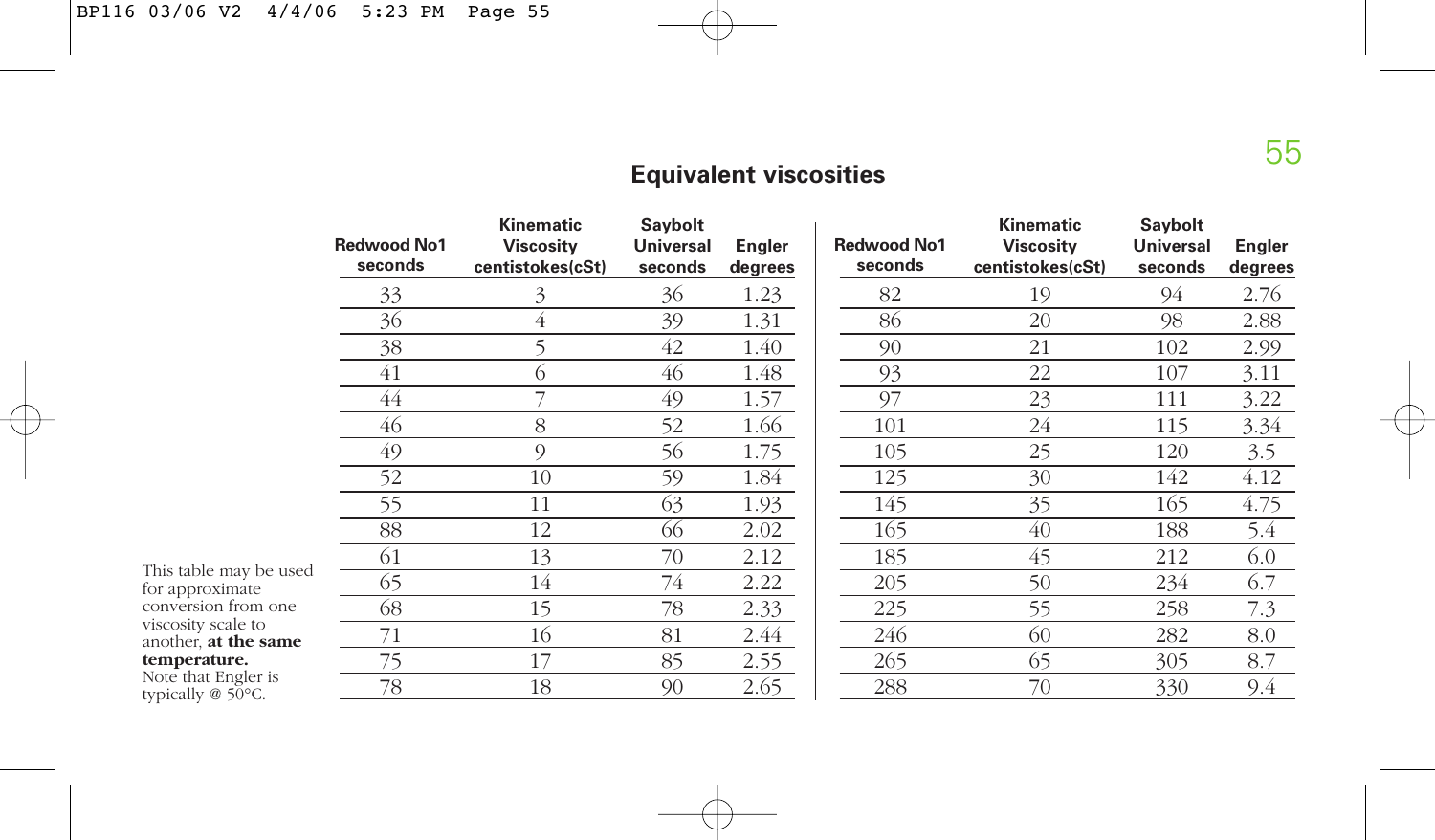# **Equivalent viscosities**

|                                                | <b>Redwood No1</b><br>seconds | Kinematic<br><b>Viscosity</b><br>centistokes(cSt) | Saybolt<br><b>Universal</b><br>seconds | Engler<br>degrees | <b>Redwood No1</b><br>seconds | Kinematic<br><b>Viscosity</b><br>centistokes(cSt) | <b>Saybolt</b><br><b>Universal</b><br>seconds | Engler<br>degrees |
|------------------------------------------------|-------------------------------|---------------------------------------------------|----------------------------------------|-------------------|-------------------------------|---------------------------------------------------|-----------------------------------------------|-------------------|
|                                                | 33                            | 3                                                 | 36                                     | 1.23              | 82                            | 19                                                | 94                                            | 2.76              |
|                                                | 36                            | 4                                                 | 39                                     | 1.31              | 86                            | 20                                                | 98                                            | 2.88              |
|                                                | 38                            |                                                   | 42                                     | 1.40              | 90                            | 21                                                | 102                                           | 2.99              |
|                                                | 41                            | (ე                                                | 46                                     | 1.48              | 93                            | 22                                                | 107                                           | 3.11              |
|                                                | 44                            |                                                   | 49                                     | 1.57              | 97                            | 23                                                | 111                                           | 3.22              |
|                                                | 46                            | 8                                                 | 52                                     | 1.66              | 101                           | 24                                                | 115                                           | 3.34              |
|                                                | 49                            | 9                                                 | 56                                     | 1.75              | 105                           | 25                                                | 120                                           | 3.5               |
|                                                | 52                            | 10                                                | 59                                     | 1.84              | 125                           | 30                                                | 142                                           | 4.12              |
|                                                | 55                            | 11                                                | 63                                     | 1.93              | 145                           | 35                                                | 165                                           | 4.75              |
|                                                | 88                            | 12                                                | 66                                     | 2.02              | 165                           | 40                                                | 188                                           | 5.4               |
|                                                | 61                            | 13                                                | 70                                     | 2.12              | 185                           | 45                                                | 212                                           | 6.0               |
| This table may be used<br>for approximate      | 65                            | 14                                                | 74                                     | 2.22              | 205                           | 50                                                | 234                                           | 6.7               |
| conversion from one                            | 68                            | 15                                                | 78                                     | 2.33              | 225                           | 55                                                | 258                                           | 7.3               |
| viscosity scale to<br>another, at the same     | 71                            | 16                                                | 81                                     | 2.44              | 246                           | 60                                                | 282                                           | 8.0               |
| temperature.                                   | 75                            | 17                                                | 85                                     | 2.55              | 265                           | 65                                                | 305                                           | 8.7               |
| Note that Engler is<br>typically $@$ 50 $°C$ . | 78                            | 18                                                | 90                                     | 2.65              | 288                           | 70                                                | 330                                           | 9.4               |

**temperature.** Note that Engler is typically @ 50°C.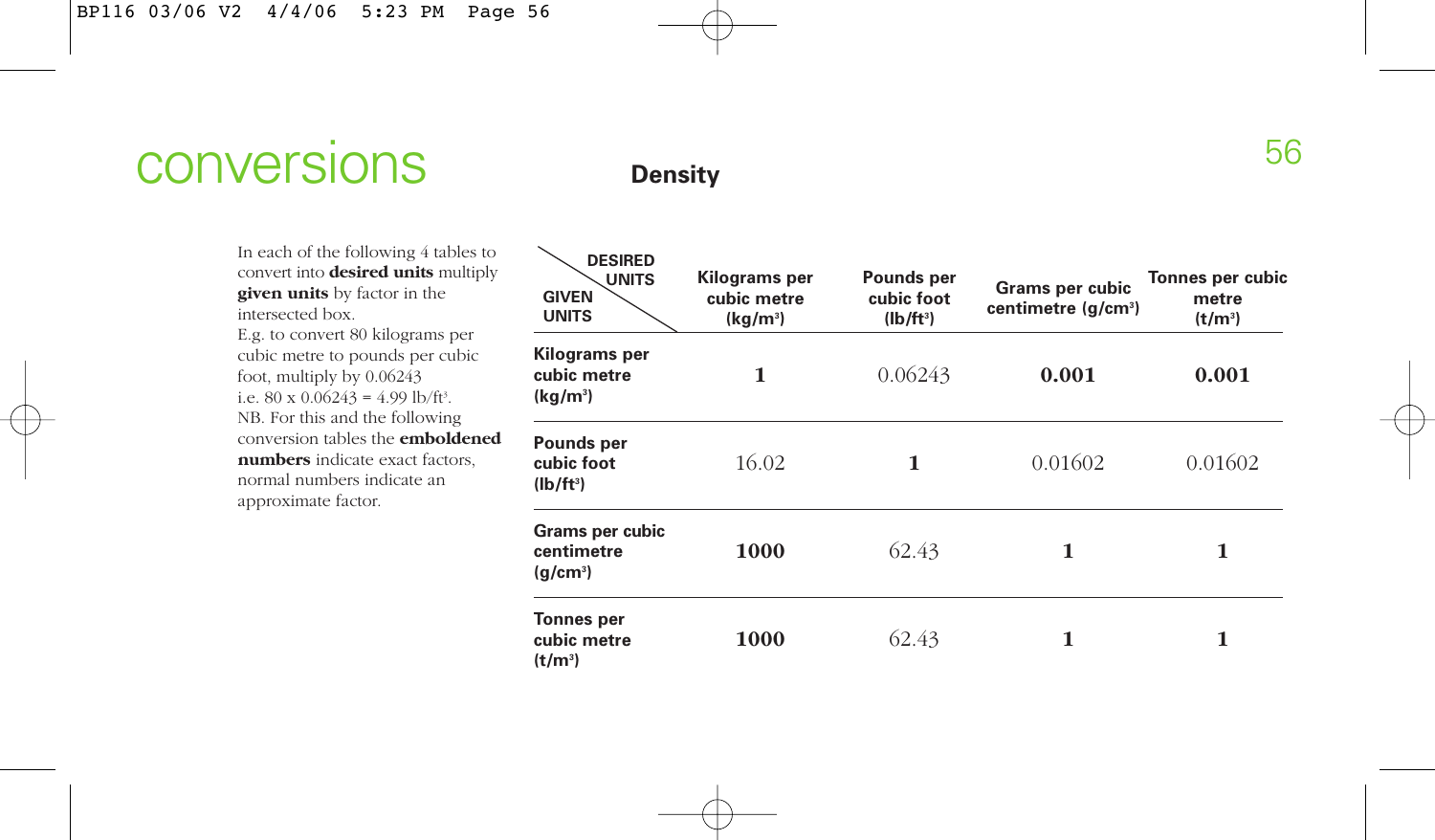# **CONVETSIONS** Density

In each of the following 4 tables to convert into **desired units** multiply **given units** by factor in the intersected box.

E.g. to convert 80 kilograms per cubic metre to pounds per cubic foot, multiply by 0.06243 i.e.  $80 \times 0.06243 = 4.99 \text{ lb/ft}$ NB. For this and the following conversion tables the **emboldened numbers** indicate exact factors, normal numbers indicate an approximate factor.

| <b>DESIRED</b><br><b>UNITS</b><br><b>GIVEN</b><br><b>UNITS</b> | Kilograms per<br>cubic metre<br>$(kq/m^3)$ | Pounds per<br>cubic foot<br>$(Ib/ft^3)$ | Grams per cubic<br>centimetre (g/cm <sup>3</sup> ) | Tonnes per cubio<br>metre<br>$(t/m^3)$ |  |
|----------------------------------------------------------------|--------------------------------------------|-----------------------------------------|----------------------------------------------------|----------------------------------------|--|
| Kilograms per<br>cubic metre<br>$(kq/m^3)$                     | 1                                          | 0.06243                                 | 0.001                                              | 0.001                                  |  |
| Pounds per<br>cubic foot<br>$(lb/ft^3)$                        | 16.02                                      | 1                                       | 0.01602                                            | 0.01602                                |  |
| Grams per cubic<br>centimetre<br>(g/cm <sup>3</sup> )          | 1000                                       | 62.43                                   | 1                                                  | 1                                      |  |
| Tonnes per<br>cubic metre<br>$(t/m^3)$                         | 1000                                       | 62.43                                   | 1                                                  | 1                                      |  |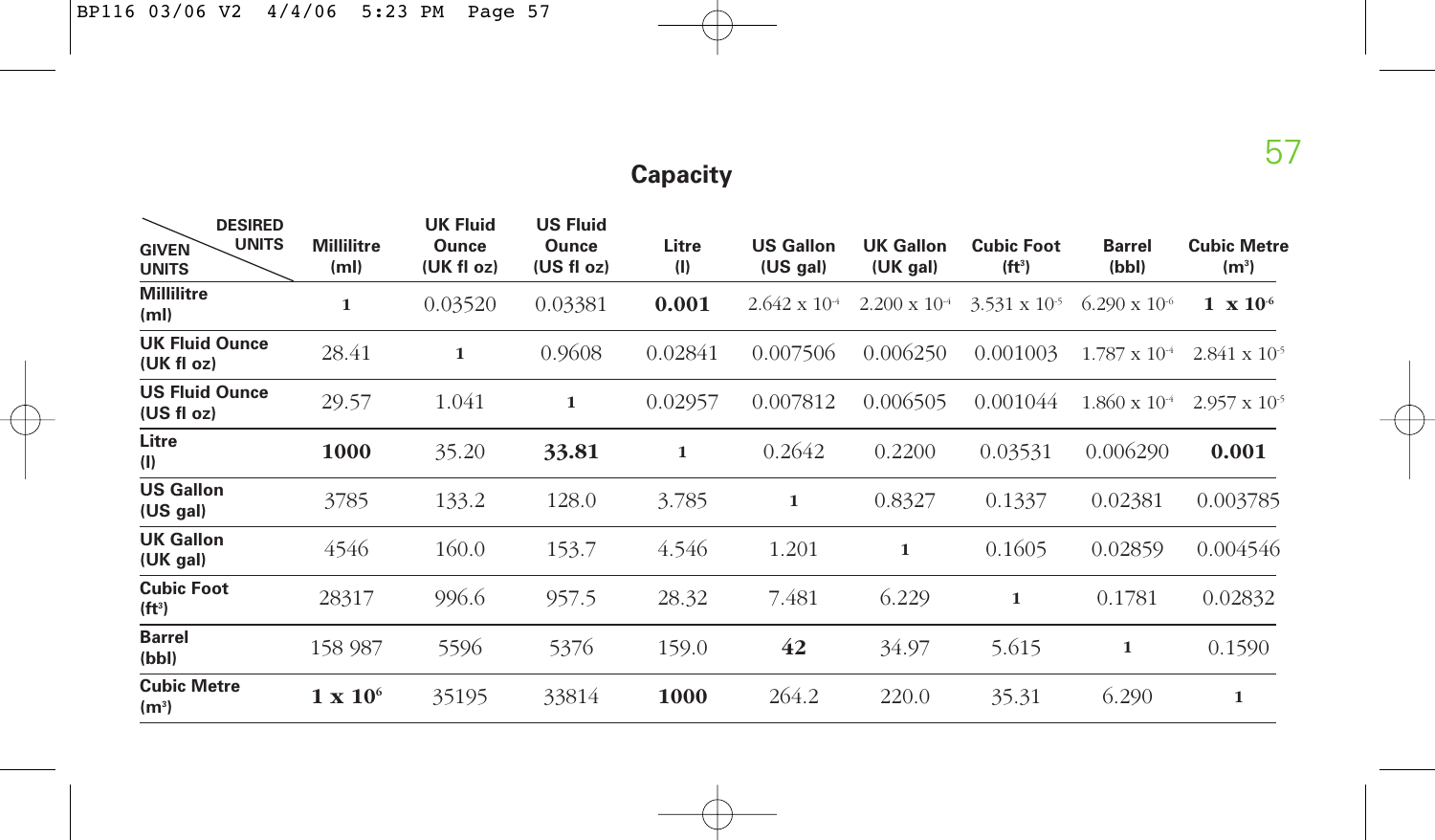# **Capacity**

| <b>DESIRED</b><br><b>UNITS</b><br><b>GIVEN</b><br><b>UNITS</b> | <b>Millilitre</b><br>(m <sub>l</sub> ) | <b>UK Fluid</b><br>Ounce<br>(UK fl oz) | <b>US Fluid</b><br><b>Ounce</b><br>(US f1 oz) | Litre<br>(1) | <b>US Gallon</b><br>(US gal) | <b>UK Gallon</b><br>(UK gal) | <b>Cubic Foot</b><br>(f t <sup>3</sup> ) | <b>Barrel</b><br>(bbl) | <b>Cubic Metre</b><br>(m <sup>3</sup> ) |
|----------------------------------------------------------------|----------------------------------------|----------------------------------------|-----------------------------------------------|--------------|------------------------------|------------------------------|------------------------------------------|------------------------|-----------------------------------------|
| <b>Millilitre</b><br>(m <sub>l</sub> )                         | 1                                      | 0.03520                                | 0.03381                                       | 0.001        | $2.642 \times 10^{-4}$       | $2.200 \times 10^{-4}$       | $3.531 \times 10^{-5}$                   | $6.290 \times 10^{-6}$ | $1 \times 10^{-6}$                      |
| <b>UK Fluid Ounce</b><br>(UK fl oz)                            | 28.41                                  | 1                                      | 0.9608                                        | 0.02841      | 0.007506                     | 0.006250                     | 0.001003                                 | $1.787 \times 10^{-4}$ | $2.841 \times 10^{-5}$                  |
| <b>US Fluid Ounce</b><br>(US fl oz)                            | 29.57                                  | 1.041                                  | $\mathbf{1}$                                  | 0.02957      | 0.007812                     | 0.006505                     | 0.001044                                 | $1.860 \times 10^{-4}$ | $2.957 \times 10^{-5}$                  |
| Litre<br>(1)                                                   | 1000                                   | 35.20                                  | 33.81                                         | 1            | 0.2642                       | 0.2200                       | 0.03531                                  | 0.006290               | 0.001                                   |
| <b>US Gallon</b><br>(US gal)                                   | 3785                                   | 133.2                                  | 128.0                                         | 3.785        | $\mathbf{1}$                 | 0.8327                       | 0.1337                                   | 0.02381                | 0.003785                                |
| <b>UK Gallon</b><br>(UK gal)                                   | 4546                                   | 160.0                                  | 153.7                                         | 4.546        | 1.201                        | 1                            | 0.1605                                   | 0.02859                | 0.004546                                |
| <b>Cubic Foot</b><br>(f t <sup>3</sup> )                       | 28317                                  | 996.6                                  | 957.5                                         | 28.32        | 7.481                        | 6.229                        | 1                                        | 0.1781                 | 0.02832                                 |
| <b>Barrel</b><br>(bbl)                                         | 158 987                                | 5596                                   | 5376                                          | 159.0        | 42                           | 34.97                        | 5.615                                    | 1                      | 0.1590                                  |
| <b>Cubic Metre</b><br>(m <sup>3</sup> )                        | $1 \times 10^6$                        | 35195                                  | 33814                                         | 1000         | 264.2                        | 220.0                        | 35.31                                    | 6.290                  | 1                                       |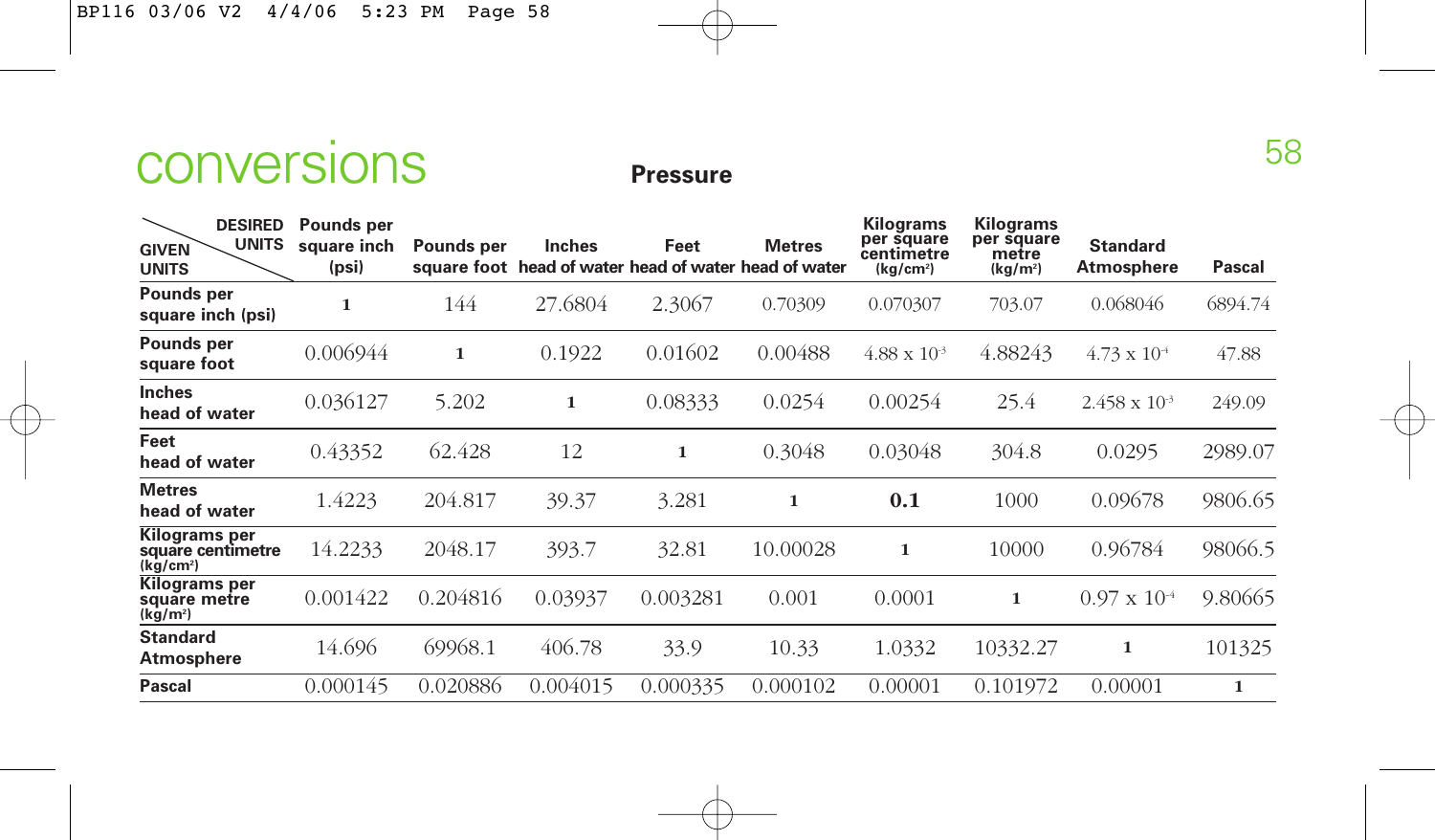

| <b>DESIRED</b><br><b>UNITS</b><br><b>GIVEN</b><br><b>UNITS</b>     | Pounds per<br>square inch<br>(psi) | Pounds per | <b>Inches</b> | Feet     | <b>Metres</b><br>square foot head of water head of water head of water | <b>Kilograms</b><br>per square<br>centimetre<br>(kg/cm <sup>2</sup> ) | Kilograms<br>per square<br>metre<br>(kg/m <sup>2</sup> ) | <b>Standard</b><br><b>Atmosphere</b> | Pascal  |
|--------------------------------------------------------------------|------------------------------------|------------|---------------|----------|------------------------------------------------------------------------|-----------------------------------------------------------------------|----------------------------------------------------------|--------------------------------------|---------|
| Pounds per<br>square inch (psi)                                    | 1                                  | 144        | 27.6804       | 2.3067   | 0.70309                                                                | 0.070307                                                              | 703.07                                                   | 0.068046                             | 6894.74 |
| Pounds per<br>square foot                                          | 0.006944                           | 1          | 0.1922        | 0.01602  | 0.00488                                                                | $4.88 \times 10^{-3}$                                                 | 4.88243                                                  | $4.73 \times 10^{-4}$                | 47.88   |
| <b>Inches</b><br>head of water                                     | 0.036127                           | 5.202      | 1             | 0.08333  | 0.0254                                                                 | 0.00254                                                               | 25.4                                                     | $2.458 \times 10^{-3}$               | 249.09  |
| Feet<br>head of water                                              | 0.43352                            | 62.428     | 12            | 1        | 0.3048                                                                 | 0.03048                                                               | 304.8                                                    | 0.0295                               | 2989.07 |
| <b>Metres</b><br>head of water                                     | 1.4223                             | 204.817    | 39.37         | 3.281    | 1                                                                      | 0.1                                                                   | 1000                                                     | 0.09678                              | 9806.65 |
| <b>Kilograms</b> per<br>square centimetre<br>(kq/cm <sup>2</sup> ) | 14.2233                            | 2048.17    | 393.7         | 32.81    | 10.00028                                                               | 1                                                                     | 10000                                                    | 0.96784                              | 98066.5 |
| Kilograms per<br>square metre<br>(kg/m <sup>2</sup> )              | 0.001422                           | 0.204816   | 0.03937       | 0.003281 | 0.001                                                                  | 0.0001                                                                | 1                                                        | $0.97 \times 10^{-4}$                | 9.80665 |
| <b>Standard</b><br>Atmosphere                                      | 14.696                             | 69968.1    | 406.78        | 33.9     | 10.33                                                                  | 1.0332                                                                | 10332.27                                                 | 1                                    | 101325  |
| <b>Pascal</b>                                                      | 0.000145                           | 0.020886   | 0.004015      | 0.000335 | 0.000102                                                               | 0.00001                                                               | 0.101972                                                 | 0.00001                              | 1       |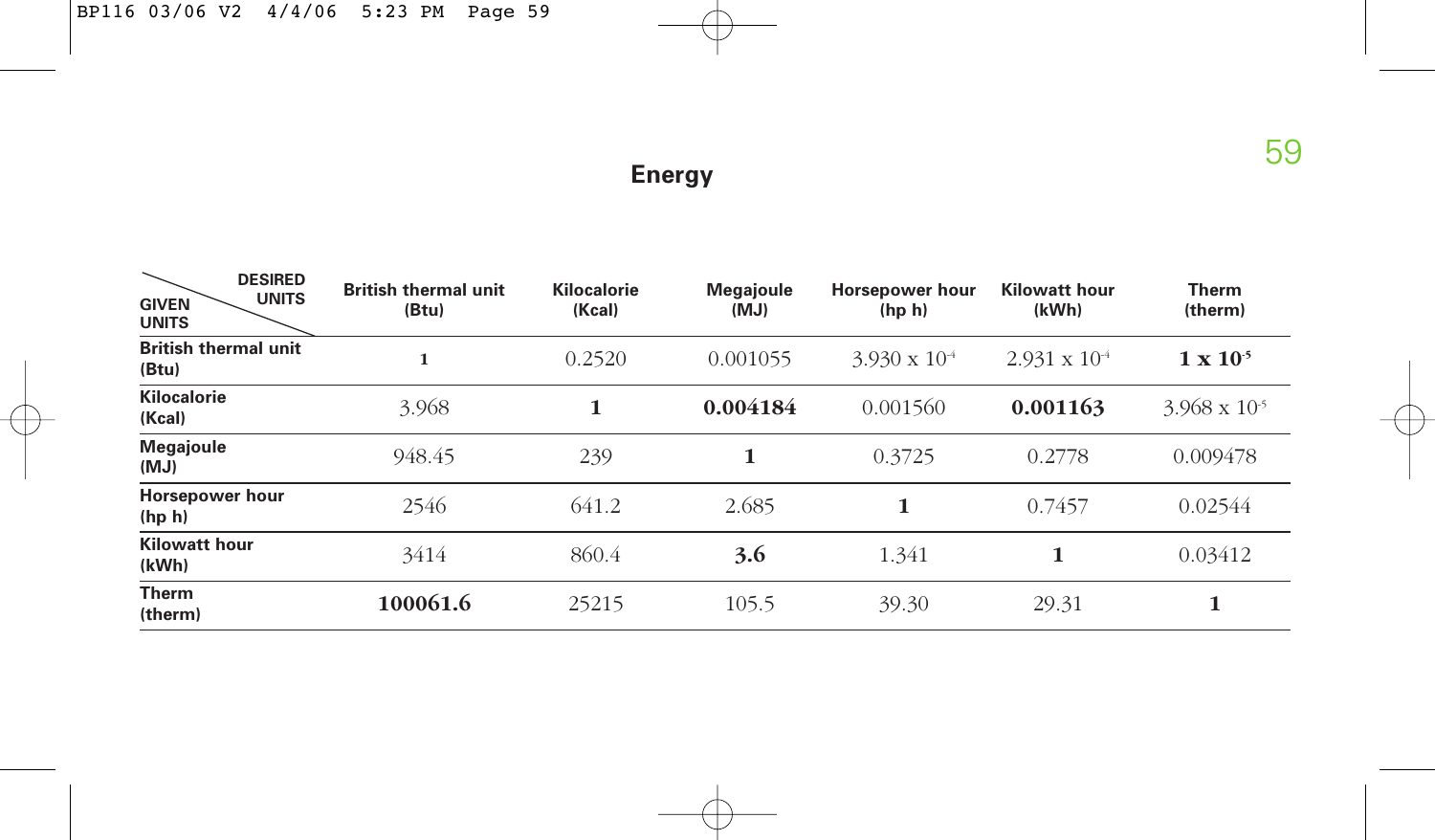# **Energy**

| <b>DESIRED</b><br><b>UNITS</b><br><b>GIVEN</b><br><b>UNITS</b> | <b>British thermal unit</b><br>(Btu) | Kilocalorie<br>(Kcal) | <b>Megajoule</b><br>(MJ) | Horsepower hour<br>(hp h) | <b>Kilowatt hour</b><br>(kWh) | Therm<br>(therm)       |
|----------------------------------------------------------------|--------------------------------------|-----------------------|--------------------------|---------------------------|-------------------------------|------------------------|
| <b>British thermal unit</b><br>(Btu)                           | $\mathbf{1}$                         | 0.2520                | 0.001055                 | $3.930 \times 10^{-4}$    | $2.931 \times 10^{-4}$        | $1 \times 10^{-5}$     |
| <b>Kilocalorie</b><br>(Kcal)                                   | 3.968                                | 1                     | 0.004184                 | 0.001560                  | 0.001163                      | $3.968 \times 10^{-5}$ |
| <b>Megajoule</b><br>(MJ)                                       | 948.45                               | 239                   | 1                        | 0.3725                    | 0.2778                        | 0.009478               |
| Horsepower hour<br>(hp h)                                      | 2546                                 | 641.2                 | 2.685                    | 1                         | 0.7457                        | 0.02544                |
| <b>Kilowatt hour</b><br>(kWh)                                  | 3414                                 | 860.4                 | 3.6                      | 1.341                     | 1                             | 0.03412                |
| <b>Therm</b><br>(therm)                                        | 100061.6                             | 25215                 | 105.5                    | 39.30                     | 29.31                         | 1                      |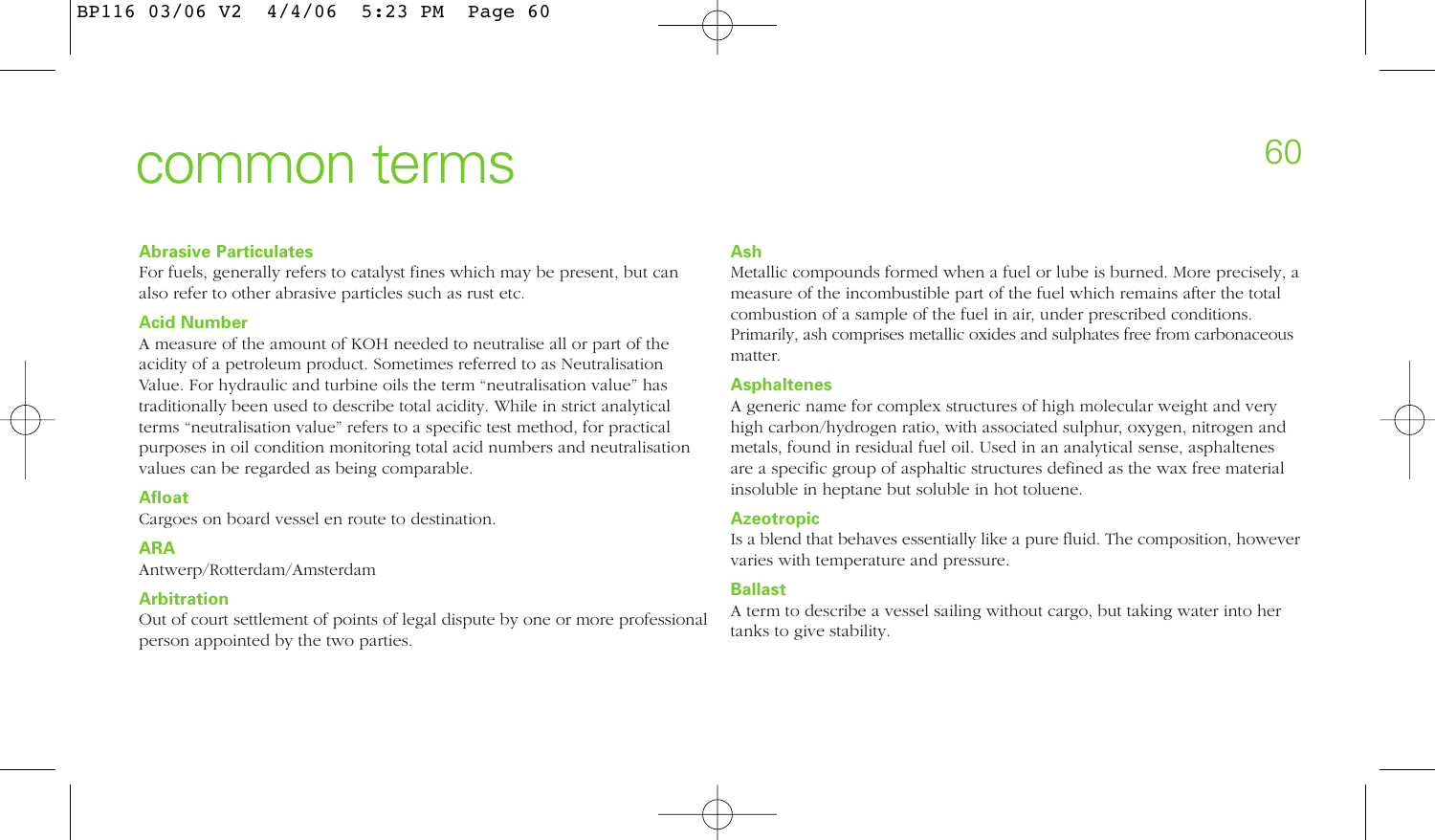# common terms

# **Abrasive Particulates**

For fuels, generally refers to catalyst fines which may be present, but can also refer to other abrasive particles such as rust etc.

# **Acid Number**

A measure of the amount of KOH needed to neutralise all or part of the acidity of a petroleum product. Sometimes referred to as Neutralisation Value. For hydraulic and turbine oils the term "neutralisation value" has traditionally been used to describe total acidity. While in strict analytical terms "neutralisation value" refers to a specific test method, for practical purposes in oil condition monitoring total acid numbers and neutralisation values can be regarded as being comparable.

# **Afloat**

Cargoes on board vessel en route to destination.

# **ARA**

Antwerp/Rotterdam/Amsterdam

# **Arbitration**

Out of court settlement of points of legal dispute by one or more professional person appointed by the two parties.

# **Ash**

Metallic compounds formed when a fuel or lube is burned. More precisely, a measure of the incombustible part of the fuel which remains after the total combustion of a sample of the fuel in air, under prescribed conditions. Primarily, ash comprises metallic oxides and sulphates free from carbonaceous matter.

### **Asphaltenes**

A generic name for complex structures of high molecular weight and very high carbon/hydrogen ratio, with associated sulphur, oxygen, nitrogen and metals, found in residual fuel oil. Used in an analytical sense, asphaltenes are a specific group of asphaltic structures defined as the wax free material insoluble in heptane but soluble in hot toluene.

### **Azeotropic**

Is a blend that behaves essentially like a pure fluid. The composition, however varies with temperature and pressure.

# **Ballast**

A term to describe a vessel sailing without cargo, but taking water into her tanks to give stability.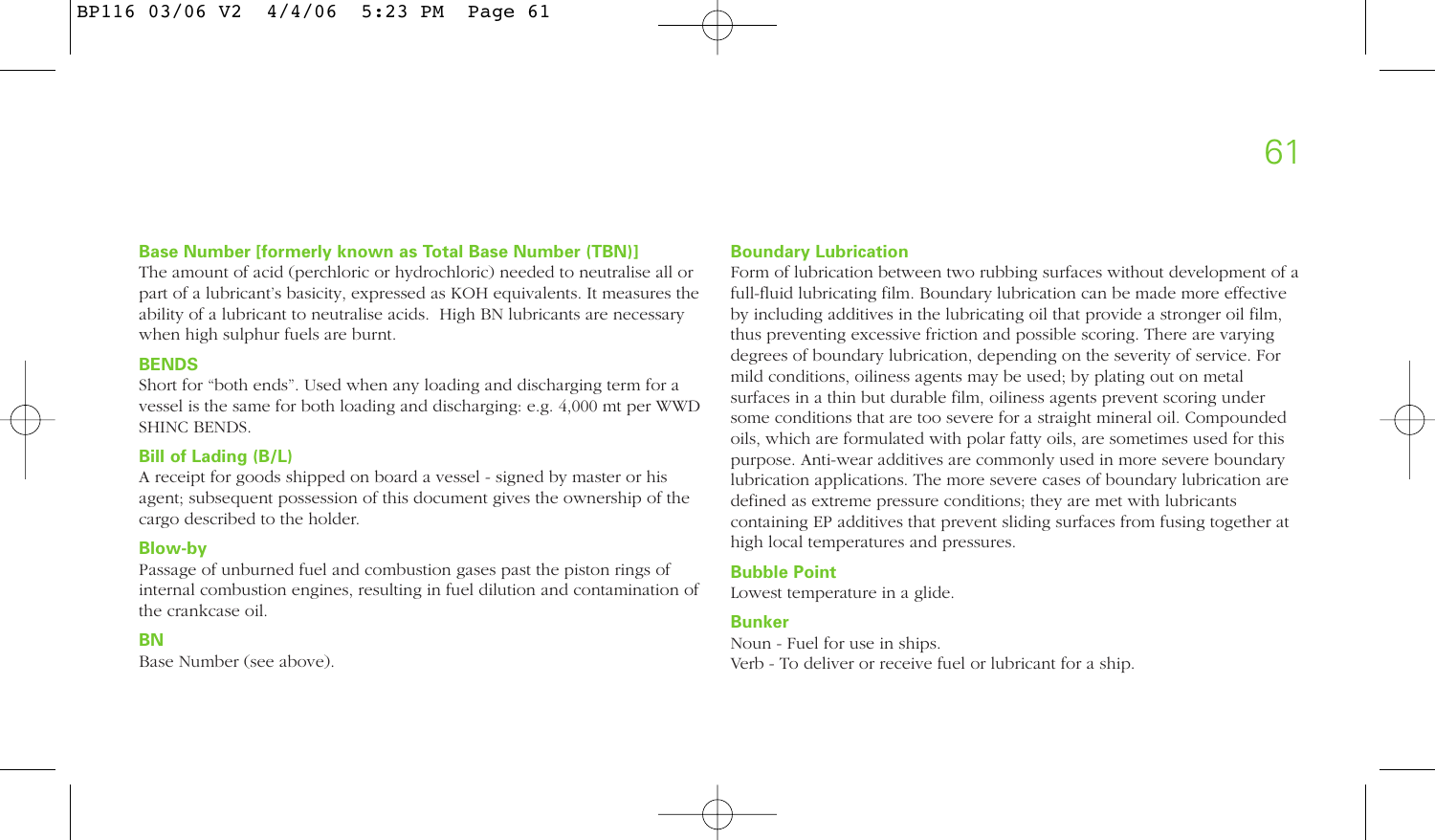# **Base Number [formerly known as Total Base Number (TBN)]**

The amount of acid (perchloric or hydrochloric) needed to neutralise all or part of a lubricant's basicity, expressed as KOH equivalents. It measures the ability of a lubricant to neutralise acids. High BN lubricants are necessary when high sulphur fuels are burnt.

# **BENDS**

Short for "both ends". Used when any loading and discharging term for a vessel is the same for both loading and discharging: e.g. 4,000 mt per WWD SHINC BENDS.

# **Bill of Lading (B/L)**

A receipt for goods shipped on board a vessel - signed by master or his agent; subsequent possession of this document gives the ownership of the cargo described to the holder.

# **Blow-by**

Passage of unburned fuel and combustion gases past the piston rings of internal combustion engines, resulting in fuel dilution and contamination of the crankcase oil.

# **BN**

Base Number (see above).

#### **Boundary Lubrication**

Form of lubrication between two rubbing surfaces without development of a full-fluid lubricating film. Boundary lubrication can be made more effective by including additives in the lubricating oil that provide a stronger oil film, thus preventing excessive friction and possible scoring. There are varying degrees of boundary lubrication, depending on the severity of service. For mild conditions, oiliness agents may be used; by plating out on metal surfaces in a thin but durable film, oiliness agents prevent scoring under some conditions that are too severe for a straight mineral oil. Compounded oils, which are formulated with polar fatty oils, are sometimes used for this purpose. Anti-wear additives are commonly used in more severe boundary lubrication applications. The more severe cases of boundary lubrication are defined as extreme pressure conditions; they are met with lubricants containing EP additives that prevent sliding surfaces from fusing together at high local temperatures and pressures.

# **Bubble Point**

Lowest temperature in a glide.

# **Bunker**

Noun - Fuel for use in ships. Verb - To deliver or receive fuel or lubricant for a ship.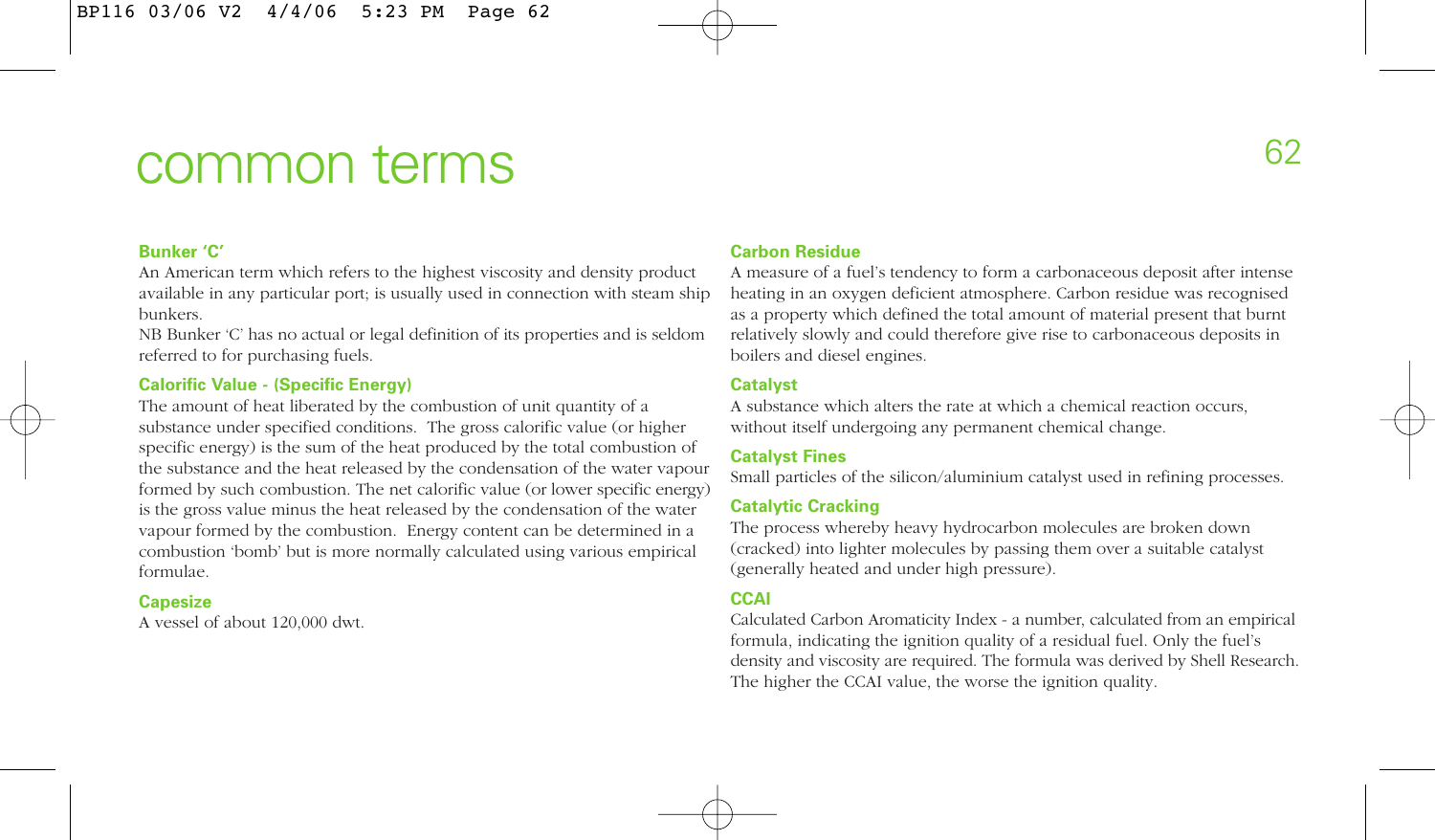# common terms

# **Bunker 'C'**

An American term which refers to the highest viscosity and density product available in any particular port; is usually used in connection with steam ship bunkers.

NB Bunker 'C' has no actual or legal definition of its properties and is seldom referred to for purchasing fuels.

# **Calorific Value - (Specific Energy)**

The amount of heat liberated by the combustion of unit quantity of a substance under specified conditions. The gross calorific value (or higher specific energy) is the sum of the heat produced by the total combustion of the substance and the heat released by the condensation of the water vapour formed by such combustion. The net calorific value (or lower specific energy) is the gross value minus the heat released by the condensation of the water vapour formed by the combustion. Energy content can be determined in a combustion 'bomb' but is more normally calculated using various empirical formulae.

# **Capesize**

A vessel of about 120,000 dwt.

# **Carbon Residue**

A measure of a fuel's tendency to form a carbonaceous deposit after intense heating in an oxygen deficient atmosphere. Carbon residue was recognised as a property which defined the total amount of material present that burnt relatively slowly and could therefore give rise to carbonaceous deposits in boilers and diesel engines.

# **Catalyst**

A substance which alters the rate at which a chemical reaction occurs, without itself undergoing any permanent chemical change.

# **Catalyst Fines**

Small particles of the silicon/aluminium catalyst used in refining processes.

# **Catalytic Cracking**

The process whereby heavy hydrocarbon molecules are broken down (cracked) into lighter molecules by passing them over a suitable catalyst (generally heated and under high pressure).

# **CCAI**

Calculated Carbon Aromaticity Index - a number, calculated from an empirical formula, indicating the ignition quality of a residual fuel. Only the fuel's density and viscosity are required. The formula was derived by Shell Research. The higher the CCAI value, the worse the ignition quality.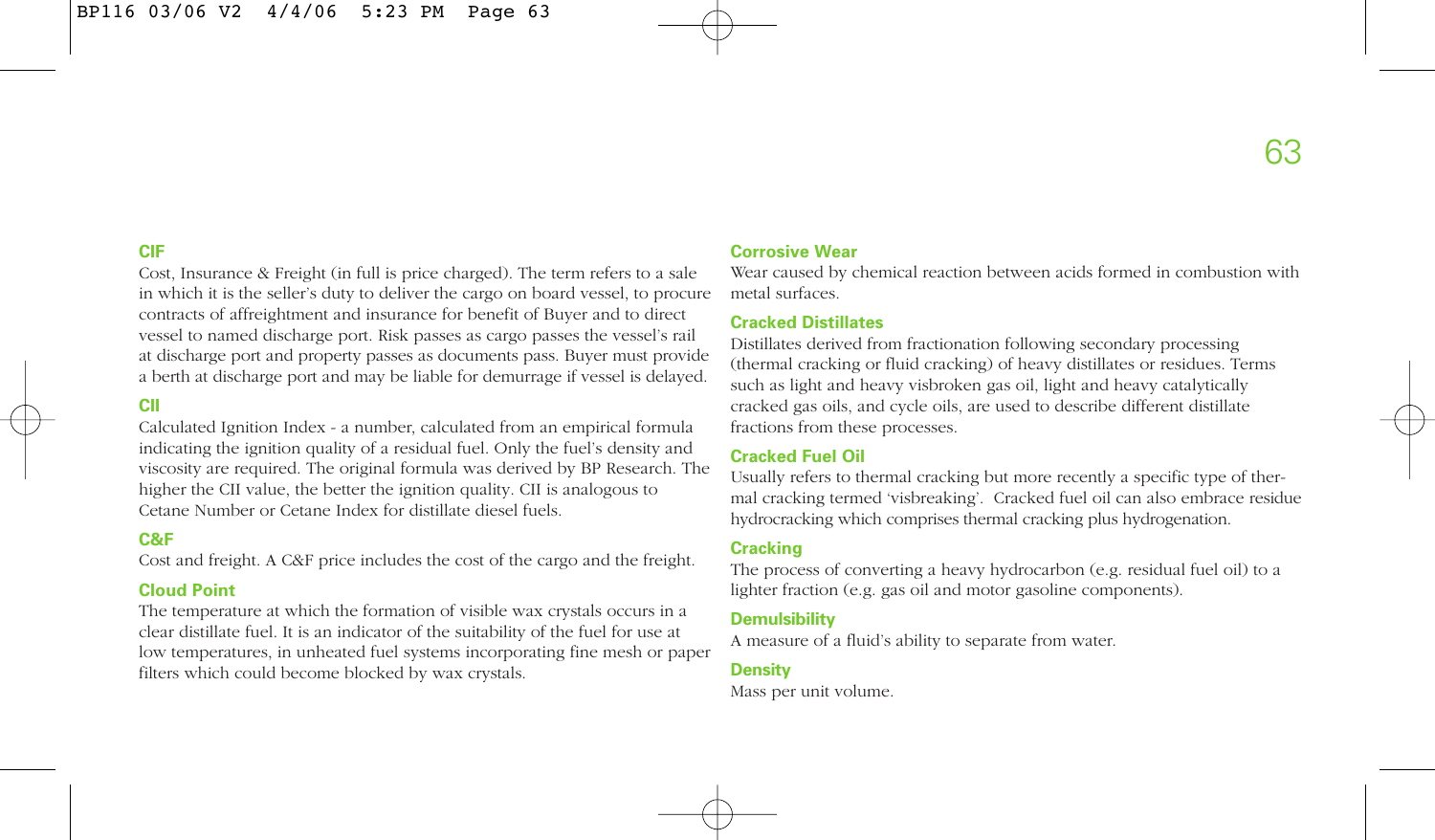# **CIF**

Cost, Insurance & Freight (in full is price charged). The term refers to a sale in which it is the seller's duty to deliver the cargo on board vessel, to procure contracts of affreightment and insurance for benefit of Buyer and to direct vessel to named discharge port. Risk passes as cargo passes the vessel's rail at discharge port and property passes as documents pass. Buyer must provide a berth at discharge port and may be liable for demurrage if vessel is delayed.

# **CII**

Calculated Ignition Index - a number, calculated from an empirical formula indicating the ignition quality of a residual fuel. Only the fuel's density and viscosity are required. The original formula was derived by BP Research. The higher the CII value, the better the ignition quality. CII is analogous to Cetane Number or Cetane Index for distillate diesel fuels.

# **C&F**

Cost and freight. A C&F price includes the cost of the cargo and the freight.

# **Cloud Point**

The temperature at which the formation of visible wax crystals occurs in a clear distillate fuel. It is an indicator of the suitability of the fuel for use at low temperatures, in unheated fuel systems incorporating fine mesh or paper filters which could become blocked by wax crystals.

# **Corrosive Wear**

Wear caused by chemical reaction between acids formed in combustion with metal surfaces.

# **Cracked Distillates**

Distillates derived from fractionation following secondary processing (thermal cracking or fluid cracking) of heavy distillates or residues. Terms such as light and heavy visbroken gas oil, light and heavy catalytically cracked gas oils, and cycle oils, are used to describe different distillate fractions from these processes.

# **Cracked Fuel Oil**

Usually refers to thermal cracking but more recently a specific type of thermal cracking termed 'visbreaking'. Cracked fuel oil can also embrace residue hydrocracking which comprises thermal cracking plus hydrogenation.

# **Cracking**

The process of converting a heavy hydrocarbon (e.g. residual fuel oil) to a lighter fraction (e.g. gas oil and motor gasoline components).

# **Demulsibility**

A measure of a fluid's ability to separate from water.

#### **Density**

Mass per unit volume.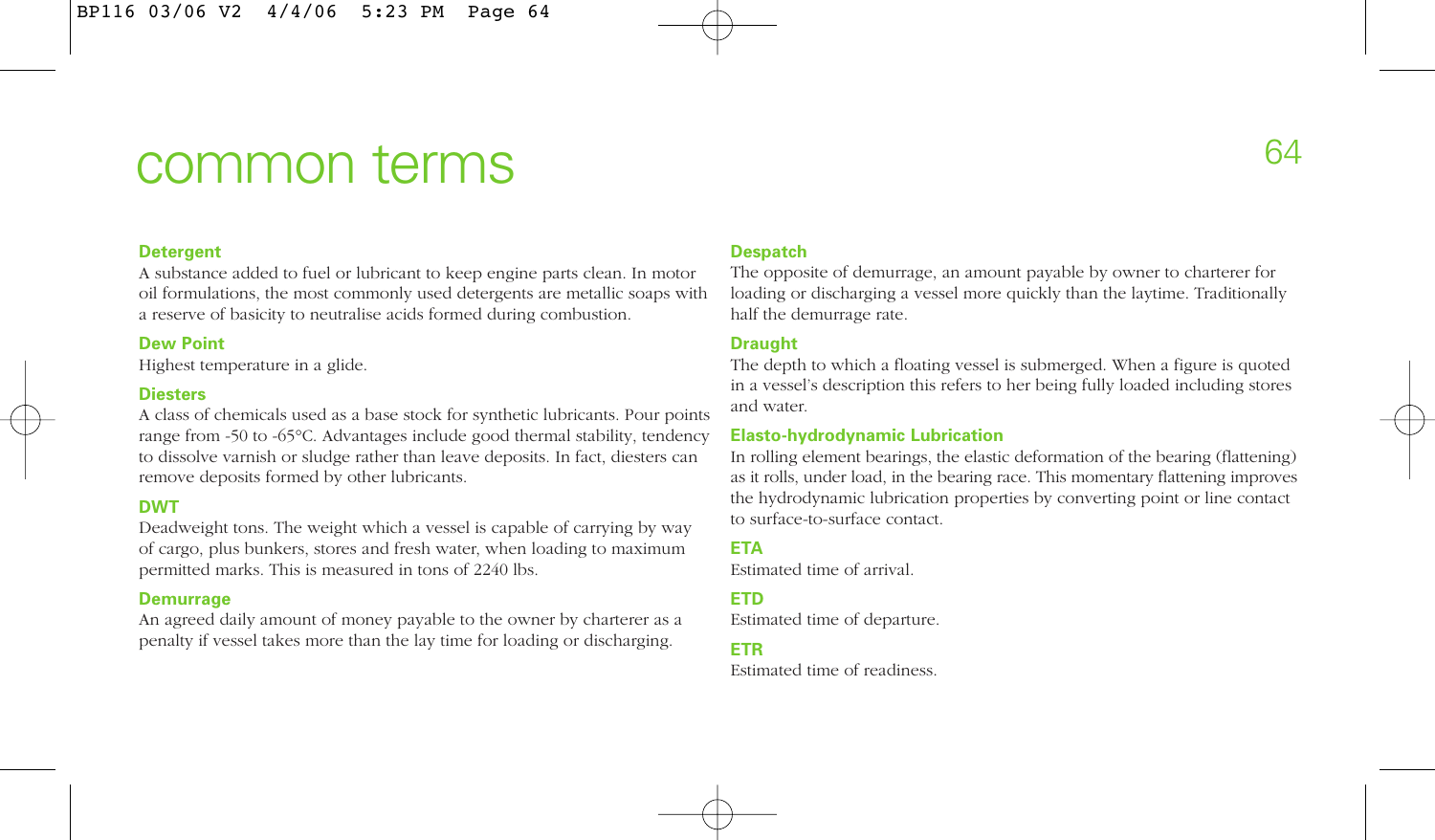# common terms

# **Detergent**

A substance added to fuel or lubricant to keep engine parts clean. In motor oil formulations, the most commonly used detergents are metallic soaps with a reserve of basicity to neutralise acids formed during combustion.

# **Dew Point**

Highest temperature in a glide.

# **Diesters**

A class of chemicals used as a base stock for synthetic lubricants. Pour points range from -50 to -65°C. Advantages include good thermal stability, tendency to dissolve varnish or sludge rather than leave deposits. In fact, diesters can remove deposits formed by other lubricants.

# **DWT**

Deadweight tons. The weight which a vessel is capable of carrying by way of cargo, plus bunkers, stores and fresh water, when loading to maximum permitted marks. This is measured in tons of 2240 lbs.

### **Demurrage**

An agreed daily amount of money payable to the owner by charterer as a penalty if vessel takes more than the lay time for loading or discharging.

# **Despatch**

The opposite of demurrage, an amount payable by owner to charterer for loading or discharging a vessel more quickly than the laytime. Traditionally half the demurrage rate.

# **Draught**

The depth to which a floating vessel is submerged. When a figure is quoted in a vessel's description this refers to her being fully loaded including stores and water.

# **Elasto-hydrodynamic Lubrication**

In rolling element bearings, the elastic deformation of the bearing (flattening) as it rolls, under load, in the bearing race. This momentary flattening improves the hydrodynamic lubrication properties by converting point or line contact to surface-to-surface contact.

# **ETA**

Estimated time of arrival.

# **ETD**

Estimated time of departure.

#### **ETR**

Estimated time of readiness.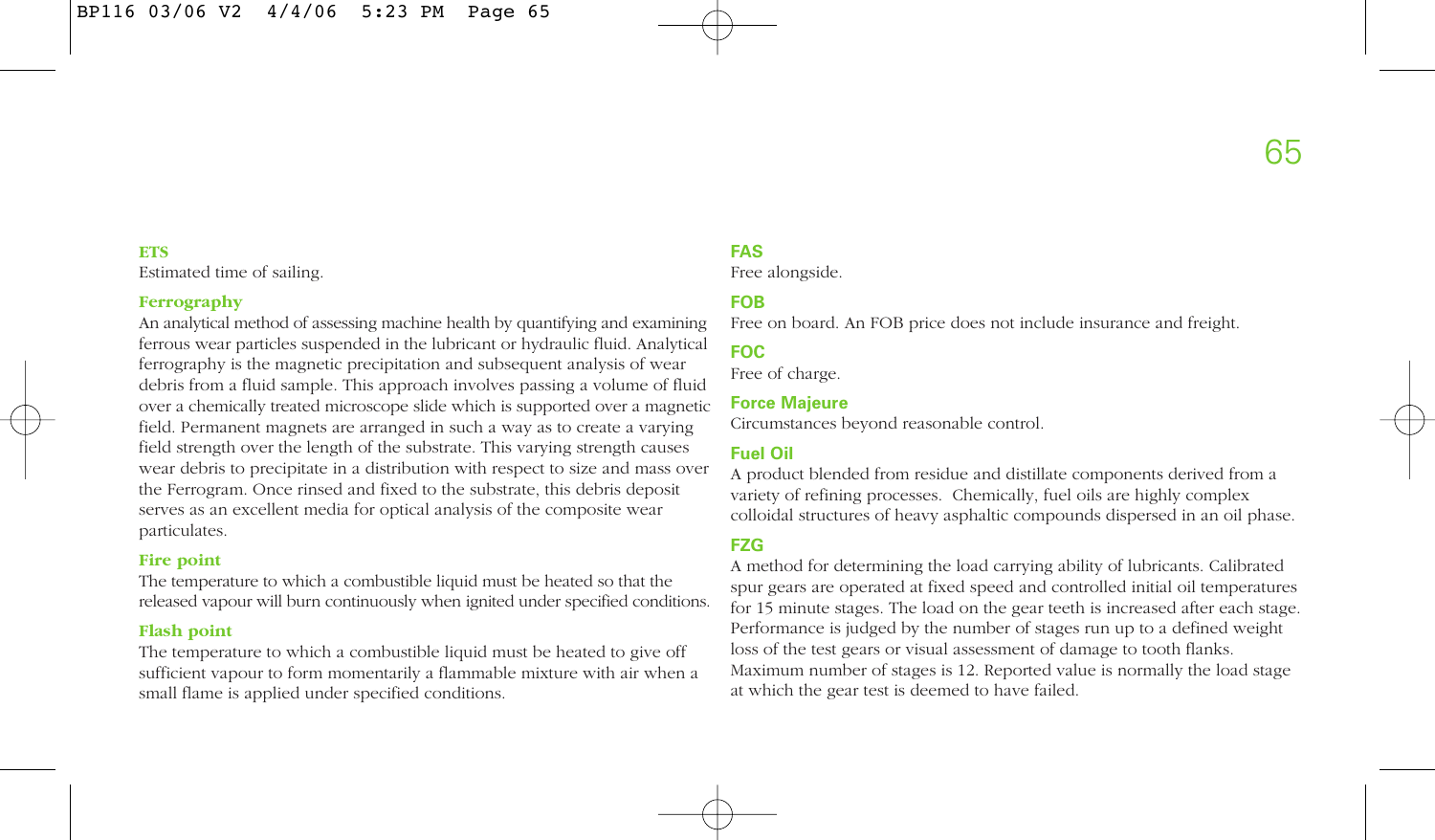#### **ETS**

Estimated time of sailing.

### **Ferrography**

An analytical method of assessing machine health by quantifying and examining ferrous wear particles suspended in the lubricant or hydraulic fluid. Analytical ferrography is the magnetic precipitation and subsequent analysis of wear debris from a fluid sample. This approach involves passing a volume of fluid over a chemically treated microscope slide which is supported over a magnetic field. Permanent magnets are arranged in such a way as to create a varying field strength over the length of the substrate. This varying strength causes wear debris to precipitate in a distribution with respect to size and mass over the Ferrogram. Once rinsed and fixed to the substrate, this debris deposit serves as an excellent media for optical analysis of the composite wear particulates.

# **Fire point**

The temperature to which a combustible liquid must be heated so that the released vapour will burn continuously when ignited under specified conditions.

# **Flash point**

The temperature to which a combustible liquid must be heated to give off sufficient vapour to form momentarily a flammable mixture with air when a small flame is applied under specified conditions.

# **FAS**

Free alongside.

# **FOB**

Free on board. An FOB price does not include insurance and freight.

# **FOC**

Free of charge.

#### **Force Majeure**

Circumstances beyond reasonable control.

# **Fuel Oil**

A product blended from residue and distillate components derived from a variety of refining processes. Chemically, fuel oils are highly complex colloidal structures of heavy asphaltic compounds dispersed in an oil phase.

# **FZG**

A method for determining the load carrying ability of lubricants. Calibrated spur gears are operated at fixed speed and controlled initial oil temperatures for 15 minute stages. The load on the gear teeth is increased after each stage. Performance is judged by the number of stages run up to a defined weight loss of the test gears or visual assessment of damage to tooth flanks. Maximum number of stages is 12. Reported value is normally the load stage at which the gear test is deemed to have failed.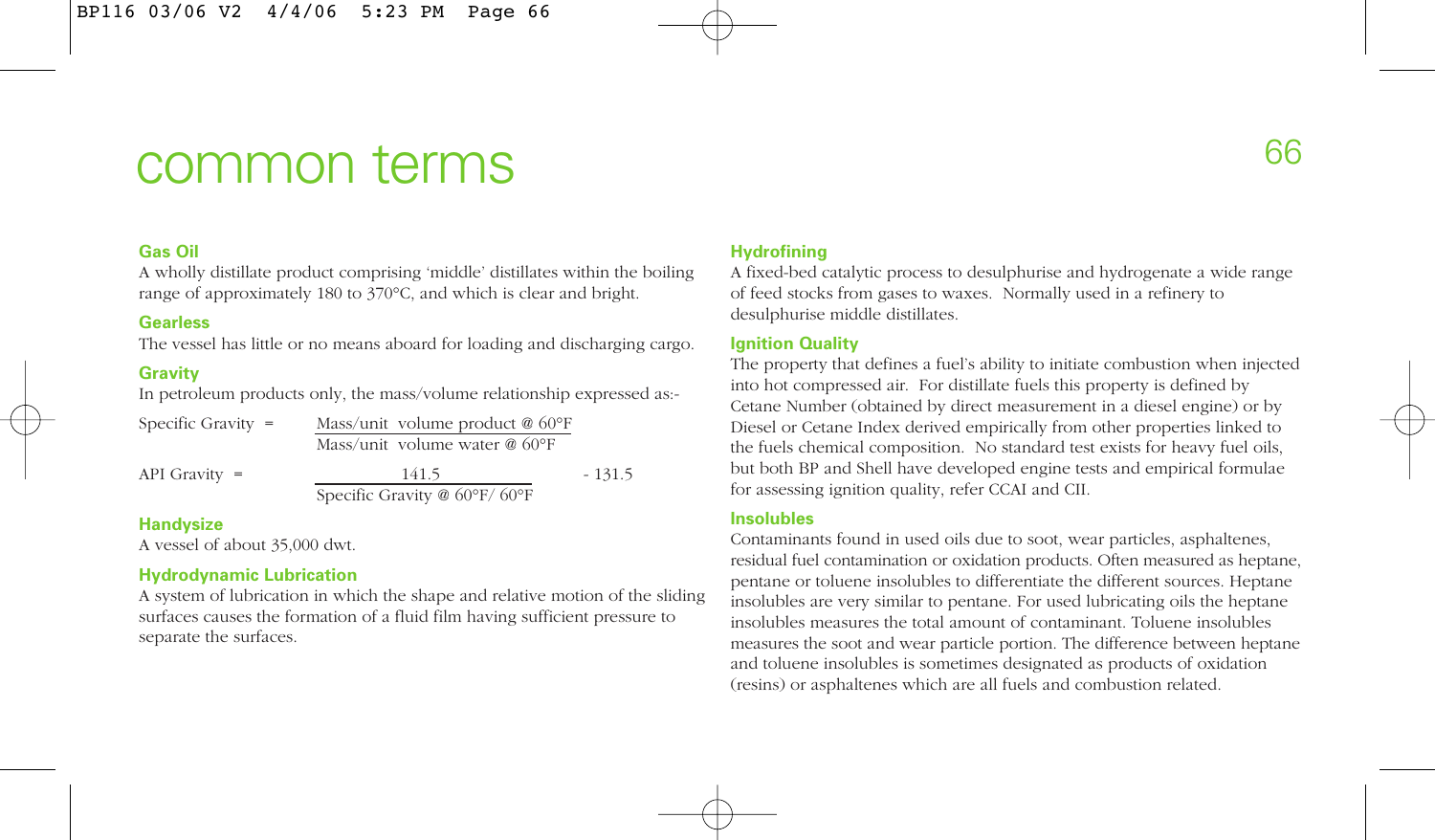# common terms

# **Gas Oil**

A wholly distillate product comprising 'middle' distillates within the boiling range of approximately 180 to 370°C, and which is clear and bright.

# **Gearless**

The vessel has little or no means aboard for loading and discharging cargo.

# **Gravity**

In petroleum products only, the mass/volume relationship expressed as-

| Specific Gravity $=$ | Mass/unit volume product $@$ 60°F |          |  |
|----------------------|-----------------------------------|----------|--|
|                      | Mass/unit volume water $@$ 60°F   |          |  |
| API Gravity $=$      | 141.5                             | $-131.5$ |  |
|                      | Specific Gravity @ 60°F/60°F      |          |  |

# **Handysize**

A vessel of about 35,000 dwt.

# **Hydrodynamic Lubrication**

A system of lubrication in which the shape and relative motion of the sliding surfaces causes the formation of a fluid film having sufficient pressure to separate the surfaces.

# **Hydrofining**

A fixed-bed catalytic process to desulphurise and hydrogenate a wide range of feed stocks from gases to waxes. Normally used in a refinery to desulphurise middle distillates.

# **Ignition Quality**

The property that defines a fuel's ability to initiate combustion when injected into hot compressed air. For distillate fuels this property is defined by Cetane Number (obtained by direct measurement in a diesel engine) or by Diesel or Cetane Index derived empirically from other properties linked to the fuels chemical composition. No standard test exists for heavy fuel oils, but both BP and Shell have developed engine tests and empirical formulae for assessing ignition quality, refer CCAI and CII.

# **Insolubles**

Contaminants found in used oils due to soot, wear particles, asphaltenes, residual fuel contamination or oxidation products. Often measured as heptane, pentane or toluene insolubles to differentiate the different sources. Heptane insolubles are very similar to pentane. For used lubricating oils the heptane insolubles measures the total amount of contaminant. Toluene insolubles measures the soot and wear particle portion. The difference between heptane and toluene insolubles is sometimes designated as products of oxidation (resins) or asphaltenes which are all fuels and combustion related.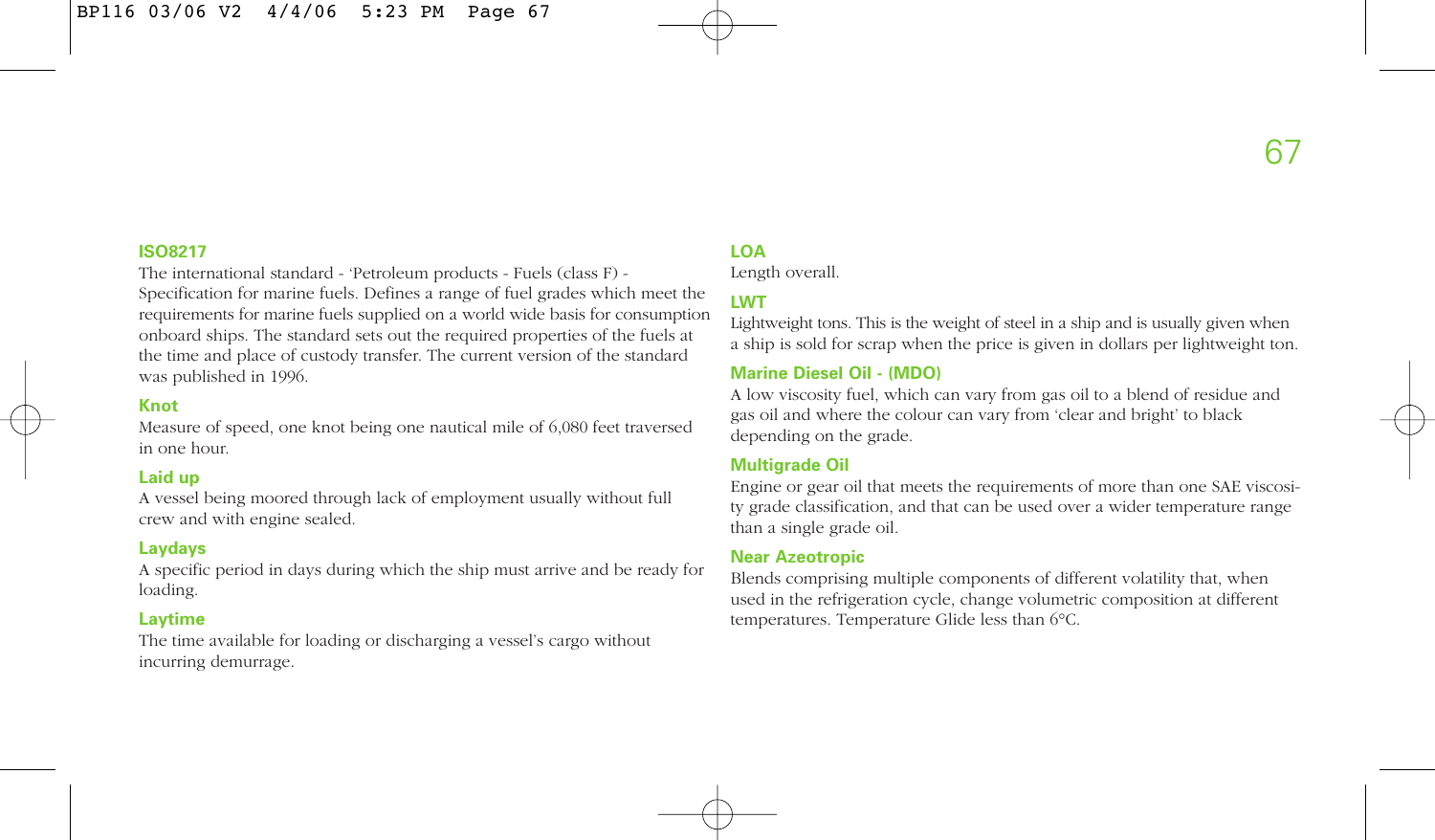# **ISO8217**

The international standard - 'Petroleum products - Fuels (class F) - Specification for marine fuels. Defines a range of fuel grades which meet the requirements for marine fuels supplied on a world wide basis for consumption onboard ships. The standard sets out the required properties of the fuels at the time and place of custody transfer. The current version of the standard was published in 1996.

# **Knot**

Measure of speed, one knot being one nautical mile of 6,080 feet traversed in one hour.

# **Laid up**

A vessel being moored through lack of employment usually without full crew and with engine sealed.

# **Laydays**

A specific period in days during which the ship must arrive and be ready for loading.

# **Laytime**

The time available for loading or discharging a vessel's cargo without incurring demurrage.

# **LOA**

Length overall.

# **LWT**

Lightweight tons. This is the weight of steel in a ship and is usually given when a ship is sold for scrap when the price is given in dollars per lightweight ton.

# **Marine Diesel Oil - (MDO)**

A low viscosity fuel, which can vary from gas oil to a blend of residue and gas oil and where the colour can vary from 'clear and bright' to black depending on the grade.

### **Multigrade Oil**

Engine or gear oil that meets the requirements of more than one SAE viscosity grade classification, and that can be used over a wider temperature range than a single grade oil.

### **Near Azeotropic**

Blends comprising multiple components of different volatility that, when used in the refrigeration cycle, change volumetric composition at different temperatures. Temperature Glide less than 6°C.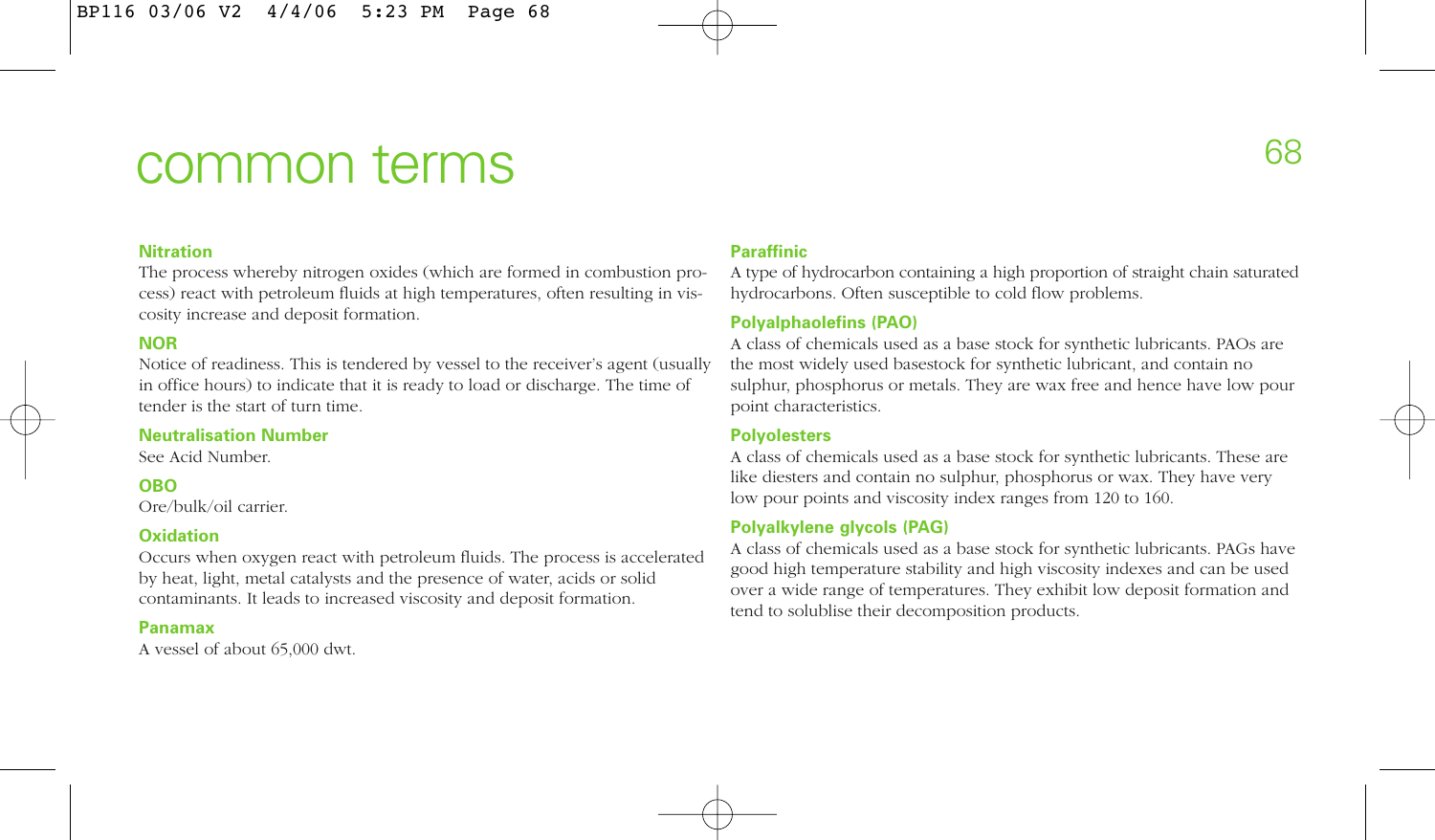# common terms

#### **Nitration**

The process whereby nitrogen oxides (which are formed in combustion process) react with petroleum fluids at high temperatures, often resulting in viscosity increase and deposit formation.

# **NOR**

Notice of readiness. This is tendered by vessel to the receiver's agent (usually in office hours) to indicate that it is ready to load or discharge. The time of tender is the start of turn time.

### **Neutralisation Number**

See Acid Number.

# **OBO**

Ore/bulk/oil carrier.

### **Oxidation**

Occurs when oxygen react with petroleum fluids. The process is accelerated by heat, light, metal catalysts and the presence of water, acids or solid contaminants. It leads to increased viscosity and deposit formation.

### **Panamax**

A vessel of about 65,000 dwt.

# **Paraffinic**

A type of hydrocarbon containing a high proportion of straight chain saturated hydrocarbons. Often susceptible to cold flow problems.

# **Polyalphaolefins (PAO)**

A class of chemicals used as a base stock for synthetic lubricants. PAOs are the most widely used basestock for synthetic lubricant, and contain no sulphur, phosphorus or metals. They are wax free and hence have low pour point characteristics.

### **Polyolesters**

A class of chemicals used as a base stock for synthetic lubricants. These are like diesters and contain no sulphur, phosphorus or wax. They have very low pour points and viscosity index ranges from 120 to 160.

# **Polyalkylene glycols (PAG)**

A class of chemicals used as a base stock for synthetic lubricants. PAGs have good high temperature stability and high viscosity indexes and can be used over a wide range of temperatures. They exhibit low deposit formation and tend to solublise their decomposition products.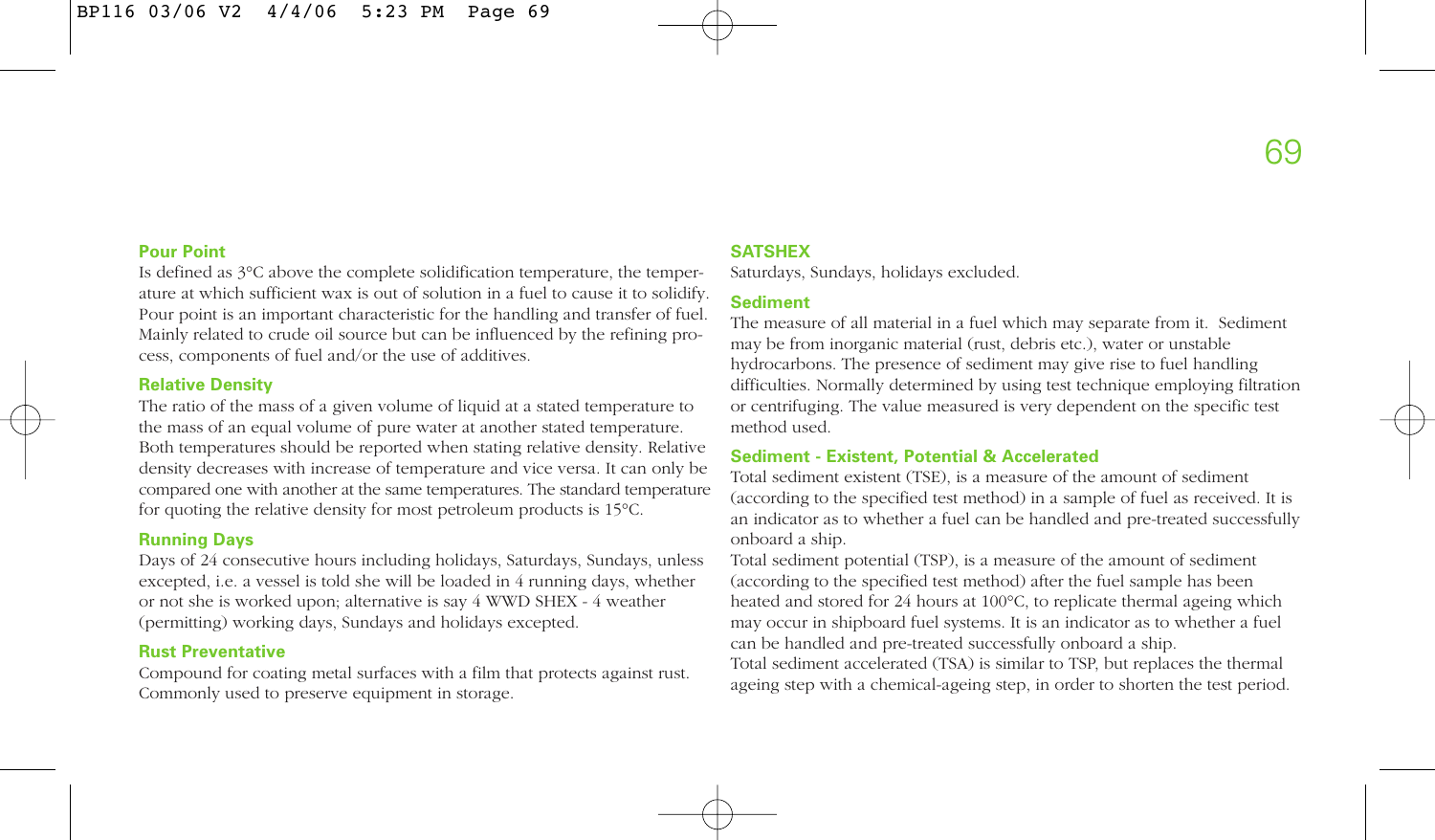# **Pour Point**

Is defined as 3°C above the complete solidification temperature, the temperature at which sufficient wax is out of solution in a fuel to cause it to solidify. Pour point is an important characteristic for the handling and transfer of fuel. Mainly related to crude oil source but can be influenced by the refining process, components of fuel and/or the use of additives.

### **Relative Density**

The ratio of the mass of a given volume of liquid at a stated temperature to the mass of an equal volume of pure water at another stated temperature. Both temperatures should be reported when stating relative density. Relative density decreases with increase of temperature and vice versa. It can only be compared one with another at the same temperatures. The standard temperature for quoting the relative density for most petroleum products is 15°C.

# **Running Days**

Days of 24 consecutive hours including holidays, Saturdays, Sundays, unless excepted, i.e. a vessel is told she will be loaded in 4 running days, whether or not she is worked upon; alternative is say 4 WWD SHEX - 4 weather (permitting) working days, Sundays and holidays excepted.

# **Rust Preventative**

Compound for coating metal surfaces with a film that protects against rust. Commonly used to preserve equipment in storage.

# **SATSHEX**

Saturdays, Sundays, holidays excluded.

# **Sediment**

The measure of all material in a fuel which may separate from it. Sediment may be from inorganic material (rust, debris etc.), water or unstable hydrocarbons. The presence of sediment may give rise to fuel handling difficulties. Normally determined by using test technique employing filtration or centrifuging. The value measured is very dependent on the specific test method used.

# **Sediment - Existent, Potential & Accelerated**

Total sediment existent (TSE), is a measure of the amount of sediment (according to the specified test method) in a sample of fuel as received. It is an indicator as to whether a fuel can be handled and pre-treated successfully onboard a ship.

Total sediment potential (TSP), is a measure of the amount of sediment (according to the specified test method) after the fuel sample has been heated and stored for 24 hours at 100°C, to replicate thermal ageing which may occur in shipboard fuel systems. It is an indicator as to whether a fuel can be handled and pre-treated successfully onboard a ship.

Total sediment accelerated (TSA) is similar to TSP, but replaces the thermal ageing step with a chemical-ageing step, in order to shorten the test period.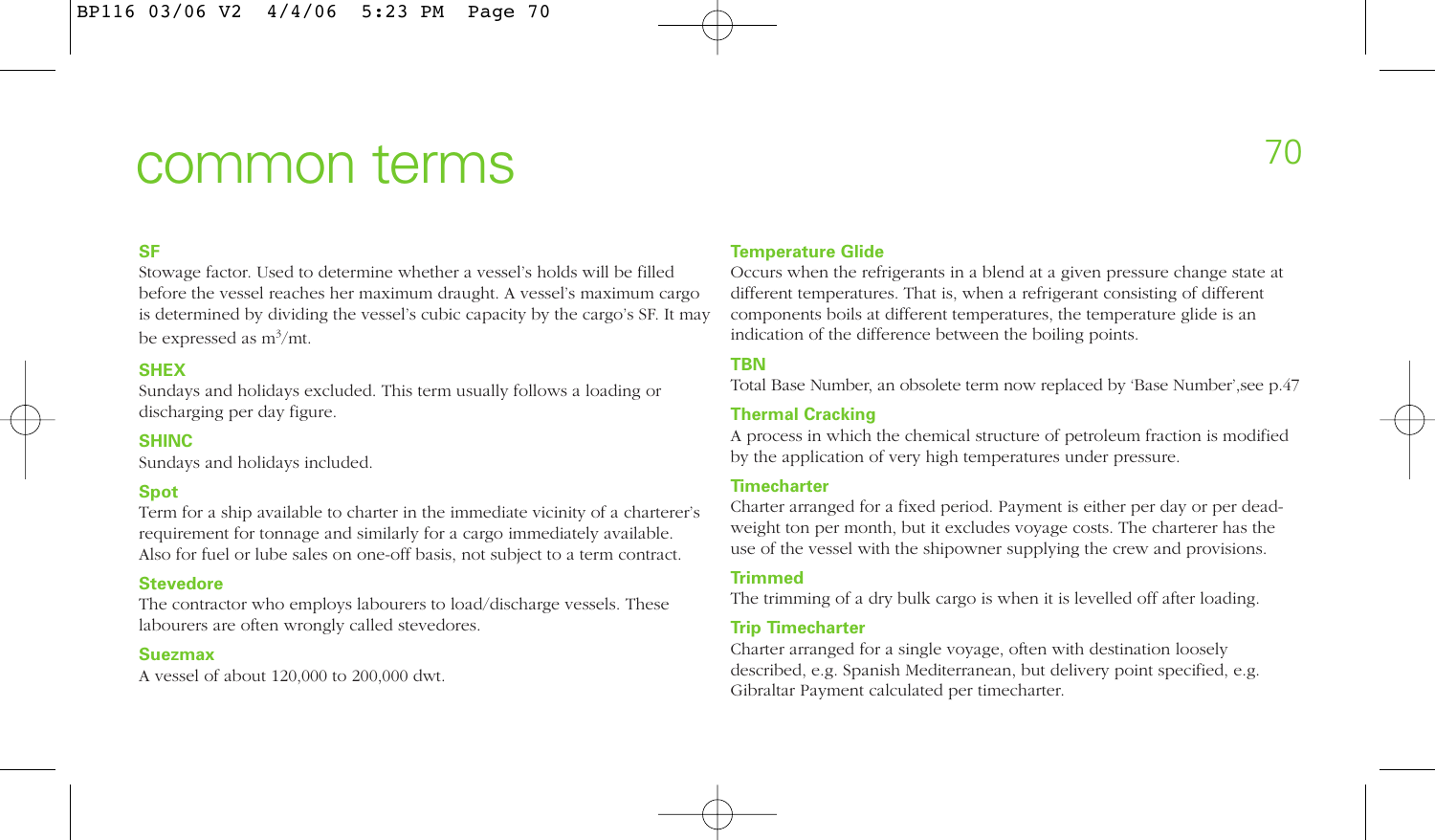# common terms

# **SF**

Stowage factor. Used to determine whether a vessel's holds will be filled before the vessel reaches her maximum draught. A vessel's maximum cargo is determined by dividing the vessel's cubic capacity by the cargo's SF. It may be expressed as  $m^3/mt$ .

# **SHEX**

Sundays and holidays excluded. This term usually follows a loading or discharging per day figure.

# **SHINC**

Sundays and holidays included.

# **Spot**

Term for a ship available to charter in the immediate vicinity of a charterer's requirement for tonnage and similarly for a cargo immediately available. Also for fuel or lube sales on one-off basis, not subject to a term contract.

# **Stevedore**

The contractor who employs labourers to load/discharge vessels. These labourers are often wrongly called stevedores.

#### **Suezmax**

A vessel of about 120,000 to 200,000 dwt.

#### **Temperature Glide**

Occurs when the refrigerants in a blend at a given pressure change state at different temperatures. That is, when a refrigerant consisting of different components boils at different temperatures, the temperature glide is an indication of the difference between the boiling points.

# **TBN**

Total Base Number, an obsolete term now replaced by 'Base Number',see p.47

#### **Thermal Cracking**

A process in which the chemical structure of petroleum fraction is modified by the application of very high temperatures under pressure.

# **Timecharter**

Charter arranged for a fixed period. Payment is either per day or per deadweight ton per month, but it excludes voyage costs. The charterer has the use of the vessel with the shipowner supplying the crew and provisions.

# **Trimmed**

The trimming of a dry bulk cargo is when it is levelled off after loading.

# **Trip Timecharter**

Charter arranged for a single voyage, often with destination loosely described, e.g. Spanish Mediterranean, but delivery point specified, e.g. Gibraltar Payment calculated per timecharter.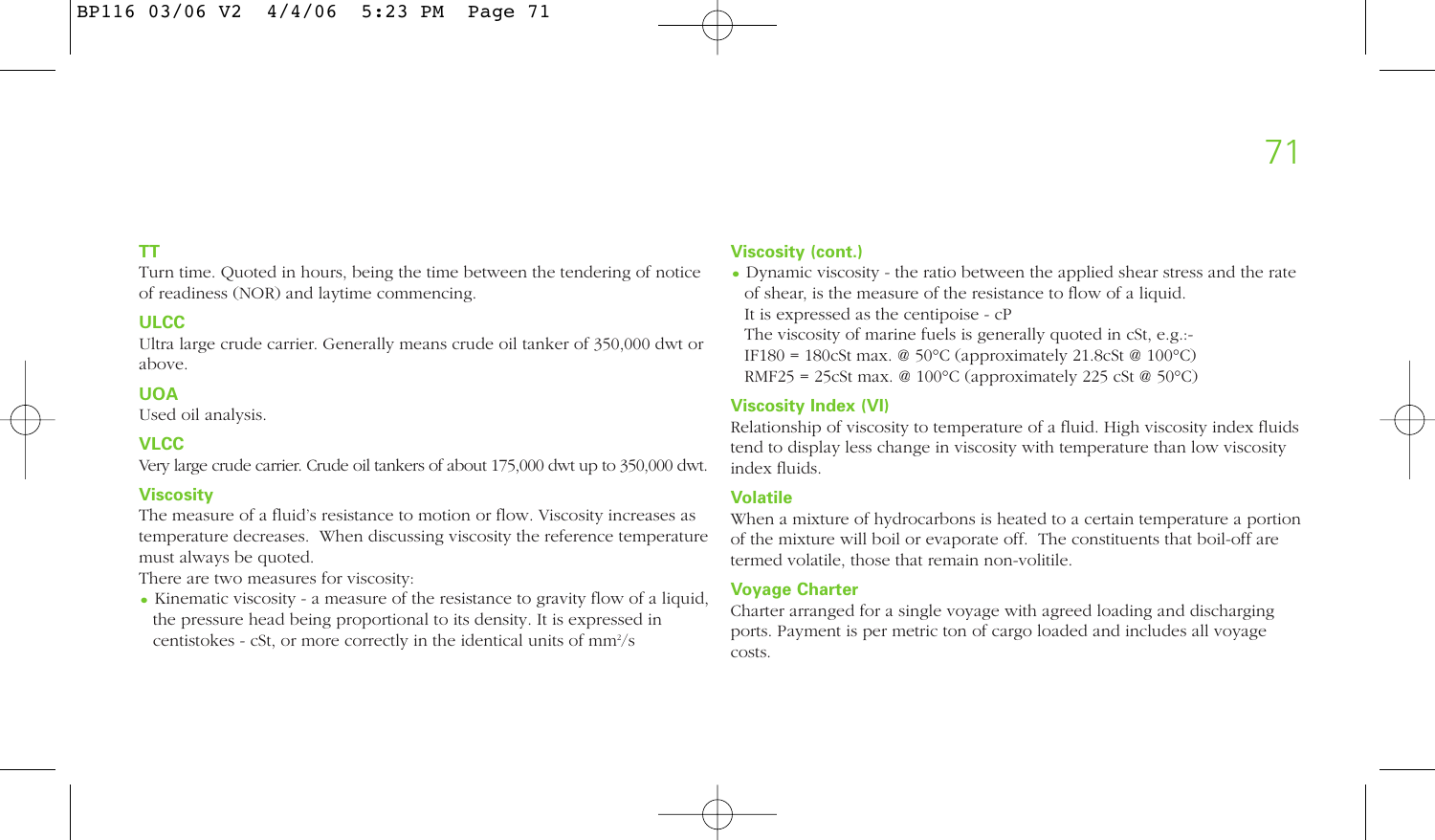# **TT**

Turn time. Quoted in hours, being the time between the tendering of notice of readiness (NOR) and laytime commencing.

# **ULCC**

Ultra large crude carrier. Generally means crude oil tanker of 350,000 dwt or above.

# **UOA**

Used oil analysis.

# **VLCC**

Very large crude carrier. Crude oil tankers of about 175,000 dwt up to 350,000 dwt.

#### **Viscosity**

The measure of a fluid's resistance to motion or flow. Viscosity increases as temperature decreases. When discussing viscosity the reference temperature must always be quoted.

There are two measures for viscosity:

• Kinematic viscosity - a measure of the resistance to gravity flow of a liquid, the pressure head being proportional to its density. It is expressed in centistokes - cSt, or more correctly in the identical units of mm<sup>2</sup>/s

#### **Viscosity (cont.)**

• Dynamic viscosity - the ratio between the applied shear stress and the rate of shear, is the measure of the resistance to flow of a liquid. It is expressed as the centipoise - cP The viscosity of marine fuels is generally quoted in cSt, e.g.:- IF180 = 180cSt max. @ 50°C (approximately 21.8cSt @ 100°C) RMF25 = 25cSt max. @ 100°C (approximately 225 cSt @ 50°C)

### **Viscosity Index (VI)**

Relationship of viscosity to temperature of a fluid. High viscosity index fluids tend to display less change in viscosity with temperature than low viscosity index fluids.

#### **Volatile**

When a mixture of hydrocarbons is heated to a certain temperature a portion of the mixture will boil or evaporate off. The constituents that boil-off are termed volatile, those that remain non-volitile.

### **Voyage Charter**

Charter arranged for a single voyage with agreed loading and discharging ports. Payment is per metric ton of cargo loaded and includes all voyage costs.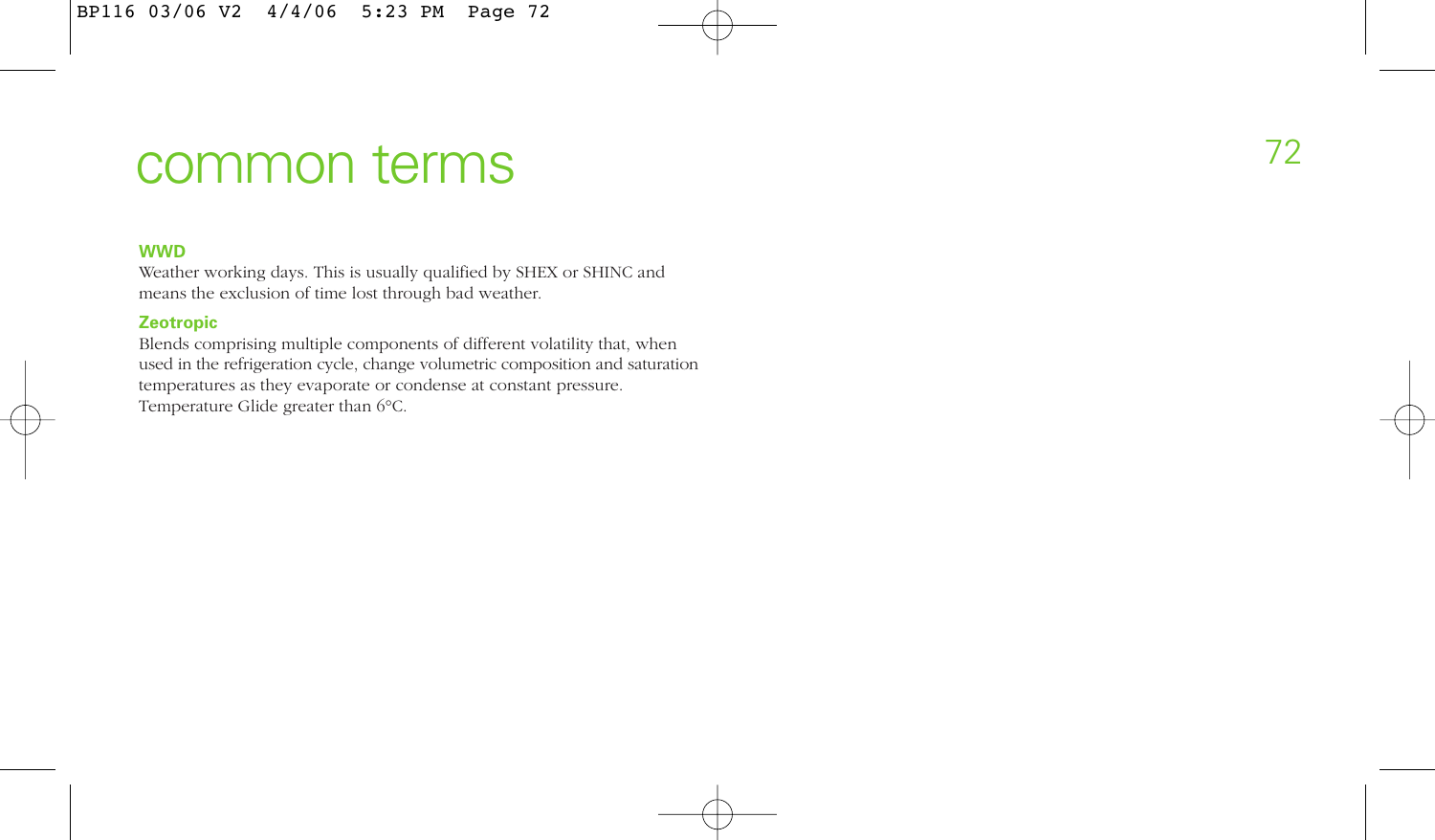## <sup>72</sup> common terms

## **WWD**

Weather working days. This is usually qualified by SHEX or SHINC and means the exclusion of time lost through bad weather.

## **Zeotropic**

Blends comprising multiple components of different volatility that, when used in the refrigeration cycle, change volumetric composition and saturation temperatures as they evaporate or condense at constant pressure. Temperature Glide greater than 6°C.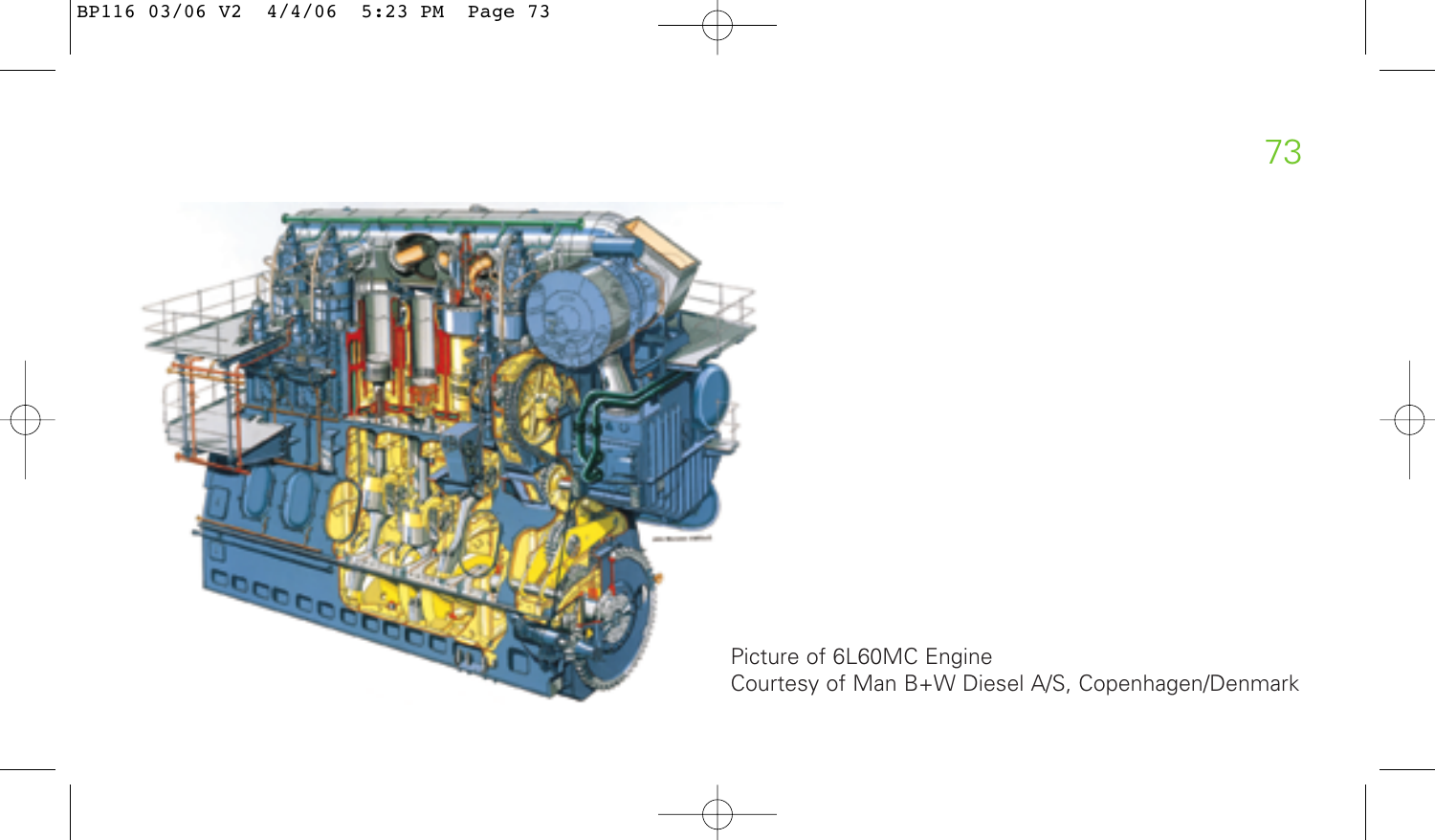

Picture of 6L60MC Engine Courtesy of Man B+W Diesel A/S, Copenhagen/Denmark